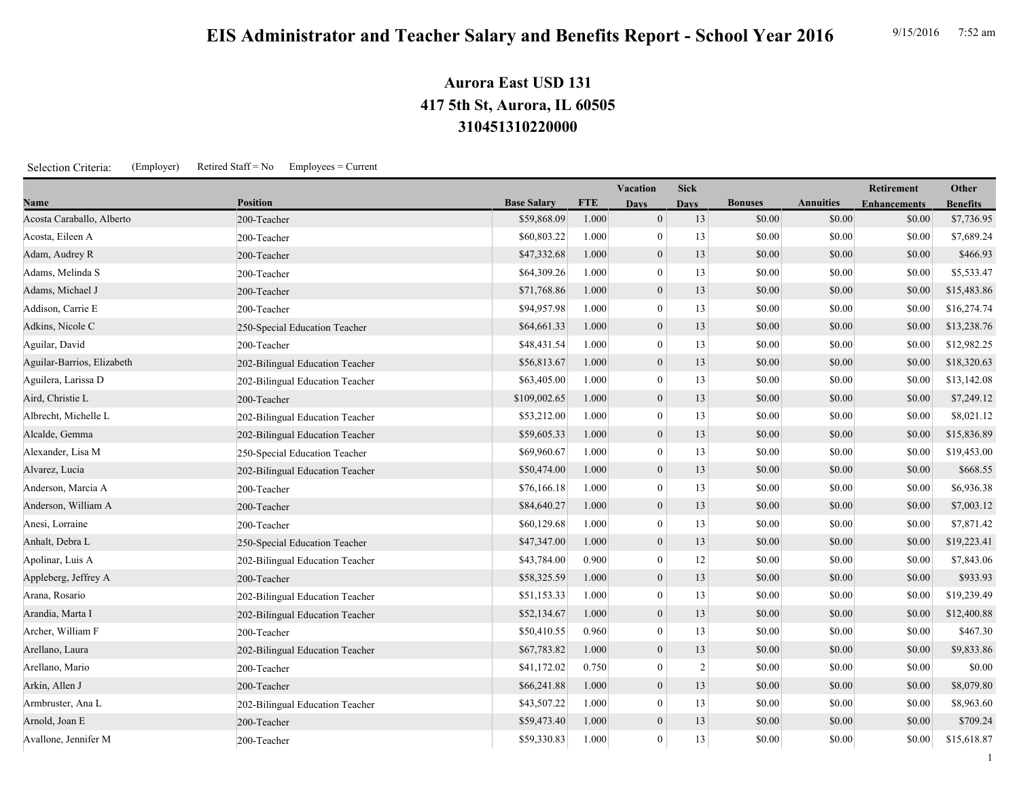## **310451310220000 417 5th St, Aurora, IL 60505 Aurora East USD 131**

Selection Criteria: (Employer) Retired Staff = No Employees = Current

|                            |                                 |                    |            | <b>Vacation</b>  | <b>Sick</b>    |                |                  | Retirement          | Other           |
|----------------------------|---------------------------------|--------------------|------------|------------------|----------------|----------------|------------------|---------------------|-----------------|
| Name                       | <b>Position</b>                 | <b>Base Salary</b> | <b>FTE</b> | <b>Davs</b>      | <b>Davs</b>    | <b>Bonuses</b> | <b>Annuities</b> | <b>Enhancements</b> | <b>Benefits</b> |
| Acosta Caraballo, Alberto  | 200-Teacher                     | \$59,868.09        | 1.000      | $\overline{0}$   | 13             | \$0.00         | \$0.00           | \$0.00              | \$7,736.95      |
| Acosta, Eileen A           | 200-Teacher                     | \$60,803.22        | 1.000      | $\mathbf{0}$     | 13             | \$0.00         | \$0.00           | \$0.00              | \$7,689.24      |
| Adam, Audrey R             | 200-Teacher                     | \$47,332.68        | 1.000      | $\boldsymbol{0}$ | 13             | \$0.00         | \$0.00           | \$0.00              | \$466.93        |
| Adams, Melinda S           | 200-Teacher                     | \$64,309.26        | 1.000      | $\mathbf{0}$     | 13             | \$0.00         | \$0.00           | \$0.00              | \$5,533.47      |
| Adams, Michael J           | 200-Teacher                     | \$71,768.86        | 1.000      | $\mathbf{0}$     | 13             | \$0.00         | \$0.00           | \$0.00              | \$15,483.86     |
| Addison, Carrie E          | 200-Teacher                     | \$94,957.98        | 1.000      | $\mathbf{0}$     | 13             | \$0.00         | \$0.00           | \$0.00              | \$16,274.74     |
| Adkins, Nicole C           | 250-Special Education Teacher   | \$64,661.33        | 1.000      | $\overline{0}$   | 13             | \$0.00         | \$0.00           | \$0.00              | \$13,238.76     |
| Aguilar, David             | 200-Teacher                     | \$48,431.54        | 1.000      | $\overline{0}$   | 13             | \$0.00         | \$0.00           | \$0.00              | \$12,982.25     |
| Aguilar-Barrios, Elizabeth | 202-Bilingual Education Teacher | \$56,813.67        | 1.000      | $\boldsymbol{0}$ | 13             | \$0.00         | \$0.00           | \$0.00              | \$18,320.63     |
| Aguilera, Larissa D        | 202-Bilingual Education Teacher | \$63,405.00        | 1.000      | $\overline{0}$   | 13             | \$0.00         | \$0.00           | \$0.00              | \$13,142.08     |
| Aird, Christie L           | 200-Teacher                     | \$109,002.65       | 1.000      | $\mathbf{0}$     | 13             | \$0.00         | \$0.00           | \$0.00              | \$7,249.12      |
| Albrecht, Michelle L       | 202-Bilingual Education Teacher | \$53,212.00        | 1.000      | $\mathbf{0}$     | 13             | \$0.00         | \$0.00           | \$0.00              | \$8,021.12      |
| Alcalde, Gemma             | 202-Bilingual Education Teacher | \$59,605.33        | 1.000      | $\mathbf{0}$     | 13             | \$0.00         | \$0.00           | \$0.00              | \$15,836.89     |
| Alexander, Lisa M          | 250-Special Education Teacher   | \$69,960.67        | 1.000      | $\overline{0}$   | 13             | \$0.00         | \$0.00           | \$0.00              | \$19,453.00     |
| Alvarez, Lucia             | 202-Bilingual Education Teacher | \$50,474.00        | 1.000      | $\boldsymbol{0}$ | 13             | \$0.00         | \$0.00           | \$0.00              | \$668.55        |
| Anderson, Marcia A         | 200-Teacher                     | \$76,166.18        | 1.000      | $\overline{0}$   | 13             | \$0.00         | \$0.00           | \$0.00              | \$6,936.38      |
| Anderson, William A        | 200-Teacher                     | \$84,640.27        | 1.000      | $\mathbf{0}$     | 13             | \$0.00         | \$0.00           | \$0.00              | \$7,003.12      |
| Anesi, Lorraine            | 200-Teacher                     | \$60,129.68        | 1.000      | $\overline{0}$   | 13             | \$0.00         | \$0.00           | \$0.00              | \$7,871.42      |
| Anhalt, Debra L            | 250-Special Education Teacher   | \$47,347.00        | 1.000      | $\mathbf{0}$     | 13             | \$0.00         | \$0.00           | \$0.00              | \$19,223.41     |
| Apolinar, Luis A           | 202-Bilingual Education Teacher | \$43,784.00        | 0.900      | $\overline{0}$   | 12             | \$0.00         | \$0.00           | \$0.00              | \$7,843.06      |
| Appleberg, Jeffrey A       | 200-Teacher                     | \$58,325.59        | 1.000      | $\boldsymbol{0}$ | 13             | \$0.00         | \$0.00           | \$0.00              | \$933.93        |
| Arana, Rosario             | 202-Bilingual Education Teacher | \$51,153.33        | 1.000      | $\mathbf{0}$     | 13             | \$0.00         | \$0.00           | \$0.00              | \$19,239.49     |
| Arandia, Marta I           | 202-Bilingual Education Teacher | \$52,134.67        | 1.000      | $\mathbf{0}$     | 13             | \$0.00         | \$0.00           | \$0.00              | \$12,400.88     |
| Archer, William F          | 200-Teacher                     | \$50,410.55        | 0.960      | $\overline{0}$   | 13             | \$0.00         | \$0.00           | \$0.00              | \$467.30        |
| Arellano, Laura            | 202-Bilingual Education Teacher | \$67,783.82        | 1.000      | $\overline{0}$   | 13             | \$0.00         | \$0.00           | \$0.00              | \$9,833.86      |
| Arellano, Mario            | 200-Teacher                     | \$41,172.02        | 0.750      | $\overline{0}$   | $\overline{2}$ | \$0.00         | \$0.00           | \$0.00              | \$0.00          |
| Arkin, Allen J             | 200-Teacher                     | \$66,241.88        | 1.000      | $\mathbf{0}$     | 13             | \$0.00         | \$0.00           | \$0.00              | \$8,079.80      |
| Armbruster, Ana L          | 202-Bilingual Education Teacher | \$43,507.22        | 1.000      | $\overline{0}$   | 13             | \$0.00         | \$0.00           | \$0.00              | \$8,963.60      |
| Arnold, Joan E             | 200-Teacher                     | \$59,473.40        | 1.000      | $\overline{0}$   | 13             | \$0.00         | \$0.00           | \$0.00              | \$709.24        |
| Avallone, Jennifer M       | 200-Teacher                     | \$59,330.83        | 1.000      | $\overline{0}$   | 13             | \$0.00         | \$0.00           | \$0.00              | \$15,618.87     |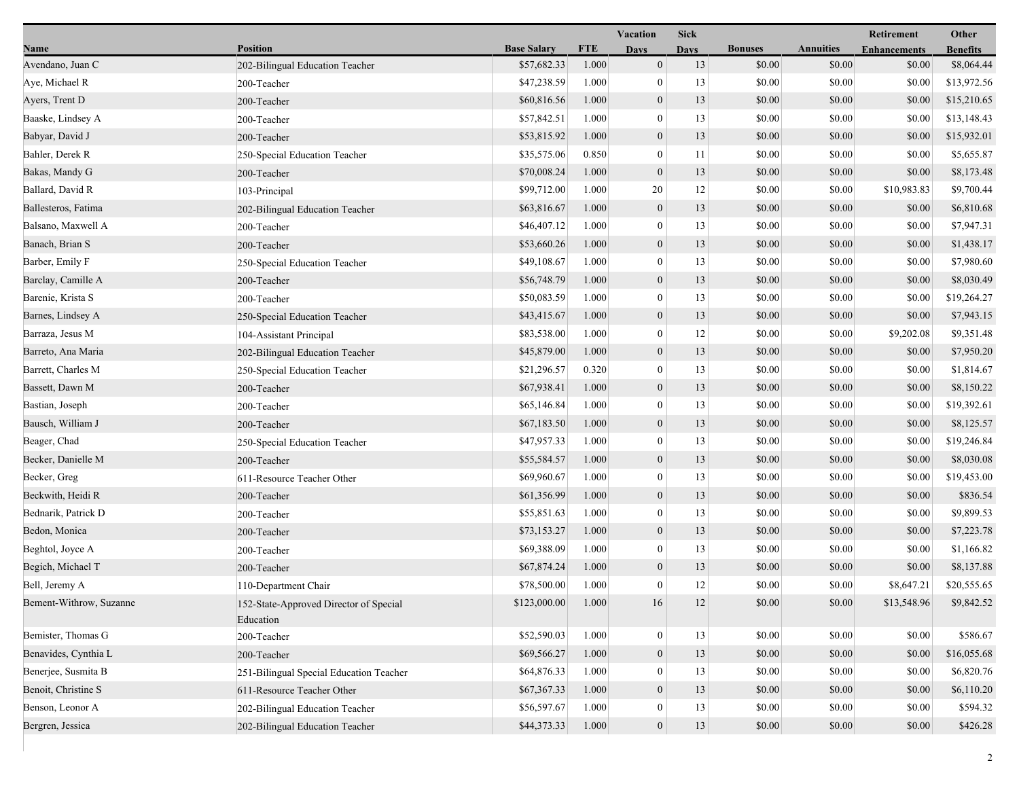|                         |                                                     |                    |            | <b>Sick</b><br>Vacation |             |                |                  | Retirement          | Other           |
|-------------------------|-----------------------------------------------------|--------------------|------------|-------------------------|-------------|----------------|------------------|---------------------|-----------------|
| Name                    | <b>Position</b>                                     | <b>Base Salary</b> | <b>FTE</b> | <b>Days</b>             | <b>Days</b> | <b>Bonuses</b> | <b>Annuities</b> | <b>Enhancements</b> | <b>Benefits</b> |
| Avendano, Juan C        | 202-Bilingual Education Teacher                     | \$57,682.33        | 1.000      | $\mathbf{0}$            | 13          | \$0.00         | \$0.00           | \$0.00              | \$8,064.44      |
| Aye, Michael R          | 200-Teacher                                         | \$47,238.59        | 1.000      | $\mathbf{0}$            | 13          | \$0.00         | \$0.00           | \$0.00              | \$13,972.56     |
| Ayers, Trent D          | 200-Teacher                                         | \$60,816.56        | 1.000      | $\boldsymbol{0}$        | 13          | \$0.00         | \$0.00           | \$0.00              | \$15,210.65     |
| Baaske, Lindsey A       | 200-Teacher                                         | \$57,842.51        | 1.000      | $\overline{0}$          | 13          | \$0.00         | \$0.00           | \$0.00              | \$13,148.43     |
| Babyar, David J         | 200-Teacher                                         | \$53,815.92        | 1.000      | $\boldsymbol{0}$        | 13          | \$0.00         | \$0.00           | \$0.00              | \$15,932.01     |
| Bahler, Derek R         | 250-Special Education Teacher                       | \$35,575.06        | 0.850      | $\mathbf{0}$            | 11          | \$0.00         | \$0.00           | \$0.00              | \$5,655.87      |
| Bakas, Mandy G          | 200-Teacher                                         | \$70,008.24        | 1.000      | $\mathbf{0}$            | 13          | \$0.00         | \$0.00           | \$0.00              | \$8,173.48      |
| Ballard, David R        | 103-Principal                                       | \$99,712.00        | 1.000      | 20                      | 12          | \$0.00         | \$0.00           | \$10,983.83         | \$9,700.44      |
| Ballesteros, Fatima     | 202-Bilingual Education Teacher                     | \$63,816.67        | 1.000      | $\boldsymbol{0}$        | 13          | \$0.00         | \$0.00           | \$0.00              | \$6,810.68      |
| Balsano, Maxwell A      | 200-Teacher                                         | \$46,407.12        | 1.000      | $\mathbf{0}$            | 13          | \$0.00         | \$0.00           | \$0.00              | \$7,947.31      |
| Banach, Brian S         | 200-Teacher                                         | \$53,660.26        | 1.000      | $\boldsymbol{0}$        | 13          | \$0.00         | \$0.00           | \$0.00              | \$1,438.17      |
| Barber, Emily F         | 250-Special Education Teacher                       | \$49,108.67        | 1.000      | $\mathbf{0}$            | 13          | \$0.00         | \$0.00           | \$0.00              | \$7,980.60      |
| Barclay, Camille A      | 200-Teacher                                         | \$56,748.79        | 1.000      | $\boldsymbol{0}$        | 13          | \$0.00         | \$0.00           | \$0.00              | \$8,030.49      |
| Barenie, Krista S       | 200-Teacher                                         | \$50,083.59        | 1.000      | $\mathbf{0}$            | 13          | \$0.00         | \$0.00           | \$0.00              | \$19,264.27     |
| Barnes, Lindsey A       | 250-Special Education Teacher                       | \$43,415.67        | 1.000      | $\boldsymbol{0}$        | 13          | \$0.00         | \$0.00           | \$0.00              | \$7,943.15      |
| Barraza, Jesus M        | 104-Assistant Principal                             | \$83,538.00        | 1.000      | $\overline{0}$          | 12          | \$0.00         | \$0.00           | \$9,202.08          | \$9,351.48      |
| Barreto, Ana Maria      | 202-Bilingual Education Teacher                     | \$45,879.00        | 1.000      | $\boldsymbol{0}$        | 13          | \$0.00         | \$0.00           | \$0.00              | \$7,950.20      |
| Barrett, Charles M      | 250-Special Education Teacher                       | \$21,296.57        | 0.320      | $\mathbf{0}$            | 13          | \$0.00         | \$0.00           | \$0.00              | \$1,814.67      |
| Bassett, Dawn M         | 200-Teacher                                         | \$67,938.41        | 1.000      | $\mathbf{0}$            | 13          | \$0.00         | \$0.00           | \$0.00              | \$8,150.22      |
| Bastian, Joseph         | 200-Teacher                                         | \$65,146.84        | 1.000      | $\mathbf{0}$            | 13          | \$0.00         | \$0.00           | \$0.00              | \$19,392.61     |
| Bausch, William J       | 200-Teacher                                         | \$67,183.50        | 1.000      | $\boldsymbol{0}$        | 13          | \$0.00         | \$0.00           | \$0.00              | \$8,125.57      |
| Beager, Chad            | 250-Special Education Teacher                       | \$47,957.33        | 1.000      | $\overline{0}$          | 13          | \$0.00         | \$0.00           | \$0.00              | \$19,246.84     |
| Becker, Danielle M      | 200-Teacher                                         | \$55,584.57        | 1.000      | $\boldsymbol{0}$        | 13          | \$0.00         | \$0.00           | \$0.00              | \$8,030.08      |
| Becker, Greg            | 611-Resource Teacher Other                          | \$69,960.67        | 1.000      | $\boldsymbol{0}$        | 13          | \$0.00         | \$0.00           | \$0.00              | \$19,453.00     |
| Beckwith, Heidi R       | 200-Teacher                                         | \$61,356.99        | 1.000      | $\mathbf{0}$            | 13          | \$0.00         | \$0.00           | \$0.00              | \$836.54        |
| Bednarik, Patrick D     | 200-Teacher                                         | \$55,851.63        | 1.000      | $\overline{0}$          | 13          | \$0.00         | \$0.00           | \$0.00              | \$9,899.53      |
| Bedon, Monica           | 200-Teacher                                         | \$73,153.27        | 1.000      | $\boldsymbol{0}$        | 13          | \$0.00         | \$0.00           | \$0.00              | \$7,223.78      |
| Beghtol, Joyce A        | 200-Teacher                                         | \$69,388.09        | 1.000      | $\mathbf{0}$            | 13          | \$0.00         | \$0.00           | \$0.00              | \$1,166.82      |
| Begich, Michael T       | 200-Teacher                                         | \$67,874.24        | 1.000      | $\mathbf{0}$            | 13          | \$0.00         | \$0.00           | \$0.00              | \$8,137.88      |
| Bell, Jeremy A          | 110-Department Chair                                | \$78,500.00        | 1.000      | $\overline{0}$          | 12          | \$0.00         | \$0.00           | \$8,647.21          | \$20,555.65     |
| Bement-Withrow, Suzanne | 152-State-Approved Director of Special<br>Education | \$123,000.00       | 1.000      | 16                      | 12          | \$0.00         | \$0.00           | \$13,548.96         | \$9,842.52      |
| Bemister, Thomas G      | 200-Teacher                                         | \$52,590.03        | 1.000      | $\mathbf{0}$            | 13          | \$0.00         | \$0.00           | \$0.00              | \$586.67        |
| Benavides, Cynthia L    | 200-Teacher                                         | \$69,566.27        | 1.000      | $\boldsymbol{0}$        | 13          | \$0.00         | \$0.00           | \$0.00              | \$16,055.68     |
| Benerjee, Susmita B     | 251-Bilingual Special Education Teacher             | \$64,876.33        | 1.000      | $\mathbf{0}$            | 13          | \$0.00         | \$0.00           | \$0.00              | \$6,820.76      |
| Benoit, Christine S     | 611-Resource Teacher Other                          | \$67,367.33        | 1.000      | $\boldsymbol{0}$        | 13          | \$0.00         | \$0.00           | \$0.00              | \$6,110.20      |
| Benson, Leonor A        | 202-Bilingual Education Teacher                     | \$56,597.67        | 1.000      | $\mathbf{0}$            | 13          | \$0.00         | \$0.00           | \$0.00              | \$594.32        |
| Bergren, Jessica        | 202-Bilingual Education Teacher                     | \$44,373.33        | 1.000      | $\boldsymbol{0}$        | $13$        | \$0.00         | \$0.00           | \$0.00              | \$426.28        |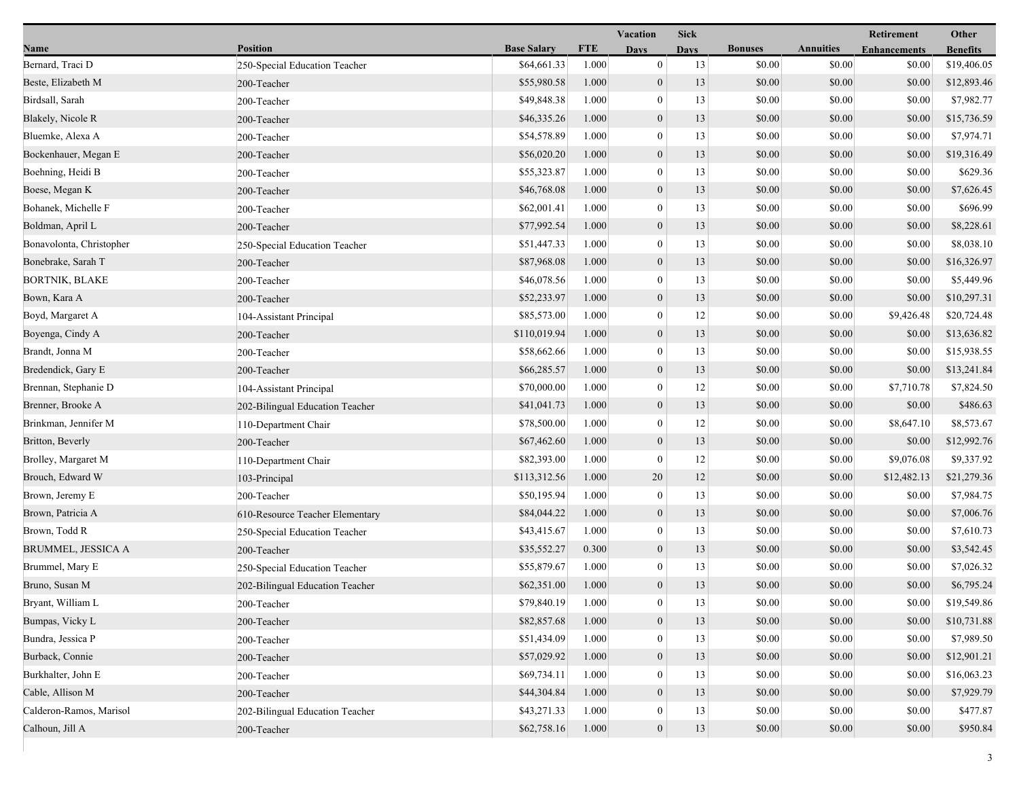|                          |                                 |                    |            | Vacation         | <b>Sick</b> |                |                  | Retirement          | Other           |
|--------------------------|---------------------------------|--------------------|------------|------------------|-------------|----------------|------------------|---------------------|-----------------|
| Name                     | <b>Position</b>                 | <b>Base Salary</b> | <b>FTE</b> | <b>Days</b>      | <b>Days</b> | <b>Bonuses</b> | <b>Annuities</b> | <b>Enhancements</b> | <b>Benefits</b> |
| Bernard, Traci D         | 250-Special Education Teacher   | \$64,661.33        | 1.000      | $\overline{0}$   | 13          | \$0.00         | \$0.00           | \$0.00              | \$19,406.05     |
| Beste, Elizabeth M       | 200-Teacher                     | \$55,980.58        | 1.000      | $\mathbf{0}$     | 13          | \$0.00         | \$0.00           | \$0.00              | \$12,893.46     |
| Birdsall, Sarah          | 200-Teacher                     | \$49,848.38        | 1.000      | $\boldsymbol{0}$ | 13          | \$0.00         | \$0.00           | \$0.00              | \$7,982.77      |
| Blakely, Nicole R        | 200-Teacher                     | \$46,335.26        | 1.000      | $\boldsymbol{0}$ | 13          | \$0.00         | \$0.00           | \$0.00              | \$15,736.59     |
| Bluemke, Alexa A         | 200-Teacher                     | \$54,578.89        | 1.000      | $\mathbf{0}$     | 13          | \$0.00         | \$0.00           | \$0.00              | \$7,974.71      |
| Bockenhauer, Megan E     | 200-Teacher                     | \$56,020.20        | 1.000      | $\boldsymbol{0}$ | 13          | \$0.00         | \$0.00           | \$0.00              | \$19,316.49     |
| Boehning, Heidi B        | 200-Teacher                     | \$55,323.87        | 1.000      | $\mathbf{0}$     | 13          | \$0.00         | \$0.00           | \$0.00              | \$629.36        |
| Boese, Megan K           | 200-Teacher                     | \$46,768.08        | 1.000      | $\mathbf{0}$     | 13          | \$0.00         | \$0.00           | \$0.00              | \$7,626.45      |
| Bohanek, Michelle F      | 200-Teacher                     | \$62,001.41        | 1.000      | $\mathbf{0}$     | 13          | \$0.00         | \$0.00           | \$0.00              | \$696.99        |
| Boldman, April L         | 200-Teacher                     | \$77,992.54        | 1.000      | $\mathbf{0}$     | 13          | \$0.00         | \$0.00           | \$0.00              | \$8,228.61      |
| Bonavolonta, Christopher | 250-Special Education Teacher   | \$51,447.33        | 1.000      | $\mathbf{0}$     | 13          | \$0.00         | \$0.00           | \$0.00              | \$8,038.10      |
| Bonebrake, Sarah T       | 200-Teacher                     | \$87,968.08        | 1.000      | $\mathbf{0}$     | 13          | \$0.00         | \$0.00           | \$0.00              | \$16,326.97     |
| <b>BORTNIK, BLAKE</b>    | 200-Teacher                     | \$46,078.56        | 1.000      | $\mathbf{0}$     | 13          | \$0.00         | \$0.00           | \$0.00              | \$5,449.96      |
| Bown, Kara A             | 200-Teacher                     | \$52,233.97        | 1.000      | $\mathbf{0}$     | 13          | \$0.00         | \$0.00           | \$0.00              | \$10,297.31     |
| Boyd, Margaret A         | 104-Assistant Principal         | \$85,573.00        | 1.000      | $\boldsymbol{0}$ | 12          | \$0.00         | \$0.00           | \$9,426.48          | \$20,724.48     |
| Boyenga, Cindy A         | 200-Teacher                     | \$110,019.94       | 1.000      | $\mathbf{0}$     | 13          | \$0.00         | \$0.00           | \$0.00              | \$13,636.82     |
| Brandt, Jonna M          | 200-Teacher                     | \$58,662.66        | 1.000      | $\mathbf{0}$     | 13          | \$0.00         | \$0.00           | \$0.00              | \$15,938.55     |
| Bredendick, Gary E       | 200-Teacher                     | \$66,285.57        | 1.000      | $\mathbf{0}$     | 13          | \$0.00         | \$0.00           | \$0.00              | \$13,241.84     |
| Brennan, Stephanie D     | 104-Assistant Principal         | \$70,000.00        | 1.000      | $\mathbf{0}$     | 12          | \$0.00         | \$0.00           | \$7,710.78          | \$7,824.50      |
| Brenner, Brooke A        | 202-Bilingual Education Teacher | \$41,041.73        | 1.000      | $\mathbf{0}$     | 13          | \$0.00         | \$0.00           | \$0.00              | \$486.63        |
| Brinkman, Jennifer M     | 110-Department Chair            | \$78,500.00        | 1.000      | $\boldsymbol{0}$ | 12          | \$0.00         | \$0.00           | \$8,647.10          | \$8,573.67      |
| Britton, Beverly         | 200-Teacher                     | \$67,462.60        | 1.000      | $\mathbf{0}$     | 13          | \$0.00         | \$0.00           | \$0.00              | \$12,992.76     |
| Brolley, Margaret M      | 110-Department Chair            | \$82,393.00        | 1.000      | $\mathbf{0}$     | 12          | \$0.00         | \$0.00           | \$9,076.08          | \$9,337.92      |
| Brouch, Edward W         | 103-Principal                   | \$113,312.56       | 1.000      | 20               | 12          | \$0.00         | \$0.00           | \$12,482.13         | \$21,279.36     |
| Brown, Jeremy E          | 200-Teacher                     | \$50,195.94        | 1.000      | $\bf{0}$         | 13          | \$0.00         | \$0.00           | \$0.00              | \$7,984.75      |
| Brown, Patricia A        | 610-Resource Teacher Elementary | \$84,044.22        | 1.000      | $\mathbf{0}$     | 13          | \$0.00         | \$0.00           | \$0.00              | \$7,006.76      |
| Brown, Todd R            | 250-Special Education Teacher   | \$43,415.67        | 1.000      | $\overline{0}$   | 13          | \$0.00         | \$0.00           | \$0.00              | \$7,610.73      |
| BRUMMEL, JESSICA A       | 200-Teacher                     | \$35,552.27        | 0.300      | $\boldsymbol{0}$ | 13          | \$0.00         | \$0.00           | \$0.00              | \$3,542.45      |
| Brummel, Mary E          | 250-Special Education Teacher   | \$55,879.67        | 1.000      | $\mathbf{0}$     | 13          | \$0.00         | \$0.00           | \$0.00              | \$7,026.32      |
| Bruno, Susan M           | 202-Bilingual Education Teacher | \$62,351.00        | 1.000      | $\overline{0}$   | 13          | \$0.00         | \$0.00           | \$0.00              | \$6,795.24      |
| Bryant, William L        | 200-Teacher                     | \$79,840.19        | 1.000      | $\theta$         | 13          | \$0.00         | \$0.00           | \$0.00              | \$19,549.86     |
| Bumpas, Vicky L          | 200-Teacher                     | \$82,857.68        | 1.000      | $\boldsymbol{0}$ | 13          | \$0.00         | \$0.00           | \$0.00              | \$10,731.88     |
| Bundra, Jessica P        | 200-Teacher                     | \$51,434.09        | 1.000      | $\mathbf{0}$     | 13          | \$0.00         | \$0.00           | \$0.00              | \$7,989.50      |
| Burback, Connie          | 200-Teacher                     | \$57,029.92        | 1.000      | $\boldsymbol{0}$ | 13          | \$0.00         | \$0.00           | \$0.00              | \$12,901.21     |
| Burkhalter, John E       | 200-Teacher                     | \$69,734.11        | 1.000      | $\theta$         | 13          | \$0.00         | \$0.00           | \$0.00              | \$16,063.23     |
| Cable, Allison M         | 200-Teacher                     | \$44,304.84        | 1.000      | $\mathbf{0}$     | 13          | \$0.00         | \$0.00           | \$0.00              | \$7,929.79      |
| Calderon-Ramos, Marisol  | 202-Bilingual Education Teacher | \$43,271.33        | 1.000      | $\boldsymbol{0}$ | 13          | \$0.00         | \$0.00           | \$0.00              | \$477.87        |
| Calhoun, Jill A          | 200-Teacher                     | \$62,758.16        | 1.000      | $\boldsymbol{0}$ | 13          | \$0.00         | \$0.00           | \$0.00              | \$950.84        |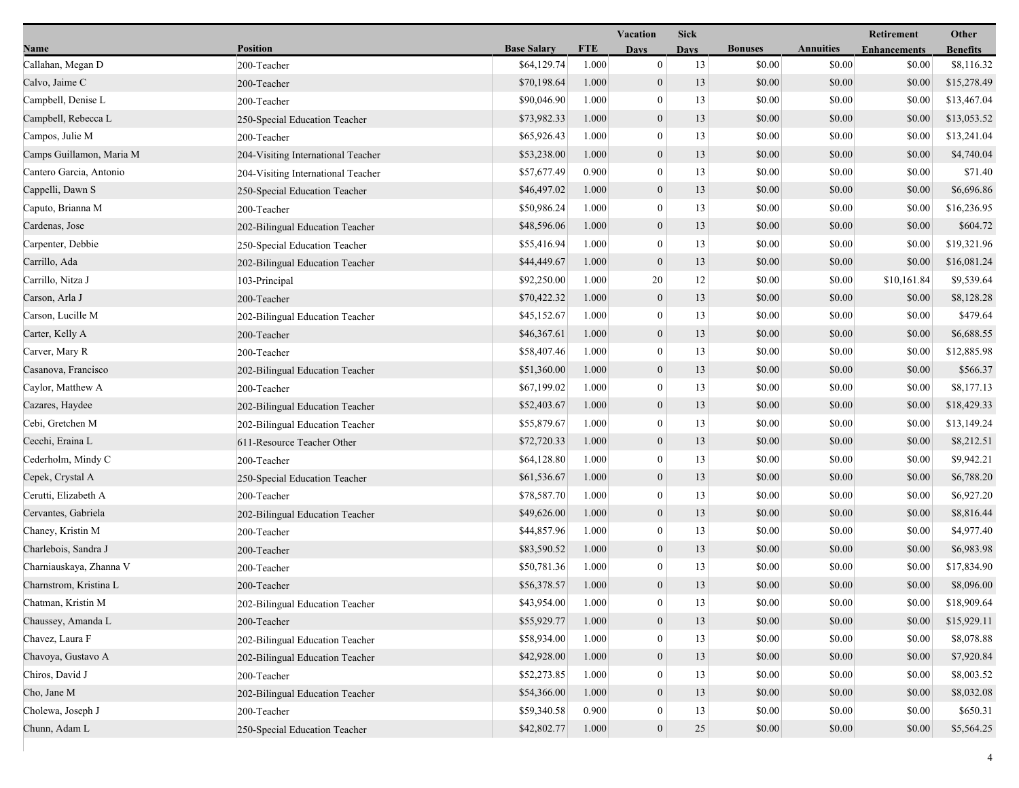|                          |                                    |                    |            | Vacation         | <b>Sick</b> |                |                  | Retirement          | Other           |
|--------------------------|------------------------------------|--------------------|------------|------------------|-------------|----------------|------------------|---------------------|-----------------|
| Name                     | <b>Position</b>                    | <b>Base Salary</b> | <b>FTE</b> | <b>Days</b>      | <b>Days</b> | <b>Bonuses</b> | <b>Annuities</b> | <b>Enhancements</b> | <b>Benefits</b> |
| Callahan, Megan D        | 200-Teacher                        | \$64,129.74        | 1.000      | $\overline{0}$   | 13          | \$0.00         | \$0.00           | \$0.00              | \$8,116.32      |
| Calvo, Jaime C           | 200-Teacher                        | \$70,198.64        | 1.000      | $\boldsymbol{0}$ | 13          | \$0.00         | \$0.00           | \$0.00              | \$15,278.49     |
| Campbell, Denise L       | 200-Teacher                        | \$90,046.90        | 1.000      | $\mathbf{0}$     | 13          | \$0.00         | \$0.00           | \$0.00              | \$13,467.04     |
| Campbell, Rebecca L      | 250-Special Education Teacher      | \$73,982.33        | 1.000      | $\mathbf{0}$     | 13          | \$0.00         | \$0.00           | \$0.00              | \$13,053.52     |
| Campos, Julie M          | 200-Teacher                        | \$65,926.43        | 1.000      | $\mathbf{0}$     | 13          | \$0.00         | \$0.00           | \$0.00              | \$13,241.04     |
| Camps Guillamon, Maria M | 204-Visiting International Teacher | \$53,238.00        | 1.000      | $\mathbf{0}$     | 13          | \$0.00         | \$0.00           | \$0.00              | \$4,740.04      |
| Cantero Garcia, Antonio  | 204-Visiting International Teacher | \$57,677.49        | 0.900      | $\mathbf{0}$     | 13          | \$0.00         | \$0.00           | \$0.00              | \$71.40         |
| Cappelli, Dawn S         | 250-Special Education Teacher      | \$46,497.02        | 1.000      | $\mathbf{0}$     | 13          | \$0.00         | \$0.00           | \$0.00              | \$6,696.86      |
| Caputo, Brianna M        | 200-Teacher                        | \$50,986.24        | 1.000      | $\boldsymbol{0}$ | 13          | \$0.00         | \$0.00           | \$0.00              | \$16,236.95     |
| Cardenas, Jose           | 202-Bilingual Education Teacher    | \$48,596.06        | 1.000      | $\mathbf{0}$     | 13          | \$0.00         | \$0.00           | \$0.00              | \$604.72        |
| Carpenter, Debbie        | 250-Special Education Teacher      | \$55,416.94        | 1.000      | $\mathbf{0}$     | 13          | \$0.00         | \$0.00           | \$0.00              | \$19,321.96     |
| Carrillo, Ada            | 202-Bilingual Education Teacher    | \$44,449.67        | 1.000      | $\mathbf{0}$     | 13          | \$0.00         | \$0.00           | \$0.00              | \$16,081.24     |
| Carrillo, Nitza J        | 103-Principal                      | \$92,250.00        | 1.000      | 20               | 12          | \$0.00         | \$0.00           | \$10,161.84         | \$9,539.64      |
| Carson, Arla J           | 200-Teacher                        | \$70,422.32        | 1.000      | $\mathbf{0}$     | 13          | \$0.00         | \$0.00           | \$0.00              | \$8,128.28      |
| Carson, Lucille M        | 202-Bilingual Education Teacher    | \$45,152.67        | 1.000      | $\mathbf{0}$     | 13          | \$0.00         | \$0.00           | \$0.00              | \$479.64        |
| Carter, Kelly A          | 200-Teacher                        | \$46,367.61        | 1.000      | $\mathbf{0}$     | 13          | \$0.00         | \$0.00           | \$0.00              | \$6,688.55      |
| Carver, Mary R           | 200-Teacher                        | \$58,407.46        | 1.000      | $\mathbf{0}$     | 13          | \$0.00         | \$0.00           | \$0.00              | \$12,885.98     |
| Casanova, Francisco      | 202-Bilingual Education Teacher    | \$51,360.00        | 1.000      | $\mathbf{0}$     | 13          | \$0.00         | \$0.00           | \$0.00              | \$566.37        |
| Caylor, Matthew A        | 200-Teacher                        | \$67,199.02        | 1.000      | $\mathbf{0}$     | 13          | \$0.00         | \$0.00           | \$0.00              | \$8,177.13      |
| Cazares, Haydee          | 202-Bilingual Education Teacher    | \$52,403.67        | 1.000      | $\mathbf{0}$     | 13          | \$0.00         | \$0.00           | \$0.00              | \$18,429.33     |
| Cebi, Gretchen M         | 202-Bilingual Education Teacher    | \$55,879.67        | 1.000      | $\mathbf{0}$     | 13          | \$0.00         | \$0.00           | \$0.00              | \$13,149.24     |
| Cecchi, Eraina L         | 611-Resource Teacher Other         | \$72,720.33        | 1.000      | $\boldsymbol{0}$ | 13          | \$0.00         | \$0.00           | \$0.00              | \$8,212.51      |
| Cederholm, Mindy C       | 200-Teacher                        | \$64,128.80        | 1.000      | $\mathbf{0}$     | 13          | \$0.00         | \$0.00           | \$0.00              | \$9,942.21      |
| Cepek, Crystal A         | 250-Special Education Teacher      | \$61,536.67        | 1.000      | $\mathbf{0}$     | 13          | \$0.00         | \$0.00           | \$0.00              | \$6,788.20      |
| Cerutti, Elizabeth A     | 200-Teacher                        | \$78,587.70        | 1.000      | $\mathbf{0}$     | 13          | \$0.00         | \$0.00           | \$0.00              | \$6,927.20      |
| Cervantes, Gabriela      | 202-Bilingual Education Teacher    | \$49,626.00        | 1.000      | $\mathbf{0}$     | 13          | \$0.00         | \$0.00           | \$0.00              | \$8,816.44      |
| Chaney, Kristin M        | 200-Teacher                        | \$44,857.96        | 1.000      | $\mathbf{0}$     | 13          | \$0.00         | \$0.00           | \$0.00              | \$4,977.40      |
| Charlebois, Sandra J     | 200-Teacher                        | \$83,590.52        | 1.000      | $\boldsymbol{0}$ | 13          | \$0.00         | \$0.00           | \$0.00              | \$6,983.98      |
| Charniauskaya, Zhanna V  | 200-Teacher                        | \$50,781.36        | 1.000      | $\mathbf{0}$     | 13          | \$0.00         | \$0.00           | \$0.00              | \$17,834.90     |
| Charnstrom, Kristina L   | 200-Teacher                        | \$56,378.57        | 1.000      | $\overline{0}$   | 13          | \$0.00         | \$0.00           | \$0.00              | \$8,096.00      |
| Chatman, Kristin M       | 202-Bilingual Education Teacher    | \$43,954.00        | 1.000      | $\mathbf{0}$     | 13          | \$0.00         | \$0.00           | \$0.00              | \$18,909.64     |
| Chaussey, Amanda L       | 200-Teacher                        | \$55,929.77        | 1.000      | $\boldsymbol{0}$ | 13          | \$0.00         | \$0.00           | \$0.00              | \$15,929.11     |
| Chavez, Laura F          | 202-Bilingual Education Teacher    | \$58,934.00        | 1.000      | $\mathbf{0}$     | 13          | \$0.00         | \$0.00           | \$0.00              | \$8,078.88      |
| Chavoya, Gustavo A       | 202-Bilingual Education Teacher    | \$42,928.00        | 1.000      | $\boldsymbol{0}$ | 13          | \$0.00         | \$0.00           | \$0.00              | \$7,920.84      |
| Chiros, David J          | 200-Teacher                        | \$52,273.85        | 1.000      | $\theta$         | 13          | \$0.00         | \$0.00           | \$0.00              | \$8,003.52      |
| Cho, Jane M              | 202-Bilingual Education Teacher    | \$54,366.00        | 1.000      | $\mathbf{0}$     | 13          | \$0.00         | \$0.00           | \$0.00              | \$8,032.08      |
| Cholewa, Joseph J        | 200-Teacher                        | \$59,340.58        | 0.900      | $\boldsymbol{0}$ | 13          | \$0.00         | \$0.00           | \$0.00              | \$650.31        |
| Chunn, Adam L            | 250-Special Education Teacher      | \$42,802.77        | 1.000      | $\boldsymbol{0}$ | 25          | \$0.00         | \$0.00           | \$0.00              | \$5,564.25      |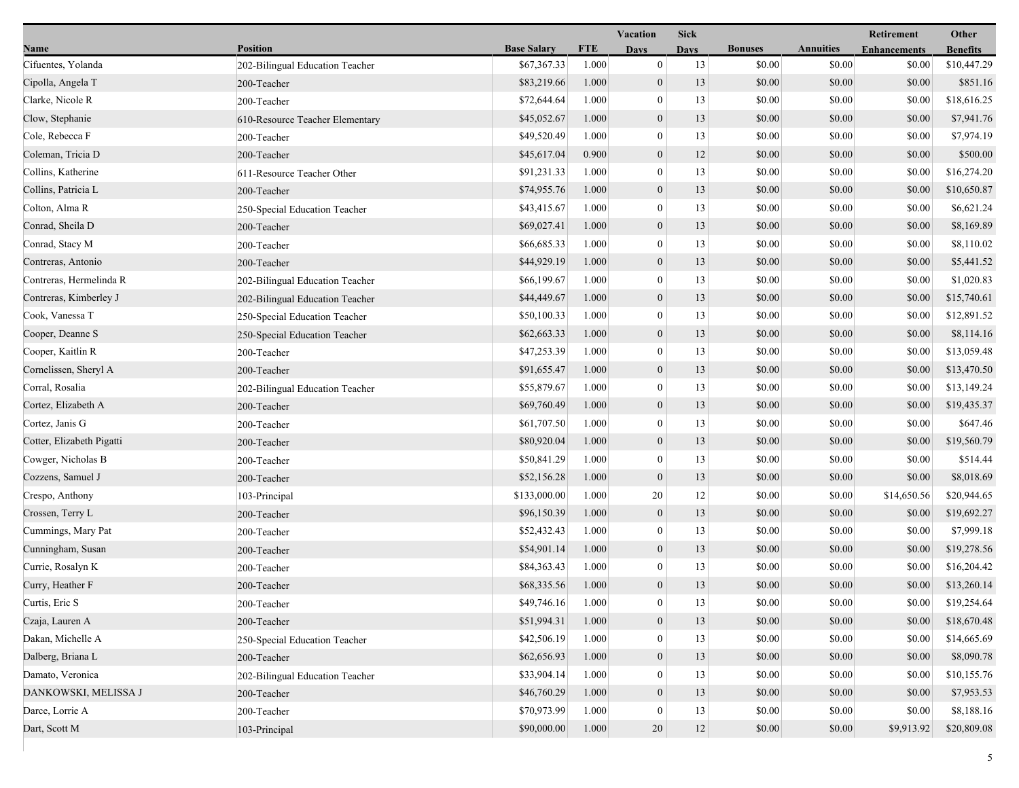|                           |                                 |                    |            |                  |             |                |                  | Retirement          | Other           |  |
|---------------------------|---------------------------------|--------------------|------------|------------------|-------------|----------------|------------------|---------------------|-----------------|--|
| Name                      | <b>Position</b>                 | <b>Base Salary</b> | <b>FTE</b> | <b>Days</b>      | <b>Days</b> | <b>Bonuses</b> | <b>Annuities</b> | <b>Enhancements</b> | <b>Benefits</b> |  |
| Cifuentes, Yolanda        | 202-Bilingual Education Teacher | \$67,367.33        | 1.000      | $\mathbf{0}$     | 13          | \$0.00         | \$0.00           | \$0.00              | \$10,447.29     |  |
| Cipolla, Angela T         | 200-Teacher                     | \$83,219.66        | 1.000      | $\mathbf{0}$     | 13          | \$0.00         | \$0.00           | \$0.00              | \$851.16        |  |
| Clarke, Nicole R          | 200-Teacher                     | \$72,644.64        | 1.000      | $\bf{0}$         | 13          | \$0.00         | \$0.00           | \$0.00              | \$18,616.25     |  |
| Clow, Stephanie           | 610-Resource Teacher Elementary | \$45,052.67        | 1.000      | $\boldsymbol{0}$ | 13          | \$0.00         | \$0.00           | \$0.00              | \$7,941.76      |  |
| Cole, Rebecca F           | 200-Teacher                     | \$49,520.49        | 1.000      | $\bf{0}$         | 13          | \$0.00         | \$0.00           | \$0.00              | \$7,974.19      |  |
| Coleman, Tricia D         | 200-Teacher                     | \$45,617.04        | 0.900      | $\mathbf{0}$     | 12          | \$0.00         | \$0.00           | \$0.00              | \$500.00        |  |
| Collins, Katherine        | 611-Resource Teacher Other      | \$91,231.33        | 1.000      | $\mathbf{0}$     | 13          | \$0.00         | \$0.00           | \$0.00              | \$16,274.20     |  |
| Collins, Patricia L       | 200-Teacher                     | \$74,955.76        | 1.000      | $\overline{0}$   | 13          | \$0.00         | \$0.00           | \$0.00              | \$10,650.87     |  |
| Colton, Alma R            | 250-Special Education Teacher   | \$43,415.67        | 1.000      | $\mathbf{0}$     | 13          | \$0.00         | \$0.00           | \$0.00              | \$6,621.24      |  |
| Conrad, Sheila D          | 200-Teacher                     | \$69,027.41        | 1.000      | $\boldsymbol{0}$ | 13          | \$0.00         | \$0.00           | \$0.00              | \$8,169.89      |  |
| Conrad, Stacy M           | 200-Teacher                     | \$66,685.33        | 1.000      | $\bf{0}$         | 13          | \$0.00         | \$0.00           | \$0.00              | \$8,110.02      |  |
| Contreras, Antonio        | 200-Teacher                     | \$44,929.19        | 1.000      | $\mathbf{0}$     | 13          | \$0.00         | \$0.00           | \$0.00              | \$5,441.52      |  |
| Contreras, Hermelinda R   | 202-Bilingual Education Teacher | \$66,199.67        | 1.000      | $\mathbf{0}$     | 13          | \$0.00         | \$0.00           | \$0.00              | \$1,020.83      |  |
| Contreras, Kimberley J    | 202-Bilingual Education Teacher | \$44,449.67        | 1.000      | $\overline{0}$   | 13          | \$0.00         | \$0.00           | \$0.00              | \$15,740.61     |  |
| Cook, Vanessa T           | 250-Special Education Teacher   | \$50,100.33        | 1.000      | $\mathbf{0}$     | 13          | \$0.00         | \$0.00           | \$0.00              | \$12,891.52     |  |
| Cooper, Deanne S          | 250-Special Education Teacher   | \$62,663.33        | 1.000      | $\boldsymbol{0}$ | 13          | \$0.00         | \$0.00           | \$0.00              | \$8,114.16      |  |
| Cooper, Kaitlin R         | 200-Teacher                     | \$47,253.39        | 1.000      | $\bf{0}$         | 13          | \$0.00         | \$0.00           | \$0.00              | \$13,059.48     |  |
| Cornelissen, Sheryl A     | 200-Teacher                     | \$91,655.47        | 1.000      | $\overline{0}$   | 13          | \$0.00         | \$0.00           | \$0.00              | \$13,470.50     |  |
| Corral, Rosalia           | 202-Bilingual Education Teacher | \$55,879.67        | 1.000      | $\overline{0}$   | 13          | \$0.00         | \$0.00           | \$0.00              | \$13,149.24     |  |
| Cortez, Elizabeth A       | 200-Teacher                     | \$69,760.49        | 1.000      | $\boldsymbol{0}$ | 13          | \$0.00         | \$0.00           | \$0.00              | \$19,435.37     |  |
| Cortez, Janis G           | 200-Teacher                     | \$61,707.50        | 1.000      | $\boldsymbol{0}$ | 13          | \$0.00         | \$0.00           | \$0.00              | \$647.46        |  |
| Cotter, Elizabeth Pigatti | 200-Teacher                     | \$80,920.04        | 1.000      | $\mathbf{0}$     | 13          | \$0.00         | \$0.00           | \$0.00              | \$19,560.79     |  |
| Cowger, Nicholas B        | 200-Teacher                     | \$50,841.29        | 1.000      | $\bf{0}$         | 13          | \$0.00         | \$0.00           | \$0.00              | \$514.44        |  |
| Cozzens, Samuel J         | 200-Teacher                     | \$52,156.28        | 1.000      | $\mathbf{0}$     | 13          | \$0.00         | \$0.00           | \$0.00              | \$8,018.69      |  |
| Crespo, Anthony           | 103-Principal                   | \$133,000.00       | 1.000      | 20               | 12          | \$0.00         | \$0.00           | \$14,650.56         | \$20,944.65     |  |
| Crossen, Terry L          | 200-Teacher                     | \$96,150.39        | 1.000      | $\boldsymbol{0}$ | 13          | \$0.00         | \$0.00           | \$0.00              | \$19,692.27     |  |
| Cummings, Mary Pat        | 200-Teacher                     | \$52,432.43        | 1.000      | $\boldsymbol{0}$ | 13          | \$0.00         | \$0.00           | \$0.00              | \$7,999.18      |  |
| Cunningham, Susan         | 200-Teacher                     | \$54,901.14        | 1.000      | $\mathbf{0}$     | 13          | \$0.00         | \$0.00           | \$0.00              | \$19,278.56     |  |
| Currie, Rosalyn K         | 200-Teacher                     | \$84,363.43        | 1.000      | $\bf{0}$         | 13          | \$0.00         | \$0.00           | \$0.00              | \$16,204.42     |  |
| Curry, Heather F          | 200-Teacher                     | \$68,335.56        | 1.000      | $\overline{0}$   | 13          | \$0.00         | \$0.00           | \$0.00              | \$13,260.14     |  |
| Curtis, Eric S.           | 200-Teacher                     | \$49,746.16        | 1.000      | $\bf{0}$         | 13          | \$0.00         | \$0.00           | \$0.00              | \$19,254.64     |  |
| Czaja, Lauren A           | 200-Teacher                     | \$51,994.31        | 1.000      | $\boldsymbol{0}$ | 13          | \$0.00         | \$0.00           | \$0.00              | \$18,670.48     |  |
| Dakan, Michelle A         | 250-Special Education Teacher   | \$42,506.19        | 1.000      | $\overline{0}$   | 13          | \$0.00         | \$0.00           | \$0.00              | \$14,665.69     |  |
| Dalberg, Briana L         | 200-Teacher                     | \$62,656.93        | 1.000      | $\theta$         | 13          | \$0.00         | \$0.00           | \$0.00              | \$8,090.78      |  |
| Damato, Veronica          | 202-Bilingual Education Teacher | \$33,904.14        | 1.000      | $\overline{0}$   | 13          | \$0.00         | \$0.00           | \$0.00              | \$10,155.76     |  |
| DANKOWSKI, MELISSA J      | 200-Teacher                     | \$46,760.29        | 1.000      | $\overline{0}$   | 13          | \$0.00         | \$0.00           | \$0.00              | \$7,953.53      |  |
| Darce, Lorrie A           | 200-Teacher                     | \$70,973.99        | 1.000      | $\theta$         | 13          | \$0.00         | \$0.00           | \$0.00              | \$8,188.16      |  |
| Dart, Scott M             | 103-Principal                   | \$90,000.00        | 1.000      | 20               | $12 \,$     | \$0.00         | \$0.00           | \$9,913.92          | \$20,809.08     |  |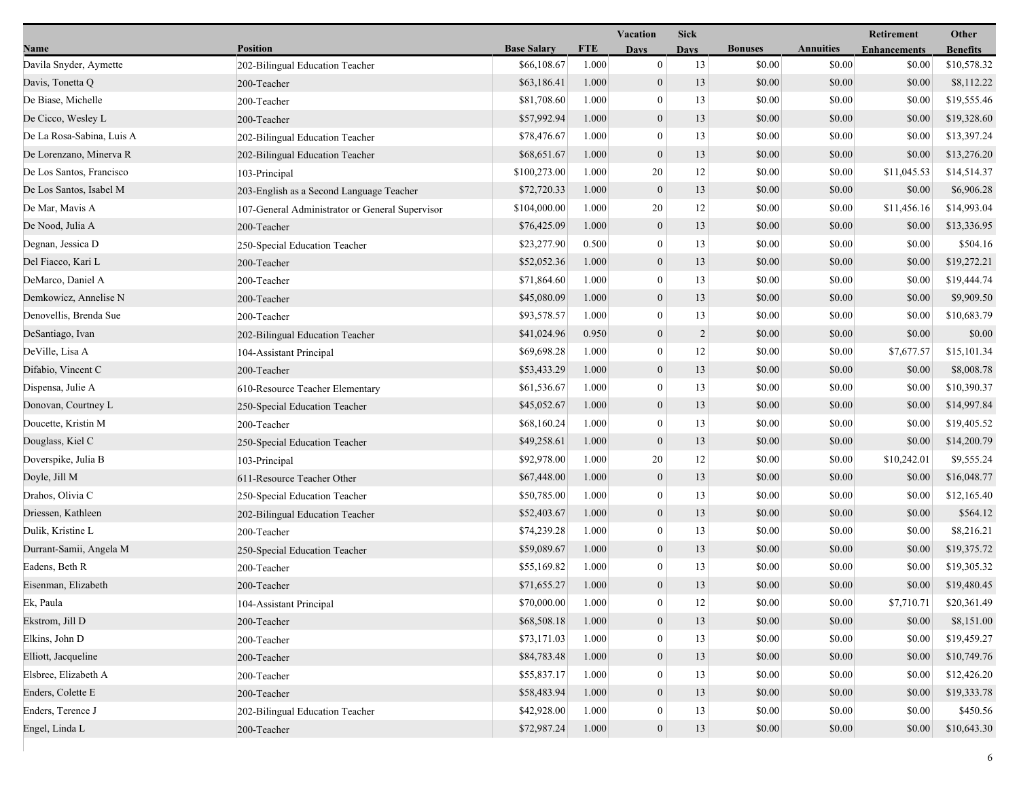|                           |                                                 |                    | Vacation   |                  | <b>Sick</b>    |                |                  | Retirement          | Other           |  |
|---------------------------|-------------------------------------------------|--------------------|------------|------------------|----------------|----------------|------------------|---------------------|-----------------|--|
| Name                      | <b>Position</b>                                 | <b>Base Salary</b> | <b>FTE</b> | <b>Days</b>      | <b>Days</b>    | <b>Bonuses</b> | <b>Annuities</b> | <b>Enhancements</b> | <b>Benefits</b> |  |
| Davila Snyder, Aymette    | 202-Bilingual Education Teacher                 | \$66,108.67        | 1.000      | $\mathbf{0}$     | 13             | \$0.00         | \$0.00           | \$0.00              | \$10,578.32     |  |
| Davis, Tonetta Q          | 200-Teacher                                     | \$63,186.41        | 1.000      | $\boldsymbol{0}$ | 13             | \$0.00         | \$0.00           | \$0.00              | \$8,112.22      |  |
| De Biase, Michelle        | 200-Teacher                                     | \$81,708.60        | 1.000      | $\boldsymbol{0}$ | 13             | \$0.00         | \$0.00           | \$0.00              | \$19,555.46     |  |
| De Cicco, Wesley L        | 200-Teacher                                     | \$57,992.94        | 1.000      | $\boldsymbol{0}$ | 13             | \$0.00         | \$0.00           | \$0.00              | \$19,328.60     |  |
| De La Rosa-Sabina, Luis A | 202-Bilingual Education Teacher                 | \$78,476.67        | 1.000      | $\boldsymbol{0}$ | 13             | \$0.00         | \$0.00           | \$0.00              | \$13,397.24     |  |
| De Lorenzano, Minerva R   | 202-Bilingual Education Teacher                 | \$68,651.67        | 1.000      | $\boldsymbol{0}$ | 13             | \$0.00         | \$0.00           | \$0.00              | \$13,276.20     |  |
| De Los Santos, Francisco  | 103-Principal                                   | \$100,273.00       | 1.000      | 20               | 12             | \$0.00         | \$0.00           | \$11,045.53         | \$14,514.37     |  |
| De Los Santos, Isabel M   | 203-English as a Second Language Teacher        | \$72,720.33        | 1.000      | $\boldsymbol{0}$ | 13             | \$0.00         | \$0.00           | \$0.00              | \$6,906.28      |  |
| De Mar, Mavis A           | 107-General Administrator or General Supervisor | \$104,000.00       | 1.000      | 20               | 12             | \$0.00         | \$0.00           | \$11,456.16         | \$14,993.04     |  |
| De Nood, Julia A          | 200-Teacher                                     | \$76,425.09        | 1.000      | $\boldsymbol{0}$ | 13             | \$0.00         | \$0.00           | \$0.00              | \$13,336.95     |  |
| Degnan, Jessica D         | 250-Special Education Teacher                   | \$23,277.90        | 0.500      | $\boldsymbol{0}$ | 13             | \$0.00         | \$0.00           | \$0.00              | \$504.16        |  |
| Del Fiacco, Kari L        | 200-Teacher                                     | \$52,052.36        | 1.000      | $\boldsymbol{0}$ | 13             | \$0.00         | \$0.00           | \$0.00              | \$19,272.21     |  |
| DeMarco, Daniel A         | 200-Teacher                                     | \$71,864.60        | 1.000      | $\boldsymbol{0}$ | 13             | \$0.00         | \$0.00           | \$0.00              | \$19,444.74     |  |
| Demkowicz, Annelise N     | 200-Teacher                                     | \$45,080.09        | 1.000      | $\boldsymbol{0}$ | 13             | \$0.00         | \$0.00           | \$0.00              | \$9,909.50      |  |
| Denovellis, Brenda Sue    | 200-Teacher                                     | \$93,578.57        | 1.000      | $\boldsymbol{0}$ | 13             | \$0.00         | \$0.00           | \$0.00              | \$10,683.79     |  |
| DeSantiago, Ivan          | 202-Bilingual Education Teacher                 | \$41,024.96        | 0.950      | $\boldsymbol{0}$ | $\overline{2}$ | \$0.00         | \$0.00           | \$0.00              | \$0.00          |  |
| DeVille, Lisa A           | 104-Assistant Principal                         | \$69,698.28        | 1.000      | $\boldsymbol{0}$ | 12             | \$0.00         | \$0.00           | \$7,677.57          | \$15,101.34     |  |
| Difabio, Vincent C        | 200-Teacher                                     | \$53,433.29        | 1.000      | $\boldsymbol{0}$ | 13             | \$0.00         | \$0.00           | \$0.00              | \$8,008.78      |  |
| Dispensa, Julie A         | 610-Resource Teacher Elementary                 | \$61,536.67        | 1.000      | $\boldsymbol{0}$ | 13             | \$0.00         | \$0.00           | \$0.00              | \$10,390.37     |  |
| Donovan, Courtney L       | 250-Special Education Teacher                   | \$45,052.67        | 1.000      | $\boldsymbol{0}$ | 13             | \$0.00         | \$0.00           | \$0.00              | \$14,997.84     |  |
| Doucette, Kristin M       | 200-Teacher                                     | \$68,160.24        | 1.000      | $\boldsymbol{0}$ | 13             | \$0.00         | \$0.00           | \$0.00              | \$19,405.52     |  |
| Douglass, Kiel C          | 250-Special Education Teacher                   | \$49,258.61        | 1.000      | $\boldsymbol{0}$ | 13             | \$0.00         | \$0.00           | \$0.00              | \$14,200.79     |  |
| Doverspike, Julia B       | 103-Principal                                   | \$92,978.00        | 1.000      | 20               | 12             | \$0.00         | \$0.00           | \$10,242.01         | \$9,555.24      |  |
| Doyle, Jill M             | 611-Resource Teacher Other                      | \$67,448.00        | 1.000      | $\mathbf{0}$     | 13             | \$0.00         | \$0.00           | \$0.00              | \$16,048.77     |  |
| Drahos, Olivia C          | 250-Special Education Teacher                   | \$50,785.00        | 1.000      | $\boldsymbol{0}$ | 13             | \$0.00         | \$0.00           | \$0.00              | \$12,165.40     |  |
| Driessen, Kathleen        | 202-Bilingual Education Teacher                 | \$52,403.67        | 1.000      | $\boldsymbol{0}$ | 13             | \$0.00         | \$0.00           | \$0.00              | \$564.12        |  |
| Dulik, Kristine L         | 200-Teacher                                     | \$74,239.28        | 1.000      | $\boldsymbol{0}$ | 13             | \$0.00         | \$0.00           | \$0.00              | \$8,216.21      |  |
| Durrant-Samii, Angela M   | 250-Special Education Teacher                   | \$59,089.67        | 1.000      | $\boldsymbol{0}$ | 13             | \$0.00         | \$0.00           | \$0.00              | \$19,375.72     |  |
| Eadens, Beth R            | 200-Teacher                                     | \$55,169.82        | 1.000      | $\boldsymbol{0}$ | 13             | \$0.00         | \$0.00           | \$0.00              | \$19,305.32     |  |
| Eisenman, Elizabeth       | 200-Teacher                                     | \$71,655.27        | 1.000      | $\mathbf{0}$     | 13             | \$0.00         | \$0.00           | \$0.00              | \$19,480.45     |  |
| Ek, Paula                 | 104-Assistant Principal                         | \$70,000.00        | 1.000      | $\theta$         | 12             | \$0.00         | \$0.00           | \$7,710.71          | \$20,361.49     |  |
| Ekstrom, Jill D           | 200-Teacher                                     | \$68,508.18        | 1.000      | $\boldsymbol{0}$ | 13             | \$0.00         | \$0.00           | \$0.00              | \$8,151.00      |  |
| Elkins, John D            | 200-Teacher                                     | \$73,171.03        | 1.000      | $\mathbf{0}$     | 13             | \$0.00         | \$0.00           | \$0.00              | \$19,459.27     |  |
| Elliott, Jacqueline       | 200-Teacher                                     | \$84,783.48        | 1.000      | $\boldsymbol{0}$ | 13             | \$0.00         | \$0.00           | \$0.00              | \$10,749.76     |  |
| Elsbree, Elizabeth A      | 200-Teacher                                     | \$55,837.17        | 1.000      | $\mathbf{0}$     | 13             | \$0.00         | \$0.00           | \$0.00              | \$12,426.20     |  |
| Enders, Colette E         | 200-Teacher                                     | \$58,483.94        | 1.000      | $\boldsymbol{0}$ | 13             | \$0.00         | \$0.00           | \$0.00              | \$19,333.78     |  |
| Enders, Terence J         | 202-Bilingual Education Teacher                 | \$42,928.00        | 1.000      | $\mathbf{0}$     | 13             | \$0.00         | \$0.00           | \$0.00              | \$450.56        |  |
| Engel, Linda L            | 200-Teacher                                     | \$72,987.24        | 1.000      | $\boldsymbol{0}$ | 13             | \$0.00         | \$0.00           | \$0.00              | \$10,643.30     |  |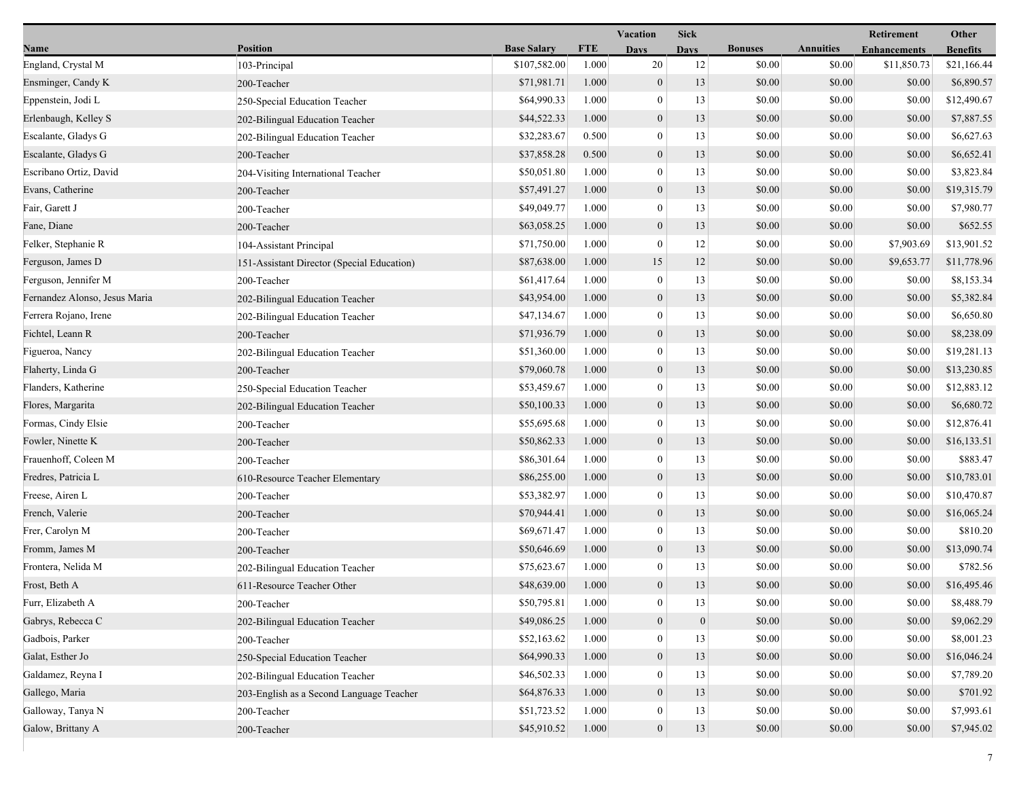|                               |                                            |                    | <b>Vacation</b> |                  | <b>Sick</b>  |                |                  | Retirement          | Other           |  |
|-------------------------------|--------------------------------------------|--------------------|-----------------|------------------|--------------|----------------|------------------|---------------------|-----------------|--|
| Name                          | Position                                   | <b>Base Salary</b> | <b>FTE</b>      | <b>Days</b>      | <b>Days</b>  | <b>Bonuses</b> | <b>Annuities</b> | <b>Enhancements</b> | <b>Benefits</b> |  |
| England, Crystal M            | 103-Principal                              | \$107,582.00       | 1.000           | 20               | 12           | \$0.00         | \$0.00           | \$11,850.73         | \$21,166.44     |  |
| Ensminger, Candy K            | 200-Teacher                                | \$71,981.71        | 1.000           | $\boldsymbol{0}$ | 13           | \$0.00         | \$0.00           | \$0.00              | \$6,890.57      |  |
| Eppenstein, Jodi L            | 250-Special Education Teacher              | \$64,990.33        | 1.000           | $\boldsymbol{0}$ | 13           | \$0.00         | \$0.00           | \$0.00              | \$12,490.67     |  |
| Erlenbaugh, Kelley S          | 202-Bilingual Education Teacher            | \$44,522.33        | 1.000           | $\boldsymbol{0}$ | 13           | \$0.00         | \$0.00           | \$0.00              | \$7,887.55      |  |
| Escalante, Gladys G           | 202-Bilingual Education Teacher            | \$32,283.67        | 0.500           | $\mathbf{0}$     | 13           | \$0.00         | \$0.00           | \$0.00              | \$6,627.63      |  |
| Escalante, Gladys G           | 200-Teacher                                | \$37,858.28        | 0.500           | $\boldsymbol{0}$ | 13           | \$0.00         | \$0.00           | \$0.00              | \$6,652.41      |  |
| Escribano Ortiz, David        | 204-Visiting International Teacher         | \$50,051.80        | 1.000           | $\mathbf{0}$     | 13           | \$0.00         | \$0.00           | \$0.00              | \$3,823.84      |  |
| Evans, Catherine              | 200-Teacher                                | \$57,491.27        | 1.000           | $\boldsymbol{0}$ | 13           | \$0.00         | \$0.00           | \$0.00              | \$19,315.79     |  |
| Fair, Garett J                | 200-Teacher                                | \$49,049.77        | 1.000           | $\boldsymbol{0}$ | 13           | \$0.00         | \$0.00           | \$0.00              | \$7,980.77      |  |
| Fane, Diane                   | 200-Teacher                                | \$63,058.25        | 1.000           | $\boldsymbol{0}$ | 13           | \$0.00         | \$0.00           | \$0.00              | \$652.55        |  |
| Felker, Stephanie R           | 104-Assistant Principal                    | \$71,750.00        | 1.000           | $\boldsymbol{0}$ | 12           | \$0.00         | \$0.00           | \$7,903.69          | \$13,901.52     |  |
| Ferguson, James D             | 151-Assistant Director (Special Education) | \$87,638.00        | 1.000           | 15               | 12           | \$0.00         | \$0.00           | \$9,653.77          | \$11,778.96     |  |
| Ferguson, Jennifer M          | 200-Teacher                                | \$61,417.64        | 1.000           | $\mathbf{0}$     | 13           | \$0.00         | \$0.00           | \$0.00              | \$8,153.34      |  |
| Fernandez Alonso, Jesus Maria | 202-Bilingual Education Teacher            | \$43,954.00        | 1.000           | $\boldsymbol{0}$ | 13           | \$0.00         | \$0.00           | \$0.00              | \$5,382.84      |  |
| Ferrera Rojano, Irene         | 202-Bilingual Education Teacher            | \$47,134.67        | 1.000           | $\boldsymbol{0}$ | 13           | \$0.00         | \$0.00           | \$0.00              | \$6,650.80      |  |
| Fichtel, Leann R              | 200-Teacher                                | \$71,936.79        | 1.000           | $\boldsymbol{0}$ | 13           | \$0.00         | \$0.00           | \$0.00              | \$8,238.09      |  |
| Figueroa, Nancy               | 202-Bilingual Education Teacher            | \$51,360.00        | 1.000           | $\bf{0}$         | 13           | \$0.00         | \$0.00           | \$0.00              | \$19,281.13     |  |
| Flaherty, Linda G             | 200-Teacher                                | \$79,060.78        | 1.000           | $\boldsymbol{0}$ | 13           | \$0.00         | \$0.00           | \$0.00              | \$13,230.85     |  |
| Flanders, Katherine           | 250-Special Education Teacher              | \$53,459.67        | 1.000           | $\mathbf{0}$     | 13           | \$0.00         | \$0.00           | \$0.00              | \$12,883.12     |  |
| Flores, Margarita             | 202-Bilingual Education Teacher            | \$50,100.33        | 1.000           | $\boldsymbol{0}$ | 13           | \$0.00         | \$0.00           | \$0.00              | \$6,680.72      |  |
| Formas, Cindy Elsie           | 200-Teacher                                | \$55,695.68        | 1.000           | $\mathbf{0}$     | 13           | \$0.00         | \$0.00           | \$0.00              | \$12,876.41     |  |
| Fowler, Ninette K             | 200-Teacher                                | \$50,862.33        | 1.000           | $\mathbf{0}$     | 13           | \$0.00         | \$0.00           | \$0.00              | \$16,133.51     |  |
| Frauenhoff, Coleen M          | 200-Teacher                                | \$86,301.64        | 1.000           | $\bf{0}$         | 13           | \$0.00         | \$0.00           | \$0.00              | \$883.47        |  |
| Fredres, Patricia L           | 610-Resource Teacher Elementary            | \$86,255.00        | 1.000           | $\mathbf{0}$     | 13           | \$0.00         | \$0.00           | \$0.00              | \$10,783.01     |  |
| Freese, Airen L               | 200-Teacher                                | \$53,382.97        | 1.000           | $\mathbf{0}$     | 13           | \$0.00         | \$0.00           | \$0.00              | \$10,470.87     |  |
| French, Valerie               | 200-Teacher                                | \$70,944.41        | 1.000           | $\boldsymbol{0}$ | 13           | \$0.00         | \$0.00           | \$0.00              | \$16,065.24     |  |
| Frer, Carolyn M               | 200-Teacher                                | \$69,671.47        | 1.000           | $\boldsymbol{0}$ | 13           | \$0.00         | \$0.00           | \$0.00              | \$810.20        |  |
| Fromm, James M                | 200-Teacher                                | \$50,646.69        | 1.000           | $\boldsymbol{0}$ | 13           | \$0.00         | \$0.00           | \$0.00              | \$13,090.74     |  |
| Frontera, Nelida M            | 202-Bilingual Education Teacher            | \$75,623.67        | 1.000           | $\bf{0}$         | 13           | \$0.00         | \$0.00           | \$0.00              | \$782.56        |  |
| Frost, Beth A                 | 611-Resource Teacher Other                 | \$48,639.00        | 1.000           | $\mathbf{0}$     | 13           | \$0.00         | \$0.00           | \$0.00              | \$16,495.46     |  |
| Furr, Elizabeth A             | 200-Teacher                                | \$50,795.81        | 1.000           | $\theta$         | 13           | \$0.00         | \$0.00           | \$0.00              | \$8,488.79      |  |
| Gabrys, Rebecca C             | 202-Bilingual Education Teacher            | \$49,086.25        | 1.000           | $\boldsymbol{0}$ | $\mathbf{0}$ | \$0.00         | \$0.00           | \$0.00              | \$9,062.29      |  |
| Gadbois, Parker               | 200-Teacher                                | \$52,163.62        | 1.000           | $\bf{0}$         | 13           | \$0.00         | \$0.00           | \$0.00              | \$8,001.23      |  |
| Galat, Esther Jo              | 250-Special Education Teacher              | \$64,990.33        | 1.000           | $\boldsymbol{0}$ | 13           | \$0.00         | \$0.00           | \$0.00              | \$16,046.24     |  |
| Galdamez, Reyna I             | 202-Bilingual Education Teacher            | \$46,502.33        | 1.000           | $\theta$         | 13           | \$0.00         | \$0.00           | \$0.00              | \$7,789.20      |  |
| Gallego, Maria                | 203-English as a Second Language Teacher   | \$64,876.33        | 1.000           | $\boldsymbol{0}$ | 13           | \$0.00         | \$0.00           | \$0.00              | \$701.92        |  |
| Galloway, Tanya N             | 200-Teacher                                | \$51,723.52        | 1.000           | 0                | 13           | \$0.00         | \$0.00           | \$0.00              | \$7,993.61      |  |
| Galow, Brittany A             | 200-Teacher                                | \$45,910.52        | 1.000           | $\boldsymbol{0}$ | 13           | \$0.00         | \$0.00           | \$0.00              | \$7,945.02      |  |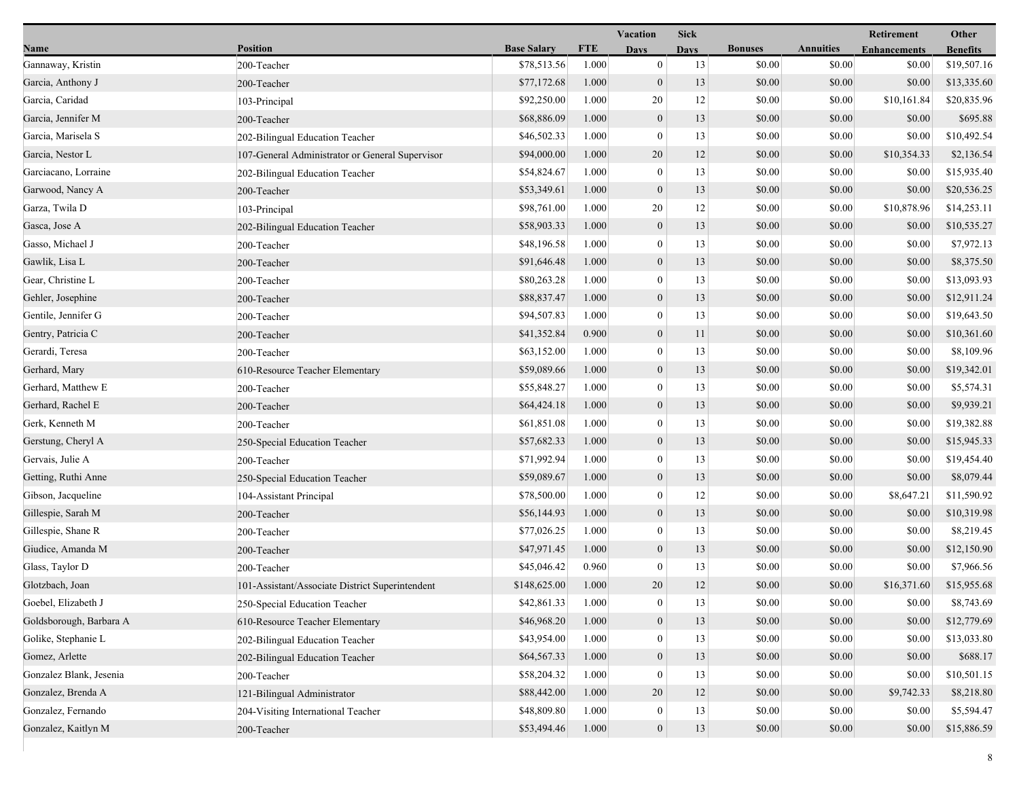|                         |                                                 |                    |            | <b>Vacation</b>  | <b>Sick</b> |                |                  | Retirement          | Other           |
|-------------------------|-------------------------------------------------|--------------------|------------|------------------|-------------|----------------|------------------|---------------------|-----------------|
| Name                    | <b>Position</b>                                 | <b>Base Salary</b> | <b>FTE</b> | <b>Days</b>      | Davs        | <b>Bonuses</b> | <b>Annuities</b> | <b>Enhancements</b> | <b>Benefits</b> |
| Gannaway, Kristin       | 200-Teacher                                     | \$78,513.56        | 1.000      | $\boldsymbol{0}$ | 13          | \$0.00         | \$0.00           | \$0.00              | \$19,507.16     |
| Garcia, Anthony J       | 200-Teacher                                     | \$77,172.68        | 1.000      | $\boldsymbol{0}$ | 13          | \$0.00         | \$0.00           | \$0.00              | \$13,335.60     |
| Garcia, Caridad         | 103-Principal                                   | \$92,250.00        | 1.000      | 20               | 12          | \$0.00         | \$0.00           | \$10,161.84         | \$20,835.96     |
| Garcia, Jennifer M      | 200-Teacher                                     | \$68,886.09        | 1.000      | $\boldsymbol{0}$ | 13          | \$0.00         | \$0.00           | \$0.00              | \$695.88        |
| Garcia, Marisela S      | 202-Bilingual Education Teacher                 | \$46,502.33        | 1.000      | $\mathbf{0}$     | 13          | \$0.00         | \$0.00           | \$0.00              | \$10,492.54     |
| Garcia, Nestor L        | 107-General Administrator or General Supervisor | \$94,000.00        | 1.000      | 20               | 12          | \$0.00         | \$0.00           | \$10,354.33         | \$2,136.54      |
| Garciacano, Lorraine    | 202-Bilingual Education Teacher                 | \$54,824.67        | 1.000      | $\mathbf{0}$     | 13          | \$0.00         | \$0.00           | \$0.00              | \$15,935.40     |
| Garwood, Nancy A        | 200-Teacher                                     | \$53,349.61        | 1.000      | $\boldsymbol{0}$ | 13          | \$0.00         | \$0.00           | \$0.00              | \$20,536.25     |
| Garza, Twila D          | 103-Principal                                   | \$98,761.00        | 1.000      | 20               | 12          | \$0.00         | \$0.00           | \$10,878.96         | \$14,253.11     |
| Gasca, Jose A           | 202-Bilingual Education Teacher                 | \$58,903.33        | 1.000      | $\mathbf{0}$     | 13          | \$0.00         | \$0.00           | \$0.00              | \$10,535.27     |
| Gasso, Michael J        | 200-Teacher                                     | \$48,196.58        | 1.000      | $\mathbf{0}$     | 13          | \$0.00         | \$0.00           | \$0.00              | \$7,972.13      |
| Gawlik, Lisa L          | 200-Teacher                                     | \$91,646.48        | 1.000      | $\boldsymbol{0}$ | 13          | \$0.00         | \$0.00           | \$0.00              | \$8,375.50      |
| Gear, Christine L       | 200-Teacher                                     | \$80,263.28        | 1.000      | $\overline{0}$   | 13          | \$0.00         | \$0.00           | \$0.00              | \$13,093.93     |
| Gehler, Josephine       | 200-Teacher                                     | \$88,837.47        | 1.000      | $\mathbf{0}$     | 13          | \$0.00         | \$0.00           | \$0.00              | \$12,911.24     |
| Gentile, Jennifer G     | 200-Teacher                                     | \$94,507.83        | 1.000      | $\mathbf{0}$     | 13          | \$0.00         | \$0.00           | \$0.00              | \$19,643.50     |
| Gentry, Patricia C      | 200-Teacher                                     | \$41,352.84        | 0.900      | $\mathbf{0}$     | 11          | \$0.00         | \$0.00           | \$0.00              | \$10,361.60     |
| Gerardi, Teresa         | 200-Teacher                                     | \$63,152.00        | 1.000      | $\bf{0}$         | 13          | \$0.00         | \$0.00           | \$0.00              | \$8,109.96      |
| Gerhard, Mary           | 610-Resource Teacher Elementary                 | \$59,089.66        | 1.000      | $\boldsymbol{0}$ | 13          | \$0.00         | \$0.00           | \$0.00              | \$19,342.01     |
| Gerhard, Matthew E      | 200-Teacher                                     | \$55,848.27        | 1.000      | $\mathbf{0}$     | 13          | \$0.00         | \$0.00           | \$0.00              | \$5,574.31      |
| Gerhard, Rachel E       | 200-Teacher                                     | \$64,424.18        | 1.000      | $\mathbf{0}$     | 13          | \$0.00         | \$0.00           | \$0.00              | \$9,939.21      |
| Gerk, Kenneth M         | 200-Teacher                                     | \$61,851.08        | 1.000      | $\mathbf{0}$     | 13          | \$0.00         | \$0.00           | \$0.00              | \$19,382.88     |
| Gerstung, Cheryl A      | 250-Special Education Teacher                   | \$57,682.33        | 1.000      | $\boldsymbol{0}$ | 13          | \$0.00         | \$0.00           | \$0.00              | \$15,945.33     |
| Gervais, Julie A        | 200-Teacher                                     | \$71,992.94        | 1.000      | $\bf{0}$         | 13          | \$0.00         | \$0.00           | \$0.00              | \$19,454.40     |
| Getting, Ruthi Anne     | 250-Special Education Teacher                   | \$59,089.67        | 1.000      | $\mathbf{0}$     | 13          | \$0.00         | \$0.00           | \$0.00              | \$8,079.44      |
| Gibson, Jacqueline      | 104-Assistant Principal                         | \$78,500.00        | 1.000      | $\mathbf{0}$     | 12          | \$0.00         | \$0.00           | \$8,647.21          | \$11,590.92     |
| Gillespie, Sarah M      | 200-Teacher                                     | \$56,144.93        | 1.000      | $\mathbf{0}$     | 13          | \$0.00         | \$0.00           | \$0.00              | \$10,319.98     |
| Gillespie, Shane R      | 200-Teacher                                     | \$77,026.25        | 1.000      | $\mathbf{0}$     | 13          | \$0.00         | \$0.00           | \$0.00              | \$8,219.45      |
| Giudice, Amanda M       | 200-Teacher                                     | \$47,971.45        | 1.000      | $\boldsymbol{0}$ | 13          | \$0.00         | \$0.00           | \$0.00              | \$12,150.90     |
| Glass, Taylor D         | 200-Teacher                                     | \$45,046.42        | 0.960      | $\boldsymbol{0}$ | 13          | \$0.00         | \$0.00           | \$0.00              | \$7,966.56      |
| Glotzbach, Joan         | 101-Assistant/Associate District Superintendent | \$148,625.00       | 1.000      | 20               | 12          | \$0.00         | \$0.00           | \$16,371.60         | \$15,955.68     |
| Goebel, Elizabeth J     | 250-Special Education Teacher                   | \$42,861.33        | 1.000      | $\bf{0}$         | 13          | \$0.00         | \$0.00           | \$0.00              | \$8,743.69      |
| Goldsborough, Barbara A | 610-Resource Teacher Elementary                 | \$46,968.20        | 1.000      | $\mathbf{0}$     | 13          | \$0.00         | \$0.00           | \$0.00              | \$12,779.69     |
| Golike, Stephanie L     | 202-Bilingual Education Teacher                 | \$43,954.00        | 1.000      | $\mathbf{0}$     | 13          | \$0.00         | \$0.00           | \$0.00              | \$13,033.80     |
| Gomez, Arlette          | 202-Bilingual Education Teacher                 | \$64,567.33        | 1.000      | $\boldsymbol{0}$ | 13          | \$0.00         | \$0.00           | \$0.00              | \$688.17        |
| Gonzalez Blank, Jesenia | 200-Teacher                                     | \$58,204.32        | 1.000      | $\mathbf{0}$     | 13          | \$0.00         | \$0.00           | \$0.00              | \$10,501.15     |
| Gonzalez, Brenda A      | 121-Bilingual Administrator                     | \$88,442.00        | 1.000      | 20               | 12          | \$0.00         | \$0.00           | \$9,742.33          | \$8,218.80      |
| Gonzalez, Fernando      | 204-Visiting International Teacher              | \$48,809.80        | 1.000      | $\boldsymbol{0}$ | 13          | \$0.00         | \$0.00           | \$0.00              | \$5,594.47      |
| Gonzalez, Kaitlyn M     | 200-Teacher                                     | \$53,494.46        | 1.000      | $\boldsymbol{0}$ | 13          | \$0.00         | \$0.00           | \$0.00              | \$15,886.59     |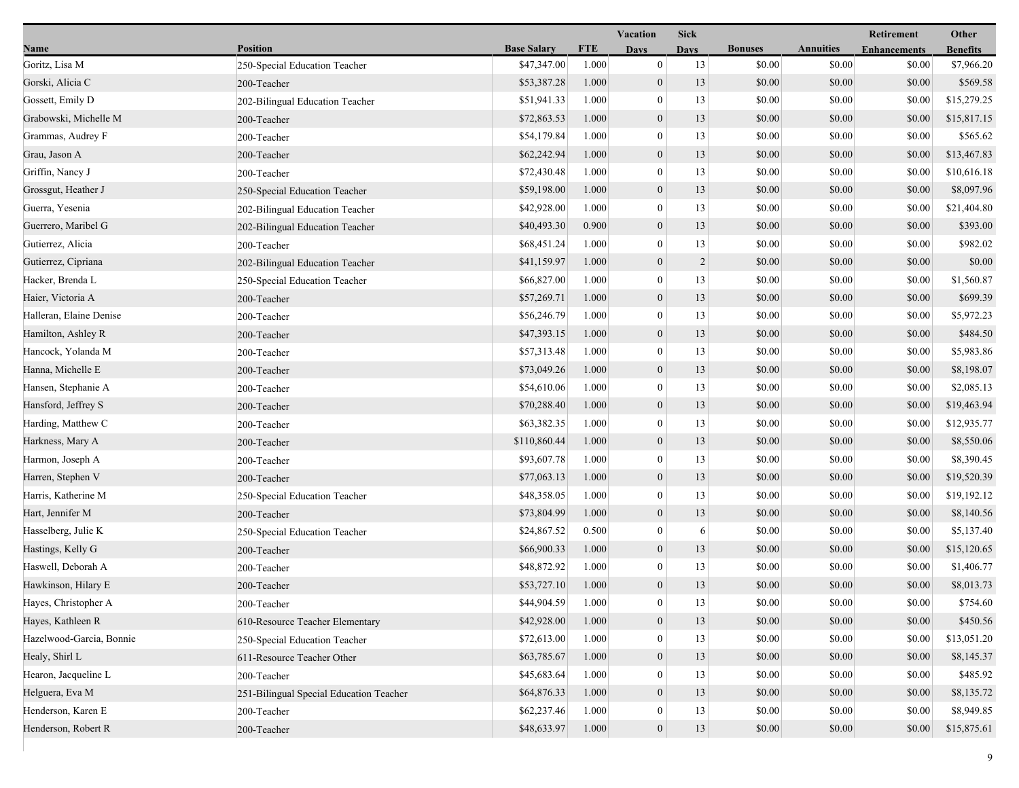|                          |                                         |                    |            | Vacation         | <b>Sick</b>    |                |                  | Retirement          | Other           |
|--------------------------|-----------------------------------------|--------------------|------------|------------------|----------------|----------------|------------------|---------------------|-----------------|
| Name                     | <b>Position</b>                         | <b>Base Salary</b> | <b>FTE</b> | <b>Days</b>      | <b>Days</b>    | <b>Bonuses</b> | <b>Annuities</b> | <b>Enhancements</b> | <b>Benefits</b> |
| Goritz, Lisa M           | 250-Special Education Teacher           | \$47,347.00        | 1.000      | $\mathbf{0}$     | 13             | \$0.00         | \$0.00           | \$0.00              | \$7,966.20      |
| Gorski, Alicia C         | 200-Teacher                             | \$53,387.28        | 1.000      | $\mathbf{0}$     | 13             | \$0.00         | \$0.00           | \$0.00              | \$569.58        |
| Gossett, Emily D         | 202-Bilingual Education Teacher         | \$51,941.33        | 1.000      | $\bf{0}$         | 13             | \$0.00         | \$0.00           | \$0.00              | \$15,279.25     |
| Grabowski, Michelle M    | 200-Teacher                             | \$72,863.53        | 1.000      | $\boldsymbol{0}$ | 13             | \$0.00         | \$0.00           | \$0.00              | \$15,817.15     |
| Grammas, Audrey F        | 200-Teacher                             | \$54,179.84        | 1.000      | $\bf{0}$         | 13             | \$0.00         | \$0.00           | \$0.00              | \$565.62        |
| Grau, Jason A            | 200-Teacher                             | \$62,242.94        | 1.000      | $\mathbf{0}$     | 13             | \$0.00         | \$0.00           | \$0.00              | \$13,467.83     |
| Griffin, Nancy J         | 200-Teacher                             | \$72,430.48        | 1.000      | $\mathbf{0}$     | 13             | \$0.00         | \$0.00           | \$0.00              | \$10,616.18     |
| Grossgut, Heather J      | 250-Special Education Teacher           | \$59,198.00        | 1.000      | $\overline{0}$   | 13             | \$0.00         | \$0.00           | \$0.00              | \$8,097.96      |
| Guerra, Yesenia          | 202-Bilingual Education Teacher         | \$42,928.00        | 1.000      | $\boldsymbol{0}$ | 13             | \$0.00         | \$0.00           | \$0.00              | \$21,404.80     |
| Guerrero, Maribel G      | 202-Bilingual Education Teacher         | \$40,493.30        | 0.900      | $\boldsymbol{0}$ | 13             | \$0.00         | \$0.00           | \$0.00              | \$393.00        |
| Gutierrez, Alicia        | 200-Teacher                             | \$68,451.24        | 1.000      | $\bf{0}$         | 13             | \$0.00         | \$0.00           | \$0.00              | \$982.02        |
| Gutierrez, Cipriana      | 202-Bilingual Education Teacher         | \$41,159.97        | 1.000      | $\overline{0}$   | $\overline{c}$ | \$0.00         | \$0.00           | \$0.00              | \$0.00          |
| Hacker, Brenda L         | 250-Special Education Teacher           | \$66,827.00        | 1.000      | $\mathbf{0}$     | 13             | \$0.00         | \$0.00           | \$0.00              | \$1,560.87      |
| Haier, Victoria A        | 200-Teacher                             | \$57,269.71        | 1.000      | $\boldsymbol{0}$ | 13             | \$0.00         | \$0.00           | \$0.00              | \$699.39        |
| Halleran, Elaine Denise  | 200-Teacher                             | \$56,246.79        | 1.000      | $\boldsymbol{0}$ | 13             | \$0.00         | \$0.00           | \$0.00              | \$5,972.23      |
| Hamilton, Ashley R       | 200-Teacher                             | \$47,393.15        | 1.000      | $\mathbf{0}$     | 13             | \$0.00         | \$0.00           | \$0.00              | \$484.50        |
| Hancock, Yolanda M       | 200-Teacher                             | \$57,313.48        | 1.000      | $\bf{0}$         | 13             | \$0.00         | \$0.00           | \$0.00              | \$5,983.86      |
| Hanna, Michelle E        | 200-Teacher                             | \$73,049.26        | 1.000      | $\overline{0}$   | 13             | \$0.00         | \$0.00           | \$0.00              | \$8,198.07      |
| Hansen, Stephanie A      | 200-Teacher                             | \$54,610.06        | 1.000      | $\mathbf{0}$     | 13             | \$0.00         | \$0.00           | \$0.00              | \$2,085.13      |
| Hansford, Jeffrey S      | 200-Teacher                             | \$70,288.40        | 1.000      | $\overline{0}$   | 13             | \$0.00         | \$0.00           | \$0.00              | \$19,463.94     |
| Harding, Matthew C       | 200-Teacher                             | \$63,382.35        | 1.000      | $\boldsymbol{0}$ | 13             | \$0.00         | \$0.00           | \$0.00              | \$12,935.77     |
| Harkness, Mary A         | 200-Teacher                             | \$110,860.44       | 1.000      | $\mathbf{0}$     | 13             | \$0.00         | \$0.00           | \$0.00              | \$8,550.06      |
| Harmon, Joseph A         | 200-Teacher                             | \$93,607.78        | 1.000      | $\bf{0}$         | 13             | \$0.00         | \$0.00           | \$0.00              | \$8,390.45      |
| Harren, Stephen V        | 200-Teacher                             | \$77,063.13        | 1.000      | $\overline{0}$   | 13             | \$0.00         | \$0.00           | \$0.00              | \$19,520.39     |
| Harris, Katherine M      | 250-Special Education Teacher           | \$48,358.05        | 1.000      | $\overline{0}$   | 13             | \$0.00         | \$0.00           | \$0.00              | \$19,192.12     |
| Hart, Jennifer M         | 200-Teacher                             | \$73,804.99        | 1.000      | $\mathbf{0}$     | 13             | \$0.00         | \$0.00           | \$0.00              | \$8,140.56      |
| Hasselberg, Julie K      | 250-Special Education Teacher           | \$24,867.52        | 0.500      | $\boldsymbol{0}$ | 6              | \$0.00         | \$0.00           | \$0.00              | \$5,137.40      |
| Hastings, Kelly G        | 200-Teacher                             | \$66,900.33        | 1.000      | $\mathbf{0}$     | 13             | \$0.00         | \$0.00           | \$0.00              | \$15,120.65     |
| Haswell, Deborah A       | 200-Teacher                             | \$48,872.92        | 1.000      | $\boldsymbol{0}$ | 13             | \$0.00         | \$0.00           | \$0.00              | \$1,406.77      |
| Hawkinson, Hilary E      | 200-Teacher                             | \$53,727.10        | 1.000      | $\overline{0}$   | 13             | \$0.00         | \$0.00           | \$0.00              | \$8,013.73      |
| Hayes, Christopher A     | 200-Teacher                             | \$44,904.59        | 1.000      | $\bf{0}$         | 13             | \$0.00         | \$0.00           | \$0.00              | \$754.60        |
| Hayes, Kathleen R        | 610-Resource Teacher Elementary         | \$42,928.00        | 1.000      | $\boldsymbol{0}$ | 13             | \$0.00         | \$0.00           | \$0.00              | \$450.56        |
| Hazelwood-Garcia, Bonnie | 250-Special Education Teacher           | \$72,613.00        | 1.000      | $\overline{0}$   | 13             | \$0.00         | \$0.00           | \$0.00              | \$13,051.20     |
| Healy, Shirl L           | 611-Resource Teacher Other              | \$63,785.67        | 1.000      | $\mathbf{0}$     | 13             | \$0.00         | \$0.00           | \$0.00              | \$8,145.37      |
| Hearon, Jacqueline L     | 200-Teacher                             | \$45,683.64        | 1.000      | $\overline{0}$   | 13             | \$0.00         | \$0.00           | \$0.00              | \$485.92        |
| Helguera, Eva M          | 251-Bilingual Special Education Teacher | \$64,876.33        | 1.000      | $\overline{0}$   | 13             | \$0.00         | \$0.00           | \$0.00              | \$8,135.72      |
| Henderson, Karen E       | 200-Teacher                             | \$62,237.46        | 1.000      | $\bf{0}$         | 13             | \$0.00         | \$0.00           | \$0.00              | \$8,949.85      |
| Henderson, Robert R      | 200-Teacher                             | \$48,633.97        | 1.000      | $\mathbf{0}$     | 13             | \$0.00         | \$0.00           | \$0.00              | \$15,875.61     |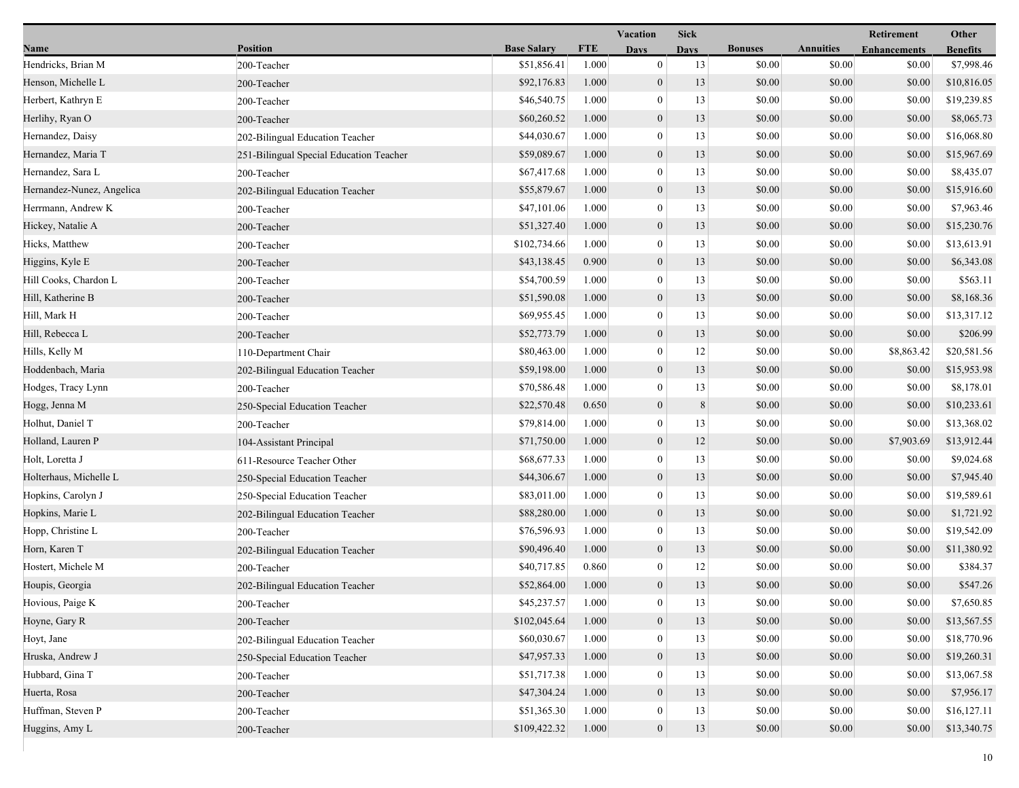|                           |                                         |                    |            | <b>Vacation</b>  | <b>Sick</b>    |                |                  | Retirement          | Other           |
|---------------------------|-----------------------------------------|--------------------|------------|------------------|----------------|----------------|------------------|---------------------|-----------------|
| Name                      | <b>Position</b>                         | <b>Base Salary</b> | <b>FTE</b> | <b>Days</b>      | <b>Days</b>    | <b>Bonuses</b> | <b>Annuities</b> | <b>Enhancements</b> | <b>Benefits</b> |
| Hendricks, Brian M        | 200-Teacher                             | \$51,856.41        | 1.000      | $\boldsymbol{0}$ | 13             | \$0.00         | \$0.00           | \$0.00              | \$7,998.46      |
| Henson, Michelle L        | 200-Teacher                             | \$92,176.83        | 1.000      | $\mathbf{0}$     | 13             | \$0.00         | \$0.00           | \$0.00              | \$10,816.05     |
| Herbert, Kathryn E        | 200-Teacher                             | \$46,540.75        | 1.000      | $\bf{0}$         | 13             | \$0.00         | \$0.00           | \$0.00              | \$19,239.85     |
| Herlihy, Ryan O           | 200-Teacher                             | \$60,260.52        | 1.000      | $\mathbf{0}$     | 13             | \$0.00         | \$0.00           | \$0.00              | \$8,065.73      |
| Hernandez, Daisy          | 202-Bilingual Education Teacher         | \$44,030.67        | 1.000      | $\bf{0}$         | 13             | \$0.00         | \$0.00           | \$0.00              | \$16,068.80     |
| Hernandez, Maria T        | 251-Bilingual Special Education Teacher | \$59,089.67        | 1.000      | $\boldsymbol{0}$ | 13             | \$0.00         | \$0.00           | \$0.00              | \$15,967.69     |
| Hernandez, Sara L         | 200-Teacher                             | \$67,417.68        | 1.000      | $\mathbf{0}$     | 13             | \$0.00         | \$0.00           | \$0.00              | \$8,435.07      |
| Hernandez-Nunez, Angelica | 202-Bilingual Education Teacher         | \$55,879.67        | 1.000      | $\mathbf{0}$     | 13             | \$0.00         | \$0.00           | \$0.00              | \$15,916.60     |
| Herrmann, Andrew K        | 200-Teacher                             | \$47,101.06        | 1.000      | $\bf{0}$         | 13             | \$0.00         | \$0.00           | \$0.00              | \$7,963.46      |
| Hickey, Natalie A         | 200-Teacher                             | \$51,327.40        | 1.000      | $\mathbf{0}$     | 13             | \$0.00         | \$0.00           | \$0.00              | \$15,230.76     |
| Hicks, Matthew            | 200-Teacher                             | \$102,734.66       | 1.000      | $\bf{0}$         | 13             | \$0.00         | \$0.00           | \$0.00              | \$13,613.91     |
| Higgins, Kyle E           | 200-Teacher                             | \$43,138.45        | 0.900      | $\mathbf{0}$     | 13             | \$0.00         | \$0.00           | \$0.00              | \$6,343.08      |
| Hill Cooks, Chardon L     | 200-Teacher                             | \$54,700.59        | 1.000      | $\mathbf{0}$     | 13             | \$0.00         | \$0.00           | \$0.00              | \$563.11        |
| Hill, Katherine B         | 200-Teacher                             | \$51,590.08        | 1.000      | $\mathbf{0}$     | 13             | \$0.00         | \$0.00           | \$0.00              | \$8,168.36      |
| Hill, Mark H              | 200-Teacher                             | \$69,955.45        | 1.000      | $\boldsymbol{0}$ | 13             | \$0.00         | \$0.00           | \$0.00              | \$13,317.12     |
| Hill, Rebecca L           | 200-Teacher                             | \$52,773.79        | 1.000      | $\mathbf{0}$     | 13             | \$0.00         | \$0.00           | \$0.00              | \$206.99        |
| Hills, Kelly M            | 110-Department Chair                    | \$80,463.00        | 1.000      | $\bf{0}$         | 12             | \$0.00         | \$0.00           | \$8,863.42          | \$20,581.56     |
| Hoddenbach, Maria         | 202-Bilingual Education Teacher         | \$59,198.00        | 1.000      | $\mathbf{0}$     | 13             | \$0.00         | \$0.00           | \$0.00              | \$15,953.98     |
| Hodges, Tracy Lynn        | 200-Teacher                             | \$70,586.48        | 1.000      | $\bf{0}$         | 13             | \$0.00         | \$0.00           | \$0.00              | \$8,178.01      |
| Hogg, Jenna M             | 250-Special Education Teacher           | \$22,570.48        | 0.650      | $\mathbf{0}$     | $8\phantom{.}$ | \$0.00         | \$0.00           | \$0.00              | \$10,233.61     |
| Holhut, Daniel T          | 200-Teacher                             | \$79,814.00        | 1.000      | $\boldsymbol{0}$ | 13             | \$0.00         | \$0.00           | \$0.00              | \$13,368.02     |
| Holland, Lauren P         | 104-Assistant Principal                 | \$71,750.00        | 1.000      | $\mathbf{0}$     | 12             | \$0.00         | \$0.00           | \$7,903.69          | \$13,912.44     |
| Holt, Loretta J           | 611-Resource Teacher Other              | \$68,677.33        | 1.000      | $\bf{0}$         | 13             | \$0.00         | \$0.00           | \$0.00              | \$9,024.68      |
| Holterhaus, Michelle L    | 250-Special Education Teacher           | \$44,306.67        | 1.000      | $\mathbf{0}$     | 13             | \$0.00         | \$0.00           | \$0.00              | \$7,945.40      |
| Hopkins, Carolyn J        | 250-Special Education Teacher           | \$83,011.00        | 1.000      | $\bf{0}$         | 13             | \$0.00         | \$0.00           | \$0.00              | \$19,589.61     |
| Hopkins, Marie L          | 202-Bilingual Education Teacher         | \$88,280.00        | 1.000      | $\mathbf{0}$     | 13             | \$0.00         | \$0.00           | \$0.00              | \$1,721.92      |
| Hopp, Christine L         | 200-Teacher                             | \$76,596.93        | 1.000      | $\boldsymbol{0}$ | 13             | \$0.00         | \$0.00           | \$0.00              | \$19,542.09     |
| Horn, Karen T             | 202-Bilingual Education Teacher         | \$90,496.40        | 1.000      | $\boldsymbol{0}$ | 13             | \$0.00         | \$0.00           | \$0.00              | \$11,380.92     |
| Hostert, Michele M        | 200-Teacher                             | \$40,717.85        | 0.860      | $\mathbf{0}$     | 12             | \$0.00         | \$0.00           | \$0.00              | \$384.37        |
| Houpis, Georgia           | 202-Bilingual Education Teacher         | \$52,864.00        | 1.000      | $\mathbf{0}$     | 13             | \$0.00         | \$0.00           | \$0.00              | \$547.26        |
| Hovious, Paige K          | 200-Teacher                             | \$45,237.57        | 1.000      | $\bf{0}$         | 13             | \$0.00         | \$0.00           | \$0.00              | \$7,650.85      |
| Hoyne, Gary R             | 200-Teacher                             | \$102,045.64       | 1.000      | $\mathbf{0}$     | 13             | \$0.00         | \$0.00           | \$0.00              | \$13,567.55     |
| Hoyt, Jane                | 202-Bilingual Education Teacher         | \$60,030.67        | 1.000      | $\mathbf{0}$     | 13             | \$0.00         | \$0.00           | \$0.00              | \$18,770.96     |
| Hruska, Andrew J          | 250-Special Education Teacher           | \$47,957.33        | 1.000      | $\mathbf{0}$     | 13             | \$0.00         | \$0.00           | \$0.00              | \$19,260.31     |
| Hubbard, Gina T           | 200-Teacher                             | \$51,717.38        | 1.000      | $\theta$         | 13             | \$0.00         | \$0.00           | \$0.00              | \$13,067.58     |
| Huerta, Rosa              | 200-Teacher                             | \$47,304.24        | 1.000      | $\mathbf{0}$     | 13             | \$0.00         | \$0.00           | \$0.00              | \$7,956.17      |
| Huffman, Steven P         | 200-Teacher                             | \$51,365.30        | 1.000      | $\bf{0}$         | 13             | \$0.00         | \$0.00           | \$0.00              | \$16,127.11     |
| Huggins, Amy L            | 200-Teacher                             | \$109,422.32       | 1.000      | $\mathbf{0}$     | 13             | \$0.00         | \$0.00           | \$0.00              | \$13,340.75     |
|                           |                                         |                    |            |                  |                |                |                  |                     |                 |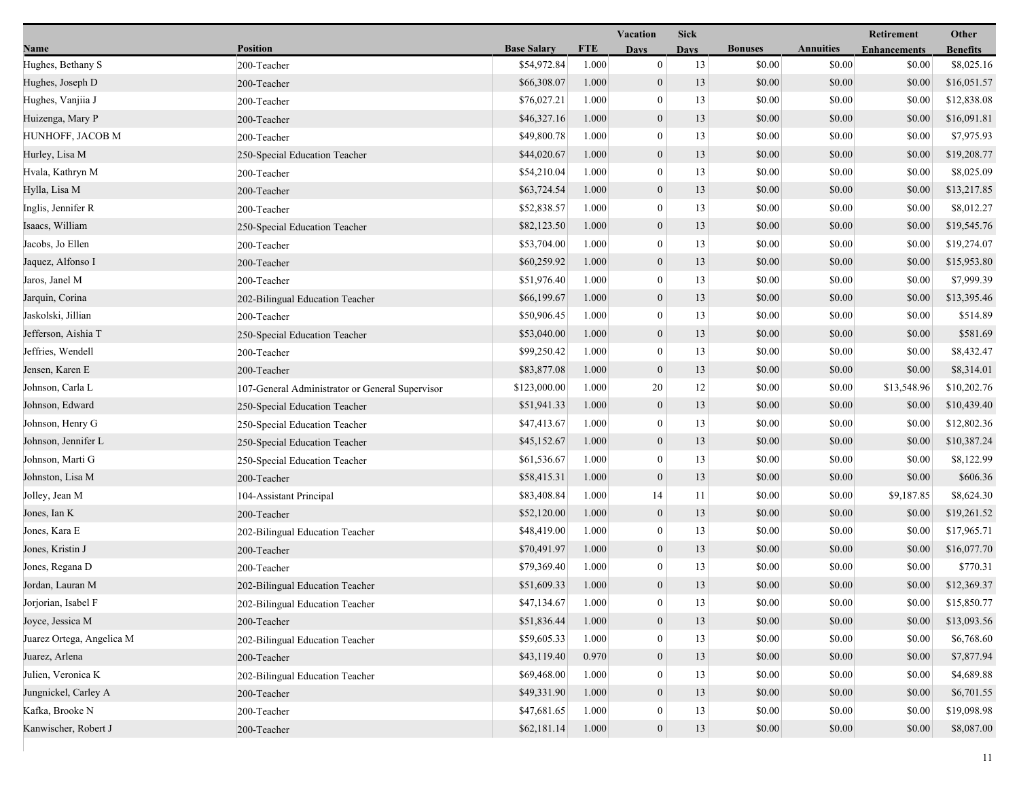|                           |                                                 |                    |            | Vacation<br><b>Sick</b> |             |                |                  | Retirement          | Other           |  |
|---------------------------|-------------------------------------------------|--------------------|------------|-------------------------|-------------|----------------|------------------|---------------------|-----------------|--|
| Name                      | <b>Position</b>                                 | <b>Base Salary</b> | <b>FTE</b> | <b>Days</b>             | <b>Days</b> | <b>Bonuses</b> | <b>Annuities</b> | <b>Enhancements</b> | <b>Benefits</b> |  |
| Hughes, Bethany S         | 200-Teacher                                     | \$54,972.84        | 1.000      | $\mathbf{0}$            | 13          | \$0.00         | \$0.00           | \$0.00              | \$8,025.16      |  |
| Hughes, Joseph D          | 200-Teacher                                     | \$66,308.07        | 1.000      | $\boldsymbol{0}$        | 13          | \$0.00         | \$0.00           | \$0.00              | \$16,051.57     |  |
| Hughes, Vanjiia J         | 200-Teacher                                     | \$76,027.21        | 1.000      | $\boldsymbol{0}$        | 13          | \$0.00         | \$0.00           | \$0.00              | \$12,838.08     |  |
| Huizenga, Mary P          | 200-Teacher                                     | \$46,327.16        | 1.000      | $\boldsymbol{0}$        | 13          | \$0.00         | \$0.00           | \$0.00              | \$16,091.81     |  |
| HUNHOFF, JACOB M          | 200-Teacher                                     | \$49,800.78        | 1.000      | $\boldsymbol{0}$        | 13          | \$0.00         | \$0.00           | \$0.00              | \$7,975.93      |  |
| Hurley, Lisa M            | 250-Special Education Teacher                   | \$44,020.67        | 1.000      | $\boldsymbol{0}$        | 13          | \$0.00         | \$0.00           | \$0.00              | \$19,208.77     |  |
| Hvala, Kathryn M          | 200-Teacher                                     | \$54,210.04        | 1.000      | $\mathbf{0}$            | 13          | \$0.00         | \$0.00           | \$0.00              | \$8,025.09      |  |
| Hylla, Lisa M             | 200-Teacher                                     | \$63,724.54        | 1.000      | $\boldsymbol{0}$        | 13          | \$0.00         | \$0.00           | \$0.00              | \$13,217.85     |  |
| Inglis, Jennifer R        | 200-Teacher                                     | \$52,838.57        | 1.000      | $\boldsymbol{0}$        | 13          | \$0.00         | \$0.00           | \$0.00              | \$8,012.27      |  |
| Isaacs, William           | 250-Special Education Teacher                   | \$82,123.50        | 1.000      | $\boldsymbol{0}$        | 13          | \$0.00         | \$0.00           | \$0.00              | \$19,545.76     |  |
| Jacobs, Jo Ellen          | 200-Teacher                                     | \$53,704.00        | 1.000      | $\boldsymbol{0}$        | 13          | \$0.00         | \$0.00           | \$0.00              | \$19,274.07     |  |
| Jaquez, Alfonso I         | 200-Teacher                                     | \$60,259.92        | 1.000      | $\boldsymbol{0}$        | 13          | \$0.00         | \$0.00           | \$0.00              | \$15,953.80     |  |
| Jaros, Janel M            | 200-Teacher                                     | \$51,976.40        | 1.000      | $\mathbf{0}$            | 13          | \$0.00         | \$0.00           | \$0.00              | \$7,999.39      |  |
| Jarquin, Corina           | 202-Bilingual Education Teacher                 | \$66,199.67        | 1.000      | $\boldsymbol{0}$        | 13          | \$0.00         | \$0.00           | \$0.00              | \$13,395.46     |  |
| Jaskolski, Jillian        | 200-Teacher                                     | \$50,906.45        | 1.000      | $\boldsymbol{0}$        | 13          | \$0.00         | \$0.00           | \$0.00              | \$514.89        |  |
| Jefferson, Aishia T       | 250-Special Education Teacher                   | \$53,040.00        | 1.000      | $\boldsymbol{0}$        | 13          | \$0.00         | \$0.00           | \$0.00              | \$581.69        |  |
| Jeffries, Wendell         | 200-Teacher                                     | \$99,250.42        | 1.000      | $\boldsymbol{0}$        | 13          | \$0.00         | \$0.00           | \$0.00              | \$8,432.47      |  |
| Jensen, Karen E           | 200-Teacher                                     | \$83,877.08        | 1.000      | $\boldsymbol{0}$        | 13          | \$0.00         | \$0.00           | \$0.00              | \$8,314.01      |  |
| Johnson, Carla L          | 107-General Administrator or General Supervisor | \$123,000.00       | 1.000      | 20                      | 12          | \$0.00         | \$0.00           | \$13,548.96         | \$10,202.76     |  |
| Johnson, Edward           | 250-Special Education Teacher                   | \$51,941.33        | 1.000      | $\boldsymbol{0}$        | 13          | \$0.00         | \$0.00           | \$0.00              | \$10,439.40     |  |
| Johnson, Henry G          | 250-Special Education Teacher                   | \$47,413.67        | 1.000      | $\boldsymbol{0}$        | 13          | \$0.00         | \$0.00           | \$0.00              | \$12,802.36     |  |
| Johnson, Jennifer L       | 250-Special Education Teacher                   | \$45,152.67        | 1.000      | $\boldsymbol{0}$        | 13          | \$0.00         | \$0.00           | \$0.00              | \$10,387.24     |  |
| Johnson, Marti G          | 250-Special Education Teacher                   | \$61,536.67        | 1.000      | $\boldsymbol{0}$        | 13          | \$0.00         | \$0.00           | \$0.00              | \$8,122.99      |  |
| Johnston, Lisa M          | 200-Teacher                                     | \$58,415.31        | 1.000      | $\boldsymbol{0}$        | 13          | \$0.00         | \$0.00           | \$0.00              | \$606.36        |  |
| Jolley, Jean M            | 104-Assistant Principal                         | \$83,408.84        | 1.000      | 14                      | 11          | \$0.00         | \$0.00           | \$9,187.85          | \$8,624.30      |  |
| Jones, Ian K              | 200-Teacher                                     | \$52,120.00        | 1.000      | $\boldsymbol{0}$        | 13          | \$0.00         | \$0.00           | \$0.00              | \$19,261.52     |  |
| Jones, Kara E             | 202-Bilingual Education Teacher                 | \$48,419.00        | 1.000      | $\boldsymbol{0}$        | 13          | \$0.00         | \$0.00           | \$0.00              | \$17,965.71     |  |
| Jones, Kristin J          | 200-Teacher                                     | \$70,491.97        | 1.000      | $\boldsymbol{0}$        | 13          | \$0.00         | \$0.00           | \$0.00              | \$16,077.70     |  |
| Jones, Regana D           | 200-Teacher                                     | \$79,369.40        | 1.000      | $\mathbf{0}$            | 13          | \$0.00         | \$0.00           | \$0.00              | \$770.31        |  |
| Jordan, Lauran M          | 202-Bilingual Education Teacher                 | \$51,609.33        | 1.000      | $\mathbf{0}$            | 13          | \$0.00         | \$0.00           | \$0.00              | \$12,369.37     |  |
| Jorjorian, Isabel F       | 202-Bilingual Education Teacher                 | \$47,134.67        | 1.000      | $\bf{0}$                | 13          | \$0.00         | \$0.00           | \$0.00              | \$15,850.77     |  |
| Joyce, Jessica M          | 200-Teacher                                     | \$51,836.44        | 1.000      | $\boldsymbol{0}$        | 13          | \$0.00         | \$0.00           | \$0.00              | \$13,093.56     |  |
| Juarez Ortega, Angelica M | 202-Bilingual Education Teacher                 | \$59,605.33        | 1.000      | $\boldsymbol{0}$        | 13          | \$0.00         | \$0.00           | \$0.00              | \$6,768.60      |  |
| Juarez, Arlena            | 200-Teacher                                     | \$43,119.40        | 0.970      | $\boldsymbol{0}$        | 13          | \$0.00         | \$0.00           | \$0.00              | \$7,877.94      |  |
| Julien, Veronica K        | 202-Bilingual Education Teacher                 | \$69,468.00        | 1.000      | $\mathbf{0}$            | 13          | \$0.00         | \$0.00           | \$0.00              | \$4,689.88      |  |
| Jungnickel, Carley A      | 200-Teacher                                     | \$49,331.90        | 1.000      | $\boldsymbol{0}$        | 13          | \$0.00         | \$0.00           | \$0.00              | \$6,701.55      |  |
| Kafka, Brooke N           | 200-Teacher                                     | \$47,681.65        | 1.000      | $\boldsymbol{0}$        | 13          | \$0.00         | \$0.00           | \$0.00              | \$19,098.98     |  |
| Kanwischer, Robert J      | 200-Teacher                                     | \$62,181.14        | 1.000      | $\mathbf{0}$            | 13          | \$0.00         | \$0.00           | \$0.00              | \$8,087.00      |  |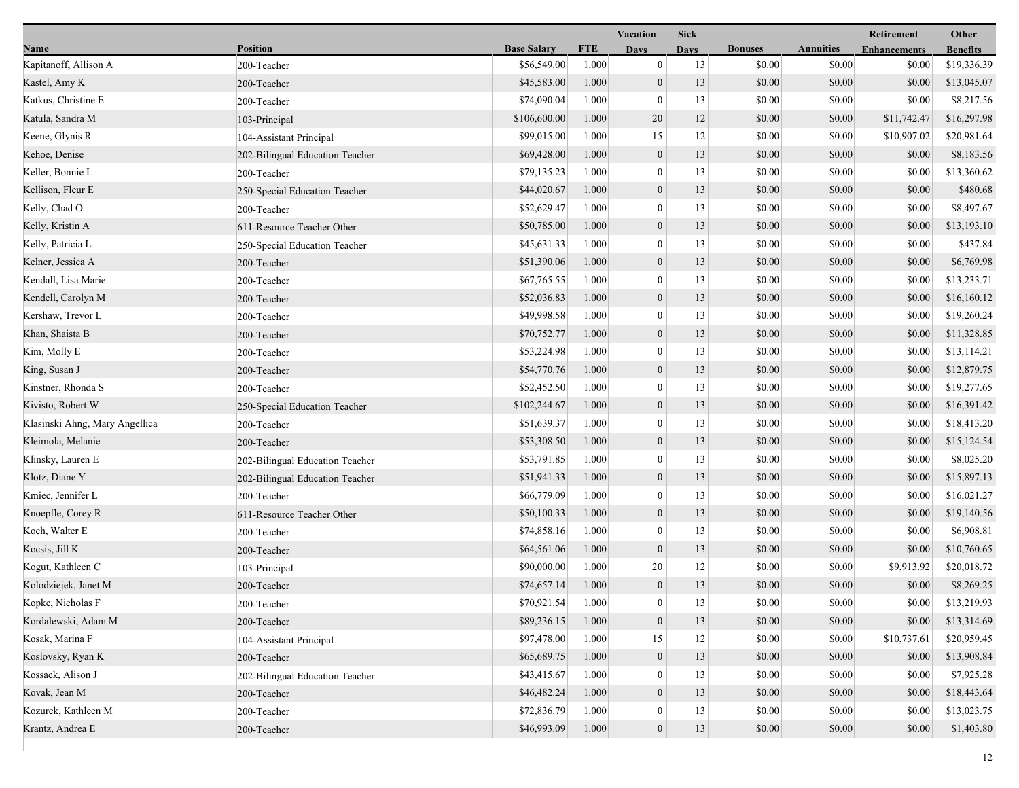|                                |                                 |                    | Vacation   |                  | <b>Sick</b> |                |                  | Other               |                 |
|--------------------------------|---------------------------------|--------------------|------------|------------------|-------------|----------------|------------------|---------------------|-----------------|
| Name                           | <b>Position</b>                 | <b>Base Salary</b> | <b>FTE</b> | <b>Days</b>      | <b>Days</b> | <b>Bonuses</b> | <b>Annuities</b> | <b>Enhancements</b> | <b>Benefits</b> |
| Kapitanoff, Allison A          | 200-Teacher                     | \$56,549.00        | 1.000      | $\mathbf{0}$     | 13          | \$0.00         | \$0.00           | \$0.00              | \$19,336.39     |
| Kastel, Amy K                  | 200-Teacher                     | \$45,583.00        | 1.000      | $\boldsymbol{0}$ | 13          | \$0.00         | \$0.00           | \$0.00              | \$13,045.07     |
| Katkus, Christine E            | 200-Teacher                     | \$74,090.04        | 1.000      | $\boldsymbol{0}$ | 13          | \$0.00         | \$0.00           | \$0.00              | \$8,217.56      |
| Katula, Sandra M               | 103-Principal                   | \$106,600.00       | 1.000      | 20               | 12          | \$0.00         | \$0.00           | \$11,742.47         | \$16,297.98     |
| Keene, Glynis R                | 104-Assistant Principal         | \$99,015.00        | 1.000      | 15               | 12          | \$0.00         | \$0.00           | \$10,907.02         | \$20,981.64     |
| Kehoe, Denise                  | 202-Bilingual Education Teacher | \$69,428.00        | 1.000      | $\boldsymbol{0}$ | 13          | \$0.00         | \$0.00           | \$0.00              | \$8,183.56      |
| Keller, Bonnie L               | 200-Teacher                     | \$79,135.23        | 1.000      | $\mathbf{0}$     | 13          | \$0.00         | \$0.00           | \$0.00              | \$13,360.62     |
| Kellison, Fleur E              | 250-Special Education Teacher   | \$44,020.67        | 1.000      | $\boldsymbol{0}$ | 13          | \$0.00         | \$0.00           | \$0.00              | \$480.68        |
| Kelly, Chad O                  | 200-Teacher                     | \$52,629.47        | 1.000      | $\boldsymbol{0}$ | 13          | \$0.00         | \$0.00           | \$0.00              | \$8,497.67      |
| Kelly, Kristin A               | 611-Resource Teacher Other      | \$50,785.00        | 1.000      | $\boldsymbol{0}$ | 13          | \$0.00         | \$0.00           | \$0.00              | \$13,193.10     |
| Kelly, Patricia L              | 250-Special Education Teacher   | \$45,631.33        | 1.000      | $\boldsymbol{0}$ | 13          | \$0.00         | \$0.00           | \$0.00              | \$437.84        |
| Kelner, Jessica A              | 200-Teacher                     | \$51,390.06        | 1.000      | $\boldsymbol{0}$ | 13          | \$0.00         | \$0.00           | \$0.00              | \$6,769.98      |
| Kendall, Lisa Marie            | 200-Teacher                     | \$67,765.55        | 1.000      | $\mathbf{0}$     | 13          | \$0.00         | \$0.00           | \$0.00              | \$13,233.71     |
| Kendell, Carolyn M             | 200-Teacher                     | \$52,036.83        | 1.000      | $\boldsymbol{0}$ | 13          | \$0.00         | \$0.00           | \$0.00              | \$16,160.12     |
| Kershaw, Trevor L              | 200-Teacher                     | \$49,998.58        | 1.000      | $\boldsymbol{0}$ | 13          | \$0.00         | \$0.00           | \$0.00              | \$19,260.24     |
| Khan, Shaista B                | 200-Teacher                     | \$70,752.77        | 1.000      | $\boldsymbol{0}$ | 13          | \$0.00         | \$0.00           | \$0.00              | \$11,328.85     |
| Kim, Molly E                   | 200-Teacher                     | \$53,224.98        | 1.000      | $\boldsymbol{0}$ | 13          | \$0.00         | \$0.00           | \$0.00              | \$13,114.21     |
| King, Susan J                  | 200-Teacher                     | \$54,770.76        | 1.000      | $\boldsymbol{0}$ | 13          | \$0.00         | \$0.00           | \$0.00              | \$12,879.75     |
| Kinstner, Rhonda S             | 200-Teacher                     | \$52,452.50        | 1.000      | $\boldsymbol{0}$ | 13          | \$0.00         | \$0.00           | \$0.00              | \$19,277.65     |
| Kivisto, Robert W              | 250-Special Education Teacher   | \$102,244.67       | 1.000      | $\boldsymbol{0}$ | 13          | \$0.00         | \$0.00           | \$0.00              | \$16,391.42     |
| Klasinski Ahng, Mary Angellica | 200-Teacher                     | \$51,639.37        | 1.000      | $\boldsymbol{0}$ | 13          | \$0.00         | \$0.00           | \$0.00              | \$18,413.20     |
| Kleimola, Melanie              | 200-Teacher                     | \$53,308.50        | 1.000      | $\boldsymbol{0}$ | 13          | \$0.00         | \$0.00           | \$0.00              | \$15,124.54     |
| Klinsky, Lauren E              | 202-Bilingual Education Teacher | \$53,791.85        | 1.000      | $\boldsymbol{0}$ | 13          | \$0.00         | \$0.00           | \$0.00              | \$8,025.20      |
| Klotz, Diane Y                 | 202-Bilingual Education Teacher | \$51,941.33        | 1.000      | $\boldsymbol{0}$ | 13          | \$0.00         | \$0.00           | \$0.00              | \$15,897.13     |
| Kmiec, Jennifer L              | 200-Teacher                     | \$66,779.09        | 1.000      | $\boldsymbol{0}$ | 13          | \$0.00         | \$0.00           | \$0.00              | \$16,021.27     |
| Knoepfle, Corey R              | 611-Resource Teacher Other      | \$50,100.33        | 1.000      | $\boldsymbol{0}$ | 13          | \$0.00         | \$0.00           | \$0.00              | \$19,140.56     |
| Koch, Walter E                 | 200-Teacher                     | \$74,858.16        | 1.000      | $\boldsymbol{0}$ | 13          | \$0.00         | \$0.00           | \$0.00              | \$6,908.81      |
| Kocsis, Jill K                 | 200-Teacher                     | \$64,561.06        | 1.000      | $\mathbf{0}$     | 13          | \$0.00         | \$0.00           | \$0.00              | \$10,760.65     |
| Kogut, Kathleen C              | 103-Principal                   | \$90,000.00        | 1.000      | 20               | 12          | \$0.00         | \$0.00           | \$9,913.92          | \$20,018.72     |
| Kolodziejek, Janet M           | 200-Teacher                     | \$74,657.14        | 1.000      | $\mathbf{0}$     | 13          | \$0.00         | \$0.00           | \$0.00              | \$8,269.25      |
| Kopke, Nicholas F              | 200-Teacher                     | \$70,921.54        | 1.000      | $\bf{0}$         | 13          | \$0.00         | \$0.00           | \$0.00              | \$13,219.93     |
| Kordalewski, Adam M            | 200-Teacher                     | \$89,236.15        | 1.000      | $\boldsymbol{0}$ | 13          | \$0.00         | \$0.00           | \$0.00              | \$13,314.69     |
| Kosak, Marina F                | 104-Assistant Principal         | \$97,478.00        | 1.000      | 15               | 12          | \$0.00         | \$0.00           | \$10,737.61         | \$20,959.45     |
| Koslovsky, Ryan K              | 200-Teacher                     | \$65,689.75        | 1.000      | $\boldsymbol{0}$ | 13          | \$0.00         | \$0.00           | \$0.00              | \$13,908.84     |
| Kossack, Alison J              | 202-Bilingual Education Teacher | \$43,415.67        | 1.000      | $\mathbf{0}$     | 13          | \$0.00         | \$0.00           | \$0.00              | \$7,925.28      |
| Kovak, Jean M                  | 200-Teacher                     | \$46,482.24        | 1.000      | $\boldsymbol{0}$ | 13          | \$0.00         | \$0.00           | \$0.00              | \$18,443.64     |
| Kozurek, Kathleen M            | 200-Teacher                     | \$72,836.79        | 1.000      | $\boldsymbol{0}$ | 13          | \$0.00         | \$0.00           | \$0.00              | \$13,023.75     |
| Krantz, Andrea E               | 200-Teacher                     | \$46,993.09        | 1.000      | $\mathbf{0}$     | 13          | \$0.00         | \$0.00           | \$0.00              | \$1,403.80      |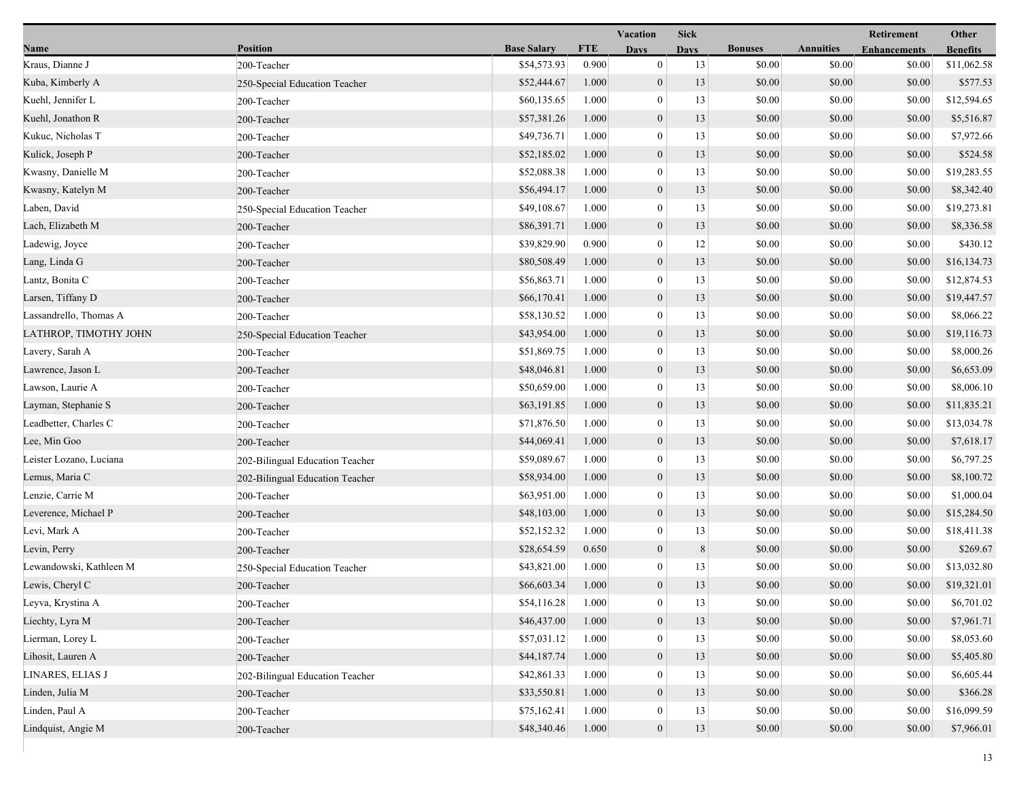|                         |                                 |                    |            | <b>Vacation</b>  | <b>Sick</b> |                |                  | <b>Retirement</b>   | Other           |
|-------------------------|---------------------------------|--------------------|------------|------------------|-------------|----------------|------------------|---------------------|-----------------|
| Name                    | <b>Position</b>                 | <b>Base Salary</b> | <b>FTE</b> | <b>Days</b>      | <b>Days</b> | <b>Bonuses</b> | <b>Annuities</b> | <b>Enhancements</b> | <b>Benefits</b> |
| Kraus, Dianne J         | 200-Teacher                     | \$54,573.93        | 0.900      | $\mathbf{0}$     | 13          | \$0.00         | \$0.00           | \$0.00              | \$11,062.58     |
| Kuba, Kimberly A        | 250-Special Education Teacher   | \$52,444.67        | 1.000      | $\mathbf{0}$     | 13          | \$0.00         | \$0.00           | \$0.00              | \$577.53        |
| Kuehl, Jennifer L       | 200-Teacher                     | \$60,135.65        | 1.000      | $\mathbf{0}$     | 13          | \$0.00         | \$0.00           | \$0.00              | \$12,594.65     |
| Kuehl, Jonathon R       | 200-Teacher                     | \$57,381.26        | 1.000      | $\mathbf{0}$     | 13          | \$0.00         | \$0.00           | \$0.00              | \$5,516.87      |
| Kukuc, Nicholas T       | 200-Teacher                     | \$49,736.71        | 1.000      | $\mathbf{0}$     | 13          | \$0.00         | \$0.00           | \$0.00              | \$7,972.66      |
| Kulick, Joseph P        | 200-Teacher                     | \$52,185.02        | 1.000      | $\boldsymbol{0}$ | 13          | \$0.00         | \$0.00           | \$0.00              | \$524.58        |
| Kwasny, Danielle M      | 200-Teacher                     | \$52,088.38        | 1.000      | $\mathbf{0}$     | 13          | \$0.00         | \$0.00           | \$0.00              | \$19,283.55     |
| Kwasny, Katelyn M       | 200-Teacher                     | \$56,494.17        | 1.000      | $\mathbf{0}$     | 13          | \$0.00         | \$0.00           | \$0.00              | \$8,342.40      |
| Laben, David            | 250-Special Education Teacher   | \$49,108.67        | 1.000      | $\mathbf{0}$     | 13          | \$0.00         | \$0.00           | \$0.00              | \$19,273.81     |
| Lach, Elizabeth M       | 200-Teacher                     | \$86,391.71        | 1.000      | $\mathbf{0}$     | 13          | \$0.00         | \$0.00           | \$0.00              | \$8,336.58      |
| Ladewig, Joyce          | 200-Teacher                     | \$39,829.90        | 0.900      | $\mathbf{0}$     | 12          | \$0.00         | \$0.00           | \$0.00              | \$430.12        |
| Lang, Linda G           | 200-Teacher                     | \$80,508.49        | 1.000      | $\mathbf{0}$     | 13          | \$0.00         | \$0.00           | \$0.00              | \$16,134.73     |
| Lantz, Bonita C         | 200-Teacher                     | \$56,863.71        | 1.000      | $\mathbf{0}$     | 13          | \$0.00         | \$0.00           | \$0.00              | \$12,874.53     |
| Larsen, Tiffany D       | 200-Teacher                     | \$66,170.41        | 1.000      | $\mathbf{0}$     | 13          | \$0.00         | \$0.00           | \$0.00              | \$19,447.57     |
| Lassandrello, Thomas A  | 200-Teacher                     | \$58,130.52        | 1.000      | $\boldsymbol{0}$ | 13          | \$0.00         | \$0.00           | \$0.00              | \$8,066.22      |
| LATHROP, TIMOTHY JOHN   | 250-Special Education Teacher   | \$43,954.00        | 1.000      | $\mathbf{0}$     | 13          | \$0.00         | \$0.00           | \$0.00              | \$19,116.73     |
| Lavery, Sarah A         | 200-Teacher                     | \$51,869.75        | 1.000      | $\mathbf{0}$     | 13          | \$0.00         | \$0.00           | \$0.00              | \$8,000.26      |
| Lawrence, Jason L       | 200-Teacher                     | \$48,046.81        | 1.000      | $\boldsymbol{0}$ | 13          | \$0.00         | \$0.00           | \$0.00              | \$6,653.09      |
| Lawson, Laurie A        | 200-Teacher                     | \$50,659.00        | 1.000      | $\mathbf{0}$     | 13          | \$0.00         | \$0.00           | \$0.00              | \$8,006.10      |
| Layman, Stephanie S     | 200-Teacher                     | \$63,191.85        | 1.000      | $\mathbf{0}$     | 13          | \$0.00         | \$0.00           | \$0.00              | \$11,835.21     |
| Leadbetter, Charles C   | 200-Teacher                     | \$71,876.50        | 1.000      | $\boldsymbol{0}$ | 13          | \$0.00         | \$0.00           | \$0.00              | \$13,034.78     |
| Lee, Min Goo            | 200-Teacher                     | \$44,069.41        | 1.000      | $\mathbf{0}$     | 13          | \$0.00         | \$0.00           | \$0.00              | \$7,618.17      |
| Leister Lozano, Luciana | 202-Bilingual Education Teacher | \$59,089.67        | 1.000      | $\mathbf{0}$     | 13          | \$0.00         | \$0.00           | \$0.00              | \$6,797.25      |
| Lemus, Maria C          | 202-Bilingual Education Teacher | \$58,934.00        | 1.000      | $\mathbf{0}$     | 13          | \$0.00         | \$0.00           | \$0.00              | \$8,100.72      |
| Lenzie, Carrie M        | 200-Teacher                     | \$63,951.00        | 1.000      | $\mathbf{0}$     | 13          | \$0.00         | \$0.00           | \$0.00              | \$1,000.04      |
| Leverence, Michael P    | 200-Teacher                     | \$48,103.00        | 1.000      | $\mathbf{0}$     | 13          | \$0.00         | \$0.00           | \$0.00              | \$15,284.50     |
| Levi, Mark A            | 200-Teacher                     | \$52,152.32        | 1.000      | $\mathbf{0}$     | 13          | \$0.00         | \$0.00           | \$0.00              | \$18,411.38     |
| Levin, Perry            | 200-Teacher                     | \$28,654.59        | 0.650      | $\mathbf{0}$     | 8           | \$0.00         | \$0.00           | \$0.00              | \$269.67        |
| Lewandowski, Kathleen M | 250-Special Education Teacher   | \$43,821.00        | 1.000      | $\mathbf{0}$     | 13          | \$0.00         | \$0.00           | \$0.00              | \$13,032.80     |
| Lewis, Cheryl C         | 200-Teacher                     | \$66,603.34        | 1.000      | $\overline{0}$   | 13          | \$0.00         | \$0.00           | \$0.00              | \$19,321.01     |
| Leyva, Krystina A       | 200-Teacher                     | \$54,116.28        | 1.000      | $\bf{0}$         | 13          | \$0.00         | \$0.00           | \$0.00              | \$6,701.02      |
| Liechty, Lyra M         | 200-Teacher                     | \$46,437.00        | 1.000      | $\boldsymbol{0}$ | 13          | \$0.00         | \$0.00           | \$0.00              | \$7,961.71      |
| Lierman, Lorey L        | 200-Teacher                     | \$57,031.12        | 1.000      | $\mathbf{0}$     | 13          | \$0.00         | \$0.00           | \$0.00              | \$8,053.60      |
| Lihosit, Lauren A       | 200-Teacher                     | \$44,187.74        | 1.000      | $\theta$         | 13          | \$0.00         | \$0.00           | \$0.00              | \$5,405.80      |
| LINARES, ELIAS J        | 202-Bilingual Education Teacher | \$42,861.33        | 1.000      | $\theta$         | 13          | \$0.00         | \$0.00           | \$0.00              | \$6,605.44      |
| Linden, Julia M         | 200-Teacher                     | \$33,550.81        | 1.000      | $\mathbf{0}$     | 13          | \$0.00         | \$0.00           | \$0.00              | \$366.28        |
| Linden, Paul A          | 200-Teacher                     | \$75,162.41        | 1.000      | $\mathbf{0}$     | 13          | \$0.00         | \$0.00           | \$0.00              | \$16,099.59     |
| Lindquist, Angie M      | 200-Teacher                     | \$48,340.46        | 1.000      | $\mathbf{0}$     | 13          | \$0.00         | \$0.00           | \$0.00              | \$7,966.01      |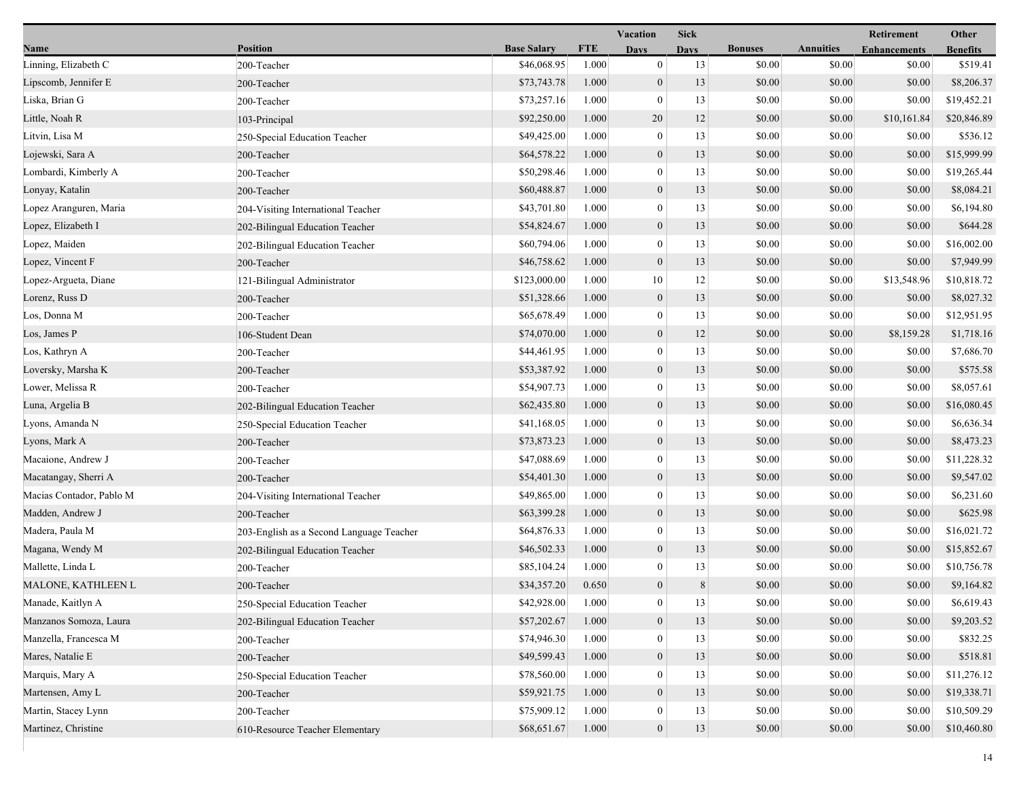|                          |                                          |                    |            | Vacation         | <b>Sick</b> |                |                  | Retirement          | Other           |
|--------------------------|------------------------------------------|--------------------|------------|------------------|-------------|----------------|------------------|---------------------|-----------------|
| <b>Name</b>              | <b>Position</b>                          | <b>Base Salary</b> | <b>FTE</b> | <b>Days</b>      | Davs        | <b>Bonuses</b> | <b>Annuities</b> | <b>Enhancements</b> | <b>Benefits</b> |
| Linning, Elizabeth C     | 200-Teacher                              | \$46,068.95        | 1.000      | $\mathbf{0}$     | 13          | \$0.00         | \$0.00           | \$0.00              | \$519.41        |
| Lipscomb, Jennifer E     | 200-Teacher                              | \$73,743.78        | 1.000      | $\overline{0}$   | 13          | \$0.00         | \$0.00           | \$0.00              | \$8,206.37      |
| Liska, Brian G           | 200-Teacher                              | \$73,257.16        | 1.000      | $\bf{0}$         | 13          | \$0.00         | \$0.00           | \$0.00              | \$19,452.21     |
| Little, Noah R           | 103-Principal                            | \$92,250.00        | 1.000      | 20               | 12          | \$0.00         | \$0.00           | \$10,161.84         | \$20,846.89     |
| Litvin, Lisa M           | 250-Special Education Teacher            | \$49,425.00        | 1.000      | $\bf{0}$         | 13          | \$0.00         | \$0.00           | \$0.00              | \$536.12        |
| Lojewski, Sara A         | 200-Teacher                              | \$64,578.22        | 1.000      | $\mathbf{0}$     | 13          | \$0.00         | \$0.00           | \$0.00              | \$15,999.99     |
| Lombardi, Kimberly A     | 200-Teacher                              | \$50,298.46        | 1.000      | $\overline{0}$   | 13          | \$0.00         | \$0.00           | \$0.00              | \$19,265.44     |
| Lonyay, Katalin          | 200-Teacher                              | \$60,488.87        | 1.000      | $\mathbf{0}$     | 13          | \$0.00         | \$0.00           | \$0.00              | \$8,084.21      |
| Lopez Aranguren, Maria   | 204-Visiting International Teacher       | \$43,701.80        | 1.000      | $\boldsymbol{0}$ | 13          | \$0.00         | \$0.00           | \$0.00              | \$6,194.80      |
| Lopez, Elizabeth I       | 202-Bilingual Education Teacher          | \$54,824.67        | 1.000      | $\boldsymbol{0}$ | 13          | \$0.00         | \$0.00           | \$0.00              | \$644.28        |
| Lopez, Maiden            | 202-Bilingual Education Teacher          | \$60,794.06        | 1.000      | $\bf{0}$         | 13          | \$0.00         | \$0.00           | \$0.00              | \$16,002.00     |
| Lopez, Vincent F         | 200-Teacher                              | \$46,758.62        | 1.000      | $\boldsymbol{0}$ | 13          | \$0.00         | \$0.00           | \$0.00              | \$7,949.99      |
| Lopez-Argueta, Diane     | 121-Bilingual Administrator              | \$123,000.00       | 1.000      | 10               | 12          | \$0.00         | \$0.00           | \$13,548.96         | \$10,818.72     |
| Lorenz, Russ D           | 200-Teacher                              | \$51,328.66        | 1.000      | $\boldsymbol{0}$ | 13          | \$0.00         | \$0.00           | \$0.00              | \$8,027.32      |
| Los, Donna M             | 200-Teacher                              | \$65,678.49        | 1.000      | $\boldsymbol{0}$ | 13          | \$0.00         | \$0.00           | \$0.00              | \$12,951.95     |
| Los, James P             | 106-Student Dean                         | \$74,070.00        | 1.000      | $\mathbf{0}$     | 12          | \$0.00         | \$0.00           | \$8,159.28          | \$1,718.16      |
| Los, Kathryn A           | 200-Teacher                              | \$44,461.95        | 1.000      | $\bf{0}$         | 13          | \$0.00         | \$0.00           | \$0.00              | \$7,686.70      |
| Loversky, Marsha K       | 200-Teacher                              | \$53,387.92        | 1.000      | $\overline{0}$   | 13          | \$0.00         | \$0.00           | \$0.00              | \$575.58        |
| Lower, Melissa R         | 200-Teacher                              | \$54,907.73        | 1.000      | $\overline{0}$   | 13          | \$0.00         | \$0.00           | \$0.00              | \$8,057.61      |
| Luna, Argelia B          | 202-Bilingual Education Teacher          | \$62,435.80        | 1.000      | $\mathbf{0}$     | 13          | \$0.00         | \$0.00           | \$0.00              | \$16,080.45     |
| Lyons, Amanda N          | 250-Special Education Teacher            | \$41,168.05        | 1.000      | $\boldsymbol{0}$ | 13          | \$0.00         | \$0.00           | \$0.00              | \$6,636.34      |
| Lyons, Mark A            | 200-Teacher                              | \$73,873.23        | 1.000      | $\mathbf{0}$     | 13          | \$0.00         | \$0.00           | \$0.00              | \$8,473.23      |
| Macaione, Andrew J       | 200-Teacher                              | \$47,088.69        | 1.000      | $\bf{0}$         | 13          | \$0.00         | \$0.00           | \$0.00              | \$11,228.32     |
| Macatangay, Sherri A     | 200-Teacher                              | \$54,401.30        | 1.000      | $\overline{0}$   | 13          | \$0.00         | \$0.00           | \$0.00              | \$9,547.02      |
| Macias Contador, Pablo M | 204-Visiting International Teacher       | \$49,865.00        | 1.000      | $\bf{0}$         | 13          | \$0.00         | \$0.00           | \$0.00              | \$6,231.60      |
| Madden, Andrew J         | 200-Teacher                              | \$63,399.28        | 1.000      | $\mathbf{0}$     | 13          | \$0.00         | \$0.00           | \$0.00              | \$625.98        |
| Madera, Paula M          | 203-English as a Second Language Teacher | \$64,876.33        | 1.000      | $\boldsymbol{0}$ | 13          | \$0.00         | \$0.00           | \$0.00              | \$16,021.72     |
| Magana, Wendy M          | 202-Bilingual Education Teacher          | \$46,502.33        | 1.000      | $\boldsymbol{0}$ | 13          | \$0.00         | \$0.00           | \$0.00              | \$15,852.67     |
| Mallette, Linda L        | 200-Teacher                              | \$85,104.24        | 1.000      | $\bf{0}$         | 13          | \$0.00         | \$0.00           | \$0.00              | \$10,756.78     |
| MALONE, KATHLEEN L       | 200-Teacher                              | \$34,357.20        | 0.650      | $\overline{0}$   | 8           | \$0.00         | \$0.00           | \$0.00              | \$9,164.82      |
| Manade, Kaitlyn A        | 250-Special Education Teacher            | \$42,928.00        | 1.000      | $\bf{0}$         | 13          | \$0.00         | \$0.00           | \$0.00              | \$6,619.43      |
| Manzanos Somoza, Laura   | 202-Bilingual Education Teacher          | \$57,202.67        | 1.000      | $\boldsymbol{0}$ | 13          | \$0.00         | \$0.00           | \$0.00              | \$9,203.52      |
| Manzella, Francesca M    | 200-Teacher                              | \$74,946.30        | 1.000      | $\bf{0}$         | 13          | \$0.00         | \$0.00           | \$0.00              | \$832.25        |
| Mares, Natalie E         | 200-Teacher                              | \$49,599.43        | 1.000      | $\mathbf{0}$     | 13          | \$0.00         | \$0.00           | \$0.00              | \$518.81        |
| Marquis, Mary A          | 250-Special Education Teacher            | \$78,560.00        | 1.000      | $\theta$         | 13          | \$0.00         | \$0.00           | \$0.00              | \$11,276.12     |
| Martensen, Amy L         | 200-Teacher                              | \$59,921.75        | 1.000      | $\overline{0}$   | 13          | \$0.00         | \$0.00           | \$0.00              | \$19,338.71     |
| Martin, Stacey Lynn      | 200-Teacher                              | \$75,909.12        | 1.000      | $\bf{0}$         | 13          | \$0.00         | \$0.00           | \$0.00              | \$10,509.29     |
| Martinez, Christine      | 610-Resource Teacher Elementary          | \$68,651.67        | 1.000      | $\mathbf{0}$     | 13          | \$0.00         | \$0.00           | \$0.00              | \$10,460.80     |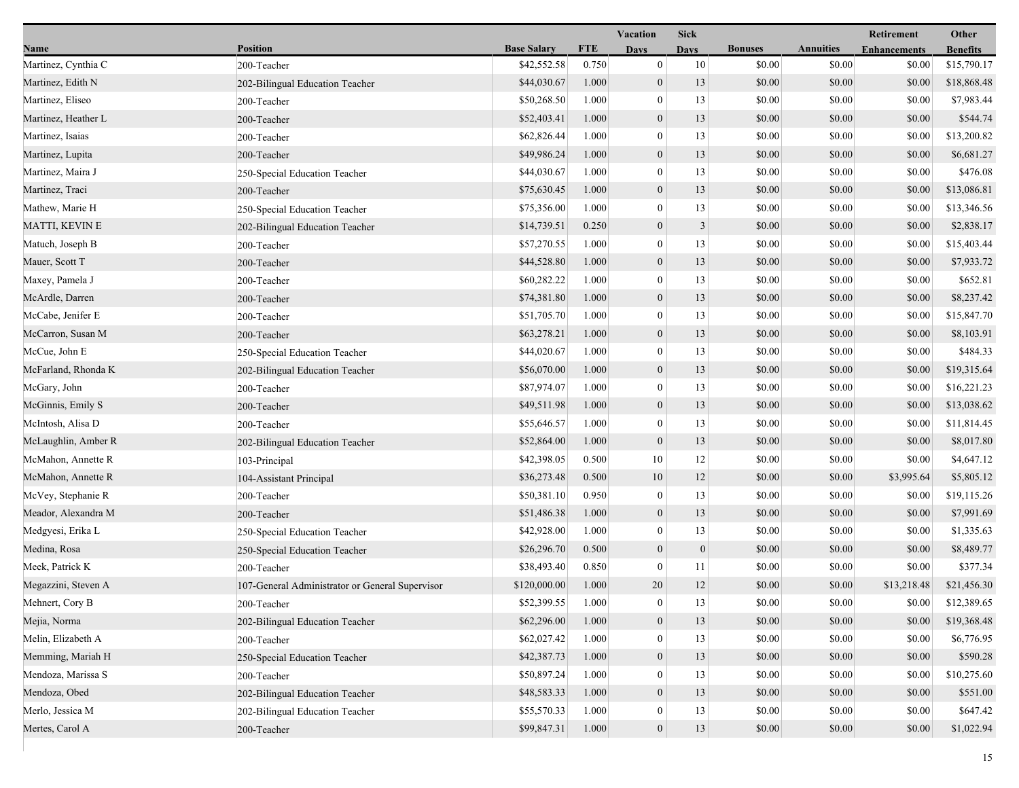|                     |                                                 |                    | <b>Vacation</b><br><b>Sick</b> |                  |                  |                |                  | Other               |                 |
|---------------------|-------------------------------------------------|--------------------|--------------------------------|------------------|------------------|----------------|------------------|---------------------|-----------------|
| Name                | <b>Position</b>                                 | <b>Base Salary</b> | <b>FTE</b>                     | <b>Days</b>      | <b>Days</b>      | <b>Bonuses</b> | <b>Annuities</b> | <b>Enhancements</b> | <b>Benefits</b> |
| Martinez, Cynthia C | 200-Teacher                                     | \$42,552.58        | 0.750                          | $\boldsymbol{0}$ | 10               | \$0.00         | \$0.00           | \$0.00              | \$15,790.17     |
| Martinez, Edith N   | 202-Bilingual Education Teacher                 | \$44,030.67        | 1.000                          | $\mathbf{0}$     | 13               | \$0.00         | \$0.00           | \$0.00              | \$18,868.48     |
| Martinez, Eliseo    | 200-Teacher                                     | \$50,268.50        | 1.000                          | $\bf{0}$         | 13               | \$0.00         | \$0.00           | \$0.00              | \$7,983.44      |
| Martinez, Heather L | 200-Teacher                                     | \$52,403.41        | 1.000                          | $\mathbf{0}$     | 13               | \$0.00         | \$0.00           | \$0.00              | \$544.74        |
| Martinez, Isaias    | 200-Teacher                                     | \$62,826.44        | 1.000                          | $\bf{0}$         | 13               | \$0.00         | \$0.00           | \$0.00              | \$13,200.82     |
| Martinez, Lupita    | 200-Teacher                                     | \$49,986.24        | 1.000                          | $\boldsymbol{0}$ | 13               | \$0.00         | \$0.00           | \$0.00              | \$6,681.27      |
| Martinez, Maira J   | 250-Special Education Teacher                   | \$44,030.67        | 1.000                          | $\mathbf{0}$     | 13               | \$0.00         | \$0.00           | \$0.00              | \$476.08        |
| Martinez, Traci     | 200-Teacher                                     | \$75,630.45        | 1.000                          | $\mathbf{0}$     | 13               | \$0.00         | \$0.00           | \$0.00              | \$13,086.81     |
| Mathew, Marie H     | 250-Special Education Teacher                   | \$75,356.00        | 1.000                          | $\bf{0}$         | 13               | \$0.00         | \$0.00           | \$0.00              | \$13,346.56     |
| MATTI, KEVIN E      | 202-Bilingual Education Teacher                 | \$14,739.51        | 0.250                          | $\mathbf{0}$     | $\mathfrak{Z}$   | \$0.00         | \$0.00           | \$0.00              | \$2,838.17      |
| Matuch, Joseph B    | 200-Teacher                                     | \$57,270.55        | 1.000                          | $\bf{0}$         | 13               | \$0.00         | \$0.00           | \$0.00              | \$15,403.44     |
| Mauer, Scott T      | 200-Teacher                                     | \$44,528.80        | 1.000                          | $\mathbf{0}$     | 13               | \$0.00         | \$0.00           | \$0.00              | \$7,933.72      |
| Maxey, Pamela J     | 200-Teacher                                     | \$60,282.22        | 1.000                          | $\mathbf{0}$     | 13               | \$0.00         | \$0.00           | \$0.00              | \$652.81        |
| McArdle, Darren     | 200-Teacher                                     | \$74,381.80        | 1.000                          | $\mathbf{0}$     | 13               | \$0.00         | \$0.00           | \$0.00              | \$8,237.42      |
| McCabe, Jenifer E   | 200-Teacher                                     | \$51,705.70        | 1.000                          | $\boldsymbol{0}$ | 13               | \$0.00         | \$0.00           | \$0.00              | \$15,847.70     |
| McCarron, Susan M   | 200-Teacher                                     | \$63,278.21        | 1.000                          | $\mathbf{0}$     | 13               | \$0.00         | \$0.00           | \$0.00              | \$8,103.91      |
| McCue, John E       | 250-Special Education Teacher                   | \$44,020.67        | 1.000                          | $\bf{0}$         | 13               | \$0.00         | \$0.00           | \$0.00              | \$484.33        |
| McFarland, Rhonda K | 202-Bilingual Education Teacher                 | \$56,070.00        | 1.000                          | $\mathbf{0}$     | 13               | \$0.00         | \$0.00           | \$0.00              | \$19,315.64     |
| McGary, John        | 200-Teacher                                     | \$87,974.07        | 1.000                          | $\bf{0}$         | 13               | \$0.00         | \$0.00           | \$0.00              | \$16,221.23     |
| McGinnis, Emily S   | 200-Teacher                                     | \$49,511.98        | 1.000                          | $\mathbf{0}$     | 13               | \$0.00         | \$0.00           | \$0.00              | \$13,038.62     |
| McIntosh, Alisa D   | 200-Teacher                                     | \$55,646.57        | 1.000                          | $\boldsymbol{0}$ | 13               | \$0.00         | \$0.00           | \$0.00              | \$11,814.45     |
| McLaughlin, Amber R | 202-Bilingual Education Teacher                 | \$52,864.00        | 1.000                          | $\mathbf{0}$     | 13               | \$0.00         | \$0.00           | \$0.00              | \$8,017.80      |
| McMahon, Annette R  | 103-Principal                                   | \$42,398.05        | 0.500                          | 10               | 12               | \$0.00         | \$0.00           | \$0.00              | \$4,647.12      |
| McMahon, Annette R  | 104-Assistant Principal                         | \$36,273.48        | 0.500                          | 10               | 12               | \$0.00         | \$0.00           | \$3,995.64          | \$5,805.12      |
| McVey, Stephanie R  | 200-Teacher                                     | \$50,381.10        | 0.950                          | $\bf{0}$         | 13               | \$0.00         | \$0.00           | \$0.00              | \$19,115.26     |
| Meador, Alexandra M | 200-Teacher                                     | \$51,486.38        | 1.000                          | $\mathbf{0}$     | 13               | \$0.00         | \$0.00           | \$0.00              | \$7,991.69      |
| Medgyesi, Erika L   | 250-Special Education Teacher                   | \$42,928.00        | 1.000                          | $\boldsymbol{0}$ | 13               | \$0.00         | \$0.00           | \$0.00              | \$1,335.63      |
| Medina, Rosa        | 250-Special Education Teacher                   | \$26,296.70        | 0.500                          | $\boldsymbol{0}$ | $\boldsymbol{0}$ | \$0.00         | \$0.00           | \$0.00              | \$8,489.77      |
| Meek, Patrick K     | 200-Teacher                                     | \$38,493.40        | 0.850                          | $\mathbf{0}$     | 11               | \$0.00         | \$0.00           | \$0.00              | \$377.34        |
| Megazzini, Steven A | 107-General Administrator or General Supervisor | \$120,000.00       | 1.000                          | 20               | 12               | \$0.00         | \$0.00           | \$13,218.48         | \$21,456.30     |
| Mehnert, Cory B     | 200-Teacher                                     | \$52,399.55        | 1.000                          | $\bf{0}$         | 13               | \$0.00         | \$0.00           | \$0.00              | \$12,389.65     |
| Mejia, Norma        | 202-Bilingual Education Teacher                 | \$62,296.00        | 1.000                          | $\mathbf{0}$     | 13               | \$0.00         | \$0.00           | \$0.00              | \$19,368.48     |
| Melin, Elizabeth A  | 200-Teacher                                     | \$62,027.42        | 1.000                          | $\mathbf{0}$     | 13               | \$0.00         | \$0.00           | \$0.00              | \$6,776.95      |
| Memming, Mariah H   | 250-Special Education Teacher                   | \$42,387.73        | 1.000                          | $\mathbf{0}$     | 13               | \$0.00         | \$0.00           | \$0.00              | \$590.28        |
| Mendoza, Marissa S  | 200-Teacher                                     | \$50,897.24        | 1.000                          | $\theta$         | 13               | \$0.00         | \$0.00           | \$0.00              | \$10,275.60     |
| Mendoza, Obed       | 202-Bilingual Education Teacher                 | \$48,583.33        | 1.000                          | $\mathbf{0}$     | 13               | \$0.00         | \$0.00           | \$0.00              | \$551.00        |
| Merlo, Jessica M    | 202-Bilingual Education Teacher                 | \$55,570.33        | 1.000                          | $\bf{0}$         | 13               | \$0.00         | \$0.00           | \$0.00              | \$647.42        |
| Mertes, Carol A     | 200-Teacher                                     | \$99,847.31        | 1.000                          | $\mathbf{0}$     | 13               | \$0.00         | \$0.00           | \$0.00              | \$1,022.94      |
|                     |                                                 |                    |                                |                  |                  |                |                  |                     |                 |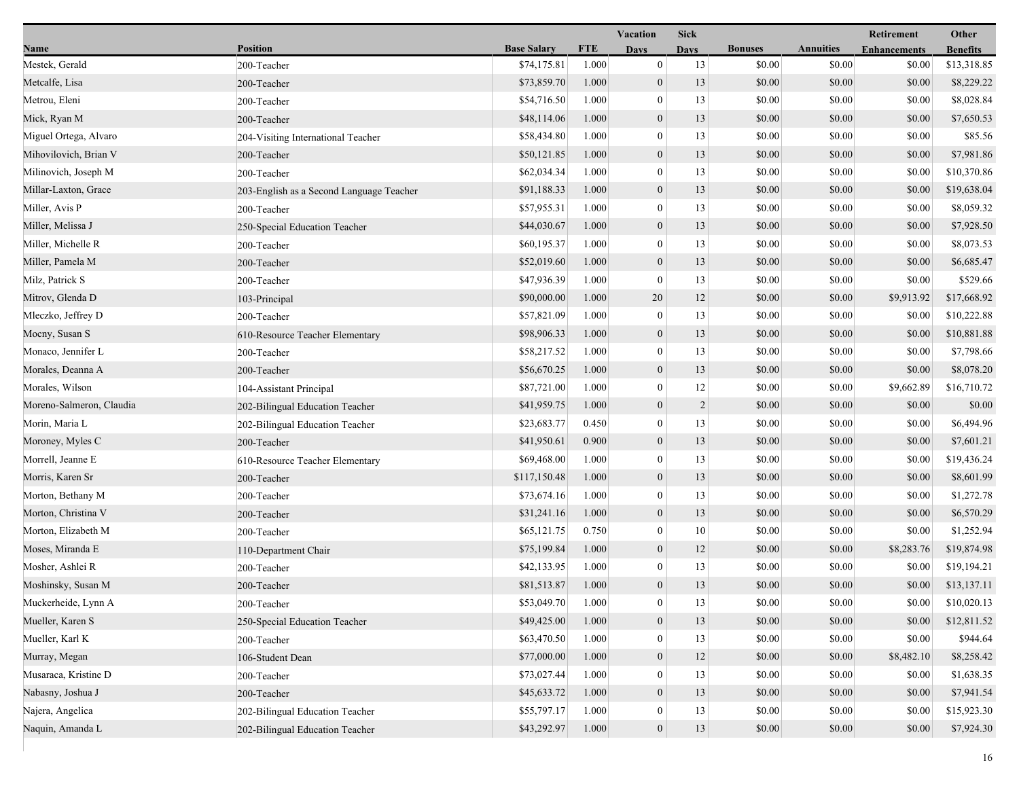|                          | <b>Vacation</b><br><b>Sick</b>           |                    |            |                  |                | Retirement     |                  |                     |                 |
|--------------------------|------------------------------------------|--------------------|------------|------------------|----------------|----------------|------------------|---------------------|-----------------|
| Name                     | <b>Position</b>                          | <b>Base Salary</b> | <b>FTE</b> | Davs             | <b>Days</b>    | <b>Bonuses</b> | <b>Annuities</b> | <b>Enhancements</b> | <b>Benefits</b> |
| Mestek, Gerald           | 200-Teacher                              | \$74,175.81        | 1.000      | $\boldsymbol{0}$ | 13             | \$0.00         | \$0.00           | \$0.00              | \$13,318.85     |
| Metcalfe, Lisa           | 200-Teacher                              | \$73,859.70        | 1.000      | $\mathbf{0}$     | 13             | \$0.00         | \$0.00           | \$0.00              | \$8,229.22      |
| Metrou, Eleni            | 200-Teacher                              | \$54,716.50        | 1.000      | $\bf{0}$         | 13             | \$0.00         | \$0.00           | \$0.00              | \$8,028.84      |
| Mick, Ryan M             | 200-Teacher                              | \$48,114.06        | 1.000      | $\mathbf{0}$     | 13             | \$0.00         | \$0.00           | \$0.00              | \$7,650.53      |
| Miguel Ortega, Alvaro    | 204-Visiting International Teacher       | \$58,434.80        | 1.000      | $\bf{0}$         | 13             | \$0.00         | \$0.00           | \$0.00              | \$85.56         |
| Mihovilovich, Brian V    | 200-Teacher                              | \$50,121.85        | 1.000      | $\mathbf{0}$     | 13             | \$0.00         | \$0.00           | \$0.00              | \$7,981.86      |
| Milinovich, Joseph M     | 200-Teacher                              | \$62,034.34        | 1.000      | $\mathbf{0}$     | 13             | \$0.00         | \$0.00           | \$0.00              | \$10,370.86     |
| Millar-Laxton, Grace     | 203-English as a Second Language Teacher | \$91,188.33        | 1.000      | $\mathbf{0}$     | 13             | \$0.00         | \$0.00           | \$0.00              | \$19,638.04     |
| Miller, Avis P           | 200-Teacher                              | \$57,955.31        | 1.000      | $\boldsymbol{0}$ | 13             | \$0.00         | \$0.00           | \$0.00              | \$8,059.32      |
| Miller, Melissa J        | 250-Special Education Teacher            | \$44,030.67        | 1.000      | $\mathbf{0}$     | 13             | \$0.00         | \$0.00           | \$0.00              | \$7,928.50      |
| Miller, Michelle R       | 200-Teacher                              | \$60,195.37        | 1.000      | $\bf{0}$         | 13             | \$0.00         | \$0.00           | \$0.00              | \$8,073.53      |
| Miller, Pamela M         | 200-Teacher                              | \$52,019.60        | 1.000      | $\mathbf{0}$     | 13             | \$0.00         | \$0.00           | \$0.00              | \$6,685.47      |
| Milz, Patrick S          | 200-Teacher                              | \$47,936.39        | 1.000      | $\mathbf{0}$     | 13             | \$0.00         | \$0.00           | \$0.00              | \$529.66        |
| Mitrov, Glenda D         | 103-Principal                            | \$90,000.00        | 1.000      | 20               | 12             | \$0.00         | \$0.00           | \$9,913.92          | \$17,668.92     |
| Mleczko, Jeffrey D       | 200-Teacher                              | \$57,821.09        | 1.000      | $\bf{0}$         | 13             | \$0.00         | \$0.00           | \$0.00              | \$10,222.88     |
| Mocny, Susan S           | 610-Resource Teacher Elementary          | \$98,906.33        | 1.000      | $\mathbf{0}$     | 13             | \$0.00         | \$0.00           | \$0.00              | \$10,881.88     |
| Monaco, Jennifer L       | 200-Teacher                              | \$58,217.52        | 1.000      | $\bf{0}$         | 13             | \$0.00         | \$0.00           | \$0.00              | \$7,798.66      |
| Morales, Deanna A        | 200-Teacher                              | \$56,670.25        | 1.000      | $\mathbf{0}$     | 13             | \$0.00         | \$0.00           | \$0.00              | \$8,078.20      |
| Morales, Wilson          | 104-Assistant Principal                  | \$87,721.00        | 1.000      | $\mathbf{0}$     | 12             | \$0.00         | \$0.00           | \$9,662.89          | \$16,710.72     |
| Moreno-Salmeron, Claudia | 202-Bilingual Education Teacher          | \$41,959.75        | 1.000      | $\mathbf{0}$     | $\overline{2}$ | \$0.00         | \$0.00           | \$0.00              | \$0.00          |
| Morin, Maria L           | 202-Bilingual Education Teacher          | \$23,683.77        | 0.450      | $\boldsymbol{0}$ | 13             | \$0.00         | \$0.00           | \$0.00              | \$6,494.96      |
| Moroney, Myles C         | 200-Teacher                              | \$41,950.61        | 0.900      | $\boldsymbol{0}$ | 13             | \$0.00         | \$0.00           | \$0.00              | \$7,601.21      |
| Morrell, Jeanne E        | 610-Resource Teacher Elementary          | \$69,468.00        | 1.000      | $\mathbf{0}$     | 13             | \$0.00         | \$0.00           | \$0.00              | \$19,436.24     |
| Morris, Karen Sr         | 200-Teacher                              | \$117,150.48       | 1.000      | $\mathbf{0}$     | 13             | \$0.00         | \$0.00           | \$0.00              | \$8,601.99      |
| Morton, Bethany M        | 200-Teacher                              | \$73,674.16        | 1.000      | $\mathbf{0}$     | 13             | \$0.00         | \$0.00           | \$0.00              | \$1,272.78      |
| Morton, Christina V      | 200-Teacher                              | \$31,241.16        | 1.000      | $\mathbf{0}$     | 13             | \$0.00         | \$0.00           | \$0.00              | \$6,570.29      |
| Morton, Elizabeth M      | 200-Teacher                              | \$65,121.75        | 0.750      | $\boldsymbol{0}$ | 10             | \$0.00         | \$0.00           | \$0.00              | \$1,252.94      |
| Moses, Miranda E         | 110-Department Chair                     | \$75,199.84        | 1.000      | $\boldsymbol{0}$ | 12             | \$0.00         | \$0.00           | \$8,283.76          | \$19,874.98     |
| Mosher, Ashlei R         | 200-Teacher                              | \$42,133.95        | 1.000      | $\mathbf{0}$     | 13             | \$0.00         | \$0.00           | \$0.00              | \$19,194.21     |
| Moshinsky, Susan M       | 200-Teacher                              | \$81,513.87        | 1.000      | $\mathbf{0}$     | 13             | \$0.00         | \$0.00           | \$0.00              | \$13,137.11     |
| Muckerheide, Lynn A      | 200-Teacher                              | \$53,049.70        | 1.000      | $\boldsymbol{0}$ | 13             | \$0.00         | \$0.00           | \$0.00              | \$10,020.13     |
| Mueller, Karen S         | 250-Special Education Teacher            | \$49,425.00        | 1.000      | $\mathbf{0}$     | 13             | \$0.00         | \$0.00           | \$0.00              | \$12,811.52     |
| Mueller, Karl K          | 200-Teacher                              | \$63,470.50        | 1.000      | $\mathbf{0}$     | 13             | \$0.00         | \$0.00           | \$0.00              | \$944.64        |
| Murray, Megan            | 106-Student Dean                         | \$77,000.00        | 1.000      | $\mathbf{0}$     | 12             | \$0.00         | \$0.00           | \$8,482.10          | \$8,258.42      |
| Musaraca, Kristine D     | 200-Teacher                              | \$73,027.44        | 1.000      | $\left($         | 13             | \$0.00         | \$0.00           | \$0.00              | \$1,638.35      |
| Nabasny, Joshua J        | 200-Teacher                              | \$45,633.72        | 1.000      | $\mathbf{0}$     | 13             | \$0.00         | \$0.00           | \$0.00              | \$7,941.54      |
| Najera, Angelica         | 202-Bilingual Education Teacher          | \$55,797.17        | 1.000      | $\bf{0}$         | 13             | \$0.00         | \$0.00           | \$0.00              | \$15,923.30     |
| Naquin, Amanda L         | 202-Bilingual Education Teacher          | \$43,292.97        | 1.000      | $\mathbf{0}$     | 13             | \$0.00         | \$0.00           | \$0.00              | \$7,924.30      |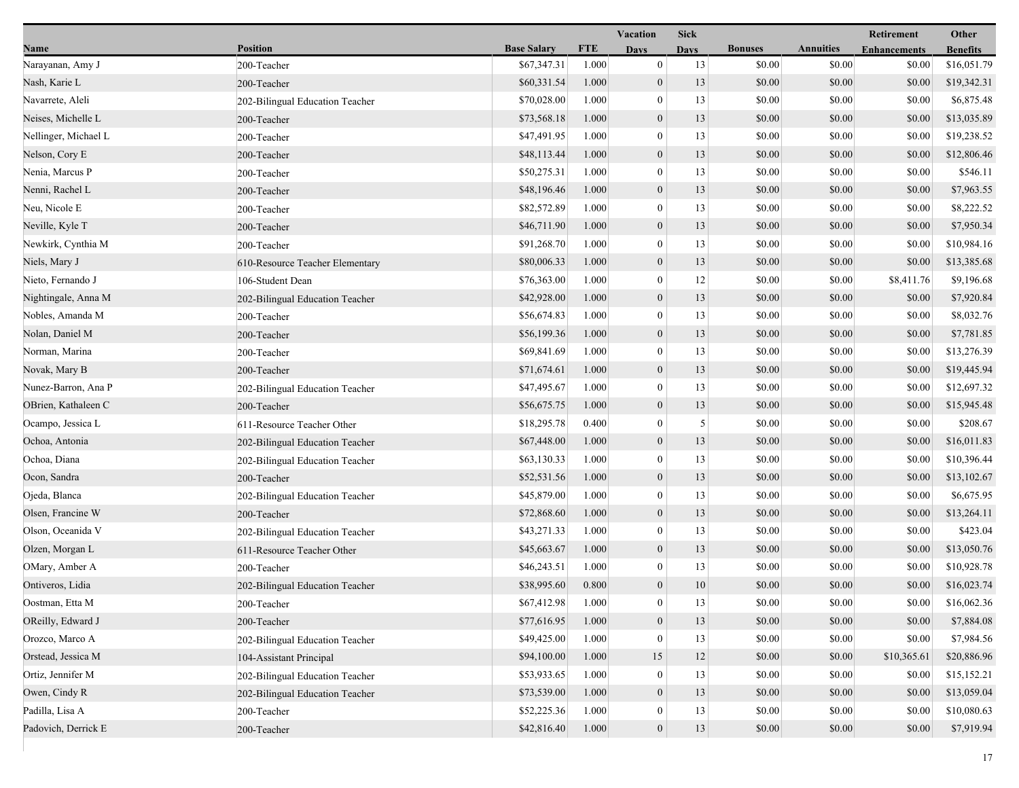| <b>Position</b><br><b>Base Salary</b><br><b>FTE</b><br><b>Bonuses</b><br><b>Annuities</b><br>Name<br><b>Days</b><br><b>Enhancements</b><br><b>Days</b><br><b>Benefits</b><br>\$67,347.31<br>1.000<br>$\bf{0}$<br>13<br>\$0.00<br>\$0.00<br>Narayanan, Amy J<br>200-Teacher<br>\$0.00<br>Nash, Karie L<br>\$60,331.54<br>1.000<br>$\mathbf{0}$<br>13<br>\$0.00<br>\$0.00<br>\$0.00<br>200-Teacher<br>Navarrete, Aleli<br>\$70,028.00<br>1.000<br>$\boldsymbol{0}$<br>13<br>\$0.00<br>\$0.00<br>\$0.00<br>202-Bilingual Education Teacher<br>Neises, Michelle L<br>\$73,568.18<br>1.000<br>$\boldsymbol{0}$<br>13<br>\$0.00<br>\$0.00<br>\$0.00<br>200-Teacher<br>\$0.00<br>Nellinger, Michael L<br>\$47,491.95<br>1.000<br>$\boldsymbol{0}$<br>13<br>\$0.00<br>\$0.00<br>200-Teacher<br>Nelson, Cory E<br>\$48,113.44<br>1.000<br>$\boldsymbol{0}$<br>13<br>\$0.00<br>\$0.00<br>\$0.00<br>200-Teacher<br>\$50,275.31<br>1.000<br>$\bf{0}$<br>13<br>\$0.00<br>\$0.00<br>\$0.00<br>\$546.11<br>Nenia, Marcus P<br>200-Teacher<br>$\mathbf{0}$<br>\$0.00<br>Nenni, Rachel L<br>\$48,196.46<br>1.000<br>13<br>\$0.00<br>\$0.00<br>200-Teacher<br>Neu, Nicole E<br>\$82,572.89<br>1.000<br>$\boldsymbol{0}$<br>13<br>\$0.00<br>\$0.00<br>\$0.00<br>200-Teacher<br>\$46,711.90<br>Neville, Kyle T<br>1.000<br>$\boldsymbol{0}$<br>13<br>\$0.00<br>\$0.00<br>\$0.00<br>200-Teacher<br>\$0.00<br>Newkirk, Cynthia M<br>\$91,268.70<br>1.000<br>$\boldsymbol{0}$<br>13<br>\$0.00<br>\$0.00<br>200-Teacher<br>Niels, Mary J<br>\$80,006.33<br>1.000<br>$\boldsymbol{0}$<br>13<br>\$0.00<br>\$0.00<br>\$0.00<br>610-Resource Teacher Elementary<br>Nieto, Fernando J<br>\$76,363.00<br>12<br>\$0.00<br>\$0.00<br>1.000<br>$\mathbf{0}$<br>\$8,411.76<br>106-Student Dean<br>Nightingale, Anna M<br>\$42,928.00<br>1.000<br>$\boldsymbol{0}$<br>13<br>\$0.00<br>\$0.00<br>\$0.00<br>202-Bilingual Education Teacher<br>1.000<br>$\boldsymbol{0}$<br>13<br>Nobles, Amanda M<br>\$56,674.83<br>\$0.00<br>\$0.00<br>\$0.00<br>200-Teacher<br>\$56,199.36<br>Nolan, Daniel M<br>1.000<br>$\mathbf{0}$<br>13<br>\$0.00<br>\$0.00<br>\$0.00<br>200-Teacher<br>\$69,841.69<br>\$0.00<br>\$0.00<br>Norman, Marina<br>1.000<br>$\boldsymbol{0}$<br>13<br>\$0.00<br>200-Teacher<br>Novak, Mary B<br>\$71,674.61<br>1.000<br>$\boldsymbol{0}$<br>13<br>\$0.00<br>\$0.00<br>\$0.00<br>200-Teacher<br>\$47,495.67<br>\$0.00<br>Nunez-Barron, Ana P<br>1.000<br>$\boldsymbol{0}$<br>13<br>\$0.00<br>\$0.00<br>202-Bilingual Education Teacher<br>OBrien, Kathaleen C<br>\$56,675.75<br>1.000<br>$\mathbf{0}$<br>13<br>\$0.00<br>\$0.00<br>\$0.00<br>200-Teacher<br>$\mathfrak{S}$<br>\$18,295.78<br>0.400<br>$\boldsymbol{0}$<br>\$0.00<br>\$208.67<br>Ocampo, Jessica L<br>\$0.00<br>\$0.00<br>611-Resource Teacher Other<br>\$67,448.00<br>Ochoa, Antonia<br>1.000<br>$\boldsymbol{0}$<br>13<br>\$0.00<br>\$0.00<br>\$0.00<br>202-Bilingual Education Teacher<br>Ochoa, Diana<br>\$63,130.33<br>\$0.00<br>1.000<br>$\boldsymbol{0}$<br>13<br>\$0.00<br>\$0.00<br>\$10,396.44<br>202-Bilingual Education Teacher<br>Ocon, Sandra<br>\$52,531.56<br>1.000<br>$\mathbf{0}$<br>13<br>\$0.00<br>\$0.00<br>\$0.00<br>\$13,102.67<br>200-Teacher<br>Ojeda, Blanca<br>\$45,879.00<br>1.000<br>$\boldsymbol{0}$<br>13<br>\$0.00<br>\$0.00<br>\$0.00<br>202-Bilingual Education Teacher<br>Olsen, Francine W<br>\$72,868.60<br>1.000<br>$\mathbf{0}$<br>13<br>\$0.00<br>\$0.00<br>\$0.00<br>\$13,264.11<br>200-Teacher<br>Olson, Oceanida V<br>1.000<br>$\bf{0}$<br>13<br>\$0.00<br>\$423.04<br>\$43,271.33<br>\$0.00<br>\$0.00<br>202-Bilingual Education Teacher<br>\$45,663.67<br>Olzen, Morgan L<br>1.000<br>$\boldsymbol{0}$<br>13<br>\$0.00<br>\$0.00<br>\$0.00<br>611-Resource Teacher Other<br>OMary, Amber A<br>\$46,243.51<br>1.000<br>$\boldsymbol{0}$<br>13<br>\$0.00<br>\$0.00<br>\$0.00<br>200-Teacher<br>Ontiveros, Lidia<br>\$38,995.60<br>0.800<br>$\overline{0}$<br>10<br>\$0.00<br>\$0.00<br>\$0.00<br>202-Bilingual Education Teacher<br>Oostman, Etta M<br>200-Teacher<br>\$67,412.98<br>1.000<br>$\bf{0}$<br>13<br>\$0.00<br>\$0.00<br>\$0.00<br>OReilly, Edward J<br>\$77,616.95<br>1.000<br>$\mathbf{0}$<br>13<br>\$0.00<br>\$0.00<br>\$0.00<br>200-Teacher<br>Orozco, Marco A<br>$\overline{0}$<br>13<br>\$0.00<br>\$49,425.00<br>1.000<br>\$0.00<br>\$0.00<br>202-Bilingual Education Teacher<br>\$94,100.00<br>Orstead, Jessica M<br>1.000<br>15<br>12<br>\$0.00<br>\$0.00<br>\$10,365.61<br>104-Assistant Principal<br>13<br>\$0.00<br>Ortiz, Jennifer M<br>\$53,933.65<br>1.000<br>$\mathbf{0}$<br>\$0.00<br>\$0.00<br>202-Bilingual Education Teacher<br>13<br>Owen, Cindy R<br>\$73,539.00<br>1.000<br>$\mathbf{0}$<br>\$0.00<br>\$0.00<br>\$0.00<br>202-Bilingual Education Teacher<br>Padilla, Lisa A<br>\$52,225.36<br>13<br>\$0.00<br>1.000<br>$\overline{0}$<br>\$0.00<br>\$0.00<br>200-Teacher<br>Padovich, Derrick E<br>$\mathbf{0}$<br>\$42,816.40<br>1.000<br>13<br>\$0.00<br>\$0.00<br>\$0.00<br>200-Teacher |  | Vacation<br><b>Sick</b> |  |  |  |  | Retirement |             |  |
|--------------------------------------------------------------------------------------------------------------------------------------------------------------------------------------------------------------------------------------------------------------------------------------------------------------------------------------------------------------------------------------------------------------------------------------------------------------------------------------------------------------------------------------------------------------------------------------------------------------------------------------------------------------------------------------------------------------------------------------------------------------------------------------------------------------------------------------------------------------------------------------------------------------------------------------------------------------------------------------------------------------------------------------------------------------------------------------------------------------------------------------------------------------------------------------------------------------------------------------------------------------------------------------------------------------------------------------------------------------------------------------------------------------------------------------------------------------------------------------------------------------------------------------------------------------------------------------------------------------------------------------------------------------------------------------------------------------------------------------------------------------------------------------------------------------------------------------------------------------------------------------------------------------------------------------------------------------------------------------------------------------------------------------------------------------------------------------------------------------------------------------------------------------------------------------------------------------------------------------------------------------------------------------------------------------------------------------------------------------------------------------------------------------------------------------------------------------------------------------------------------------------------------------------------------------------------------------------------------------------------------------------------------------------------------------------------------------------------------------------------------------------------------------------------------------------------------------------------------------------------------------------------------------------------------------------------------------------------------------------------------------------------------------------------------------------------------------------------------------------------------------------------------------------------------------------------------------------------------------------------------------------------------------------------------------------------------------------------------------------------------------------------------------------------------------------------------------------------------------------------------------------------------------------------------------------------------------------------------------------------------------------------------------------------------------------------------------------------------------------------------------------------------------------------------------------------------------------------------------------------------------------------------------------------------------------------------------------------------------------------------------------------------------------------------------------------------------------------------------------------------------------------------------------------------------------------------------------------------------------------------------------------------------------------------------------------------------------------------------------------------------------------------------------------------------------------------------------------------------------------------------------------------------------------------------------------------------------------------------------------------------------------------------------------------------------------------------------------------------------------------------------------------------------------------------------------------------------------------------------------------------------------------------------------------------------------------------------------------------------------------------------|--|-------------------------|--|--|--|--|------------|-------------|--|
|                                                                                                                                                                                                                                                                                                                                                                                                                                                                                                                                                                                                                                                                                                                                                                                                                                                                                                                                                                                                                                                                                                                                                                                                                                                                                                                                                                                                                                                                                                                                                                                                                                                                                                                                                                                                                                                                                                                                                                                                                                                                                                                                                                                                                                                                                                                                                                                                                                                                                                                                                                                                                                                                                                                                                                                                                                                                                                                                                                                                                                                                                                                                                                                                                                                                                                                                                                                                                                                                                                                                                                                                                                                                                                                                                                                                                                                                                                                                                                                                                                                                                                                                                                                                                                                                                                                                                                                                                                                                                                                                                                                                                                                                                                                                                                                                                                                                                                                                                                                                                    |  |                         |  |  |  |  |            |             |  |
|                                                                                                                                                                                                                                                                                                                                                                                                                                                                                                                                                                                                                                                                                                                                                                                                                                                                                                                                                                                                                                                                                                                                                                                                                                                                                                                                                                                                                                                                                                                                                                                                                                                                                                                                                                                                                                                                                                                                                                                                                                                                                                                                                                                                                                                                                                                                                                                                                                                                                                                                                                                                                                                                                                                                                                                                                                                                                                                                                                                                                                                                                                                                                                                                                                                                                                                                                                                                                                                                                                                                                                                                                                                                                                                                                                                                                                                                                                                                                                                                                                                                                                                                                                                                                                                                                                                                                                                                                                                                                                                                                                                                                                                                                                                                                                                                                                                                                                                                                                                                                    |  |                         |  |  |  |  |            | \$16,051.79 |  |
|                                                                                                                                                                                                                                                                                                                                                                                                                                                                                                                                                                                                                                                                                                                                                                                                                                                                                                                                                                                                                                                                                                                                                                                                                                                                                                                                                                                                                                                                                                                                                                                                                                                                                                                                                                                                                                                                                                                                                                                                                                                                                                                                                                                                                                                                                                                                                                                                                                                                                                                                                                                                                                                                                                                                                                                                                                                                                                                                                                                                                                                                                                                                                                                                                                                                                                                                                                                                                                                                                                                                                                                                                                                                                                                                                                                                                                                                                                                                                                                                                                                                                                                                                                                                                                                                                                                                                                                                                                                                                                                                                                                                                                                                                                                                                                                                                                                                                                                                                                                                                    |  |                         |  |  |  |  |            | \$19,342.31 |  |
|                                                                                                                                                                                                                                                                                                                                                                                                                                                                                                                                                                                                                                                                                                                                                                                                                                                                                                                                                                                                                                                                                                                                                                                                                                                                                                                                                                                                                                                                                                                                                                                                                                                                                                                                                                                                                                                                                                                                                                                                                                                                                                                                                                                                                                                                                                                                                                                                                                                                                                                                                                                                                                                                                                                                                                                                                                                                                                                                                                                                                                                                                                                                                                                                                                                                                                                                                                                                                                                                                                                                                                                                                                                                                                                                                                                                                                                                                                                                                                                                                                                                                                                                                                                                                                                                                                                                                                                                                                                                                                                                                                                                                                                                                                                                                                                                                                                                                                                                                                                                                    |  |                         |  |  |  |  |            | \$6,875.48  |  |
|                                                                                                                                                                                                                                                                                                                                                                                                                                                                                                                                                                                                                                                                                                                                                                                                                                                                                                                                                                                                                                                                                                                                                                                                                                                                                                                                                                                                                                                                                                                                                                                                                                                                                                                                                                                                                                                                                                                                                                                                                                                                                                                                                                                                                                                                                                                                                                                                                                                                                                                                                                                                                                                                                                                                                                                                                                                                                                                                                                                                                                                                                                                                                                                                                                                                                                                                                                                                                                                                                                                                                                                                                                                                                                                                                                                                                                                                                                                                                                                                                                                                                                                                                                                                                                                                                                                                                                                                                                                                                                                                                                                                                                                                                                                                                                                                                                                                                                                                                                                                                    |  |                         |  |  |  |  |            | \$13,035.89 |  |
|                                                                                                                                                                                                                                                                                                                                                                                                                                                                                                                                                                                                                                                                                                                                                                                                                                                                                                                                                                                                                                                                                                                                                                                                                                                                                                                                                                                                                                                                                                                                                                                                                                                                                                                                                                                                                                                                                                                                                                                                                                                                                                                                                                                                                                                                                                                                                                                                                                                                                                                                                                                                                                                                                                                                                                                                                                                                                                                                                                                                                                                                                                                                                                                                                                                                                                                                                                                                                                                                                                                                                                                                                                                                                                                                                                                                                                                                                                                                                                                                                                                                                                                                                                                                                                                                                                                                                                                                                                                                                                                                                                                                                                                                                                                                                                                                                                                                                                                                                                                                                    |  |                         |  |  |  |  |            | \$19,238.52 |  |
|                                                                                                                                                                                                                                                                                                                                                                                                                                                                                                                                                                                                                                                                                                                                                                                                                                                                                                                                                                                                                                                                                                                                                                                                                                                                                                                                                                                                                                                                                                                                                                                                                                                                                                                                                                                                                                                                                                                                                                                                                                                                                                                                                                                                                                                                                                                                                                                                                                                                                                                                                                                                                                                                                                                                                                                                                                                                                                                                                                                                                                                                                                                                                                                                                                                                                                                                                                                                                                                                                                                                                                                                                                                                                                                                                                                                                                                                                                                                                                                                                                                                                                                                                                                                                                                                                                                                                                                                                                                                                                                                                                                                                                                                                                                                                                                                                                                                                                                                                                                                                    |  |                         |  |  |  |  |            | \$12,806.46 |  |
|                                                                                                                                                                                                                                                                                                                                                                                                                                                                                                                                                                                                                                                                                                                                                                                                                                                                                                                                                                                                                                                                                                                                                                                                                                                                                                                                                                                                                                                                                                                                                                                                                                                                                                                                                                                                                                                                                                                                                                                                                                                                                                                                                                                                                                                                                                                                                                                                                                                                                                                                                                                                                                                                                                                                                                                                                                                                                                                                                                                                                                                                                                                                                                                                                                                                                                                                                                                                                                                                                                                                                                                                                                                                                                                                                                                                                                                                                                                                                                                                                                                                                                                                                                                                                                                                                                                                                                                                                                                                                                                                                                                                                                                                                                                                                                                                                                                                                                                                                                                                                    |  |                         |  |  |  |  |            |             |  |
|                                                                                                                                                                                                                                                                                                                                                                                                                                                                                                                                                                                                                                                                                                                                                                                                                                                                                                                                                                                                                                                                                                                                                                                                                                                                                                                                                                                                                                                                                                                                                                                                                                                                                                                                                                                                                                                                                                                                                                                                                                                                                                                                                                                                                                                                                                                                                                                                                                                                                                                                                                                                                                                                                                                                                                                                                                                                                                                                                                                                                                                                                                                                                                                                                                                                                                                                                                                                                                                                                                                                                                                                                                                                                                                                                                                                                                                                                                                                                                                                                                                                                                                                                                                                                                                                                                                                                                                                                                                                                                                                                                                                                                                                                                                                                                                                                                                                                                                                                                                                                    |  |                         |  |  |  |  |            | \$7,963.55  |  |
|                                                                                                                                                                                                                                                                                                                                                                                                                                                                                                                                                                                                                                                                                                                                                                                                                                                                                                                                                                                                                                                                                                                                                                                                                                                                                                                                                                                                                                                                                                                                                                                                                                                                                                                                                                                                                                                                                                                                                                                                                                                                                                                                                                                                                                                                                                                                                                                                                                                                                                                                                                                                                                                                                                                                                                                                                                                                                                                                                                                                                                                                                                                                                                                                                                                                                                                                                                                                                                                                                                                                                                                                                                                                                                                                                                                                                                                                                                                                                                                                                                                                                                                                                                                                                                                                                                                                                                                                                                                                                                                                                                                                                                                                                                                                                                                                                                                                                                                                                                                                                    |  |                         |  |  |  |  |            | \$8,222.52  |  |
|                                                                                                                                                                                                                                                                                                                                                                                                                                                                                                                                                                                                                                                                                                                                                                                                                                                                                                                                                                                                                                                                                                                                                                                                                                                                                                                                                                                                                                                                                                                                                                                                                                                                                                                                                                                                                                                                                                                                                                                                                                                                                                                                                                                                                                                                                                                                                                                                                                                                                                                                                                                                                                                                                                                                                                                                                                                                                                                                                                                                                                                                                                                                                                                                                                                                                                                                                                                                                                                                                                                                                                                                                                                                                                                                                                                                                                                                                                                                                                                                                                                                                                                                                                                                                                                                                                                                                                                                                                                                                                                                                                                                                                                                                                                                                                                                                                                                                                                                                                                                                    |  |                         |  |  |  |  |            | \$7,950.34  |  |
|                                                                                                                                                                                                                                                                                                                                                                                                                                                                                                                                                                                                                                                                                                                                                                                                                                                                                                                                                                                                                                                                                                                                                                                                                                                                                                                                                                                                                                                                                                                                                                                                                                                                                                                                                                                                                                                                                                                                                                                                                                                                                                                                                                                                                                                                                                                                                                                                                                                                                                                                                                                                                                                                                                                                                                                                                                                                                                                                                                                                                                                                                                                                                                                                                                                                                                                                                                                                                                                                                                                                                                                                                                                                                                                                                                                                                                                                                                                                                                                                                                                                                                                                                                                                                                                                                                                                                                                                                                                                                                                                                                                                                                                                                                                                                                                                                                                                                                                                                                                                                    |  |                         |  |  |  |  |            | \$10,984.16 |  |
|                                                                                                                                                                                                                                                                                                                                                                                                                                                                                                                                                                                                                                                                                                                                                                                                                                                                                                                                                                                                                                                                                                                                                                                                                                                                                                                                                                                                                                                                                                                                                                                                                                                                                                                                                                                                                                                                                                                                                                                                                                                                                                                                                                                                                                                                                                                                                                                                                                                                                                                                                                                                                                                                                                                                                                                                                                                                                                                                                                                                                                                                                                                                                                                                                                                                                                                                                                                                                                                                                                                                                                                                                                                                                                                                                                                                                                                                                                                                                                                                                                                                                                                                                                                                                                                                                                                                                                                                                                                                                                                                                                                                                                                                                                                                                                                                                                                                                                                                                                                                                    |  |                         |  |  |  |  |            | \$13,385.68 |  |
|                                                                                                                                                                                                                                                                                                                                                                                                                                                                                                                                                                                                                                                                                                                                                                                                                                                                                                                                                                                                                                                                                                                                                                                                                                                                                                                                                                                                                                                                                                                                                                                                                                                                                                                                                                                                                                                                                                                                                                                                                                                                                                                                                                                                                                                                                                                                                                                                                                                                                                                                                                                                                                                                                                                                                                                                                                                                                                                                                                                                                                                                                                                                                                                                                                                                                                                                                                                                                                                                                                                                                                                                                                                                                                                                                                                                                                                                                                                                                                                                                                                                                                                                                                                                                                                                                                                                                                                                                                                                                                                                                                                                                                                                                                                                                                                                                                                                                                                                                                                                                    |  |                         |  |  |  |  |            | \$9,196.68  |  |
|                                                                                                                                                                                                                                                                                                                                                                                                                                                                                                                                                                                                                                                                                                                                                                                                                                                                                                                                                                                                                                                                                                                                                                                                                                                                                                                                                                                                                                                                                                                                                                                                                                                                                                                                                                                                                                                                                                                                                                                                                                                                                                                                                                                                                                                                                                                                                                                                                                                                                                                                                                                                                                                                                                                                                                                                                                                                                                                                                                                                                                                                                                                                                                                                                                                                                                                                                                                                                                                                                                                                                                                                                                                                                                                                                                                                                                                                                                                                                                                                                                                                                                                                                                                                                                                                                                                                                                                                                                                                                                                                                                                                                                                                                                                                                                                                                                                                                                                                                                                                                    |  |                         |  |  |  |  |            | \$7,920.84  |  |
|                                                                                                                                                                                                                                                                                                                                                                                                                                                                                                                                                                                                                                                                                                                                                                                                                                                                                                                                                                                                                                                                                                                                                                                                                                                                                                                                                                                                                                                                                                                                                                                                                                                                                                                                                                                                                                                                                                                                                                                                                                                                                                                                                                                                                                                                                                                                                                                                                                                                                                                                                                                                                                                                                                                                                                                                                                                                                                                                                                                                                                                                                                                                                                                                                                                                                                                                                                                                                                                                                                                                                                                                                                                                                                                                                                                                                                                                                                                                                                                                                                                                                                                                                                                                                                                                                                                                                                                                                                                                                                                                                                                                                                                                                                                                                                                                                                                                                                                                                                                                                    |  |                         |  |  |  |  |            | \$8,032.76  |  |
|                                                                                                                                                                                                                                                                                                                                                                                                                                                                                                                                                                                                                                                                                                                                                                                                                                                                                                                                                                                                                                                                                                                                                                                                                                                                                                                                                                                                                                                                                                                                                                                                                                                                                                                                                                                                                                                                                                                                                                                                                                                                                                                                                                                                                                                                                                                                                                                                                                                                                                                                                                                                                                                                                                                                                                                                                                                                                                                                                                                                                                                                                                                                                                                                                                                                                                                                                                                                                                                                                                                                                                                                                                                                                                                                                                                                                                                                                                                                                                                                                                                                                                                                                                                                                                                                                                                                                                                                                                                                                                                                                                                                                                                                                                                                                                                                                                                                                                                                                                                                                    |  |                         |  |  |  |  |            | \$7,781.85  |  |
|                                                                                                                                                                                                                                                                                                                                                                                                                                                                                                                                                                                                                                                                                                                                                                                                                                                                                                                                                                                                                                                                                                                                                                                                                                                                                                                                                                                                                                                                                                                                                                                                                                                                                                                                                                                                                                                                                                                                                                                                                                                                                                                                                                                                                                                                                                                                                                                                                                                                                                                                                                                                                                                                                                                                                                                                                                                                                                                                                                                                                                                                                                                                                                                                                                                                                                                                                                                                                                                                                                                                                                                                                                                                                                                                                                                                                                                                                                                                                                                                                                                                                                                                                                                                                                                                                                                                                                                                                                                                                                                                                                                                                                                                                                                                                                                                                                                                                                                                                                                                                    |  |                         |  |  |  |  |            | \$13,276.39 |  |
|                                                                                                                                                                                                                                                                                                                                                                                                                                                                                                                                                                                                                                                                                                                                                                                                                                                                                                                                                                                                                                                                                                                                                                                                                                                                                                                                                                                                                                                                                                                                                                                                                                                                                                                                                                                                                                                                                                                                                                                                                                                                                                                                                                                                                                                                                                                                                                                                                                                                                                                                                                                                                                                                                                                                                                                                                                                                                                                                                                                                                                                                                                                                                                                                                                                                                                                                                                                                                                                                                                                                                                                                                                                                                                                                                                                                                                                                                                                                                                                                                                                                                                                                                                                                                                                                                                                                                                                                                                                                                                                                                                                                                                                                                                                                                                                                                                                                                                                                                                                                                    |  |                         |  |  |  |  |            | \$19,445.94 |  |
|                                                                                                                                                                                                                                                                                                                                                                                                                                                                                                                                                                                                                                                                                                                                                                                                                                                                                                                                                                                                                                                                                                                                                                                                                                                                                                                                                                                                                                                                                                                                                                                                                                                                                                                                                                                                                                                                                                                                                                                                                                                                                                                                                                                                                                                                                                                                                                                                                                                                                                                                                                                                                                                                                                                                                                                                                                                                                                                                                                                                                                                                                                                                                                                                                                                                                                                                                                                                                                                                                                                                                                                                                                                                                                                                                                                                                                                                                                                                                                                                                                                                                                                                                                                                                                                                                                                                                                                                                                                                                                                                                                                                                                                                                                                                                                                                                                                                                                                                                                                                                    |  |                         |  |  |  |  |            | \$12,697.32 |  |
|                                                                                                                                                                                                                                                                                                                                                                                                                                                                                                                                                                                                                                                                                                                                                                                                                                                                                                                                                                                                                                                                                                                                                                                                                                                                                                                                                                                                                                                                                                                                                                                                                                                                                                                                                                                                                                                                                                                                                                                                                                                                                                                                                                                                                                                                                                                                                                                                                                                                                                                                                                                                                                                                                                                                                                                                                                                                                                                                                                                                                                                                                                                                                                                                                                                                                                                                                                                                                                                                                                                                                                                                                                                                                                                                                                                                                                                                                                                                                                                                                                                                                                                                                                                                                                                                                                                                                                                                                                                                                                                                                                                                                                                                                                                                                                                                                                                                                                                                                                                                                    |  |                         |  |  |  |  |            | \$15,945.48 |  |
|                                                                                                                                                                                                                                                                                                                                                                                                                                                                                                                                                                                                                                                                                                                                                                                                                                                                                                                                                                                                                                                                                                                                                                                                                                                                                                                                                                                                                                                                                                                                                                                                                                                                                                                                                                                                                                                                                                                                                                                                                                                                                                                                                                                                                                                                                                                                                                                                                                                                                                                                                                                                                                                                                                                                                                                                                                                                                                                                                                                                                                                                                                                                                                                                                                                                                                                                                                                                                                                                                                                                                                                                                                                                                                                                                                                                                                                                                                                                                                                                                                                                                                                                                                                                                                                                                                                                                                                                                                                                                                                                                                                                                                                                                                                                                                                                                                                                                                                                                                                                                    |  |                         |  |  |  |  |            |             |  |
|                                                                                                                                                                                                                                                                                                                                                                                                                                                                                                                                                                                                                                                                                                                                                                                                                                                                                                                                                                                                                                                                                                                                                                                                                                                                                                                                                                                                                                                                                                                                                                                                                                                                                                                                                                                                                                                                                                                                                                                                                                                                                                                                                                                                                                                                                                                                                                                                                                                                                                                                                                                                                                                                                                                                                                                                                                                                                                                                                                                                                                                                                                                                                                                                                                                                                                                                                                                                                                                                                                                                                                                                                                                                                                                                                                                                                                                                                                                                                                                                                                                                                                                                                                                                                                                                                                                                                                                                                                                                                                                                                                                                                                                                                                                                                                                                                                                                                                                                                                                                                    |  |                         |  |  |  |  |            | \$16,011.83 |  |
|                                                                                                                                                                                                                                                                                                                                                                                                                                                                                                                                                                                                                                                                                                                                                                                                                                                                                                                                                                                                                                                                                                                                                                                                                                                                                                                                                                                                                                                                                                                                                                                                                                                                                                                                                                                                                                                                                                                                                                                                                                                                                                                                                                                                                                                                                                                                                                                                                                                                                                                                                                                                                                                                                                                                                                                                                                                                                                                                                                                                                                                                                                                                                                                                                                                                                                                                                                                                                                                                                                                                                                                                                                                                                                                                                                                                                                                                                                                                                                                                                                                                                                                                                                                                                                                                                                                                                                                                                                                                                                                                                                                                                                                                                                                                                                                                                                                                                                                                                                                                                    |  |                         |  |  |  |  |            |             |  |
|                                                                                                                                                                                                                                                                                                                                                                                                                                                                                                                                                                                                                                                                                                                                                                                                                                                                                                                                                                                                                                                                                                                                                                                                                                                                                                                                                                                                                                                                                                                                                                                                                                                                                                                                                                                                                                                                                                                                                                                                                                                                                                                                                                                                                                                                                                                                                                                                                                                                                                                                                                                                                                                                                                                                                                                                                                                                                                                                                                                                                                                                                                                                                                                                                                                                                                                                                                                                                                                                                                                                                                                                                                                                                                                                                                                                                                                                                                                                                                                                                                                                                                                                                                                                                                                                                                                                                                                                                                                                                                                                                                                                                                                                                                                                                                                                                                                                                                                                                                                                                    |  |                         |  |  |  |  |            |             |  |
|                                                                                                                                                                                                                                                                                                                                                                                                                                                                                                                                                                                                                                                                                                                                                                                                                                                                                                                                                                                                                                                                                                                                                                                                                                                                                                                                                                                                                                                                                                                                                                                                                                                                                                                                                                                                                                                                                                                                                                                                                                                                                                                                                                                                                                                                                                                                                                                                                                                                                                                                                                                                                                                                                                                                                                                                                                                                                                                                                                                                                                                                                                                                                                                                                                                                                                                                                                                                                                                                                                                                                                                                                                                                                                                                                                                                                                                                                                                                                                                                                                                                                                                                                                                                                                                                                                                                                                                                                                                                                                                                                                                                                                                                                                                                                                                                                                                                                                                                                                                                                    |  |                         |  |  |  |  |            | \$6,675.95  |  |
|                                                                                                                                                                                                                                                                                                                                                                                                                                                                                                                                                                                                                                                                                                                                                                                                                                                                                                                                                                                                                                                                                                                                                                                                                                                                                                                                                                                                                                                                                                                                                                                                                                                                                                                                                                                                                                                                                                                                                                                                                                                                                                                                                                                                                                                                                                                                                                                                                                                                                                                                                                                                                                                                                                                                                                                                                                                                                                                                                                                                                                                                                                                                                                                                                                                                                                                                                                                                                                                                                                                                                                                                                                                                                                                                                                                                                                                                                                                                                                                                                                                                                                                                                                                                                                                                                                                                                                                                                                                                                                                                                                                                                                                                                                                                                                                                                                                                                                                                                                                                                    |  |                         |  |  |  |  |            |             |  |
|                                                                                                                                                                                                                                                                                                                                                                                                                                                                                                                                                                                                                                                                                                                                                                                                                                                                                                                                                                                                                                                                                                                                                                                                                                                                                                                                                                                                                                                                                                                                                                                                                                                                                                                                                                                                                                                                                                                                                                                                                                                                                                                                                                                                                                                                                                                                                                                                                                                                                                                                                                                                                                                                                                                                                                                                                                                                                                                                                                                                                                                                                                                                                                                                                                                                                                                                                                                                                                                                                                                                                                                                                                                                                                                                                                                                                                                                                                                                                                                                                                                                                                                                                                                                                                                                                                                                                                                                                                                                                                                                                                                                                                                                                                                                                                                                                                                                                                                                                                                                                    |  |                         |  |  |  |  |            |             |  |
|                                                                                                                                                                                                                                                                                                                                                                                                                                                                                                                                                                                                                                                                                                                                                                                                                                                                                                                                                                                                                                                                                                                                                                                                                                                                                                                                                                                                                                                                                                                                                                                                                                                                                                                                                                                                                                                                                                                                                                                                                                                                                                                                                                                                                                                                                                                                                                                                                                                                                                                                                                                                                                                                                                                                                                                                                                                                                                                                                                                                                                                                                                                                                                                                                                                                                                                                                                                                                                                                                                                                                                                                                                                                                                                                                                                                                                                                                                                                                                                                                                                                                                                                                                                                                                                                                                                                                                                                                                                                                                                                                                                                                                                                                                                                                                                                                                                                                                                                                                                                                    |  |                         |  |  |  |  |            | \$13,050.76 |  |
|                                                                                                                                                                                                                                                                                                                                                                                                                                                                                                                                                                                                                                                                                                                                                                                                                                                                                                                                                                                                                                                                                                                                                                                                                                                                                                                                                                                                                                                                                                                                                                                                                                                                                                                                                                                                                                                                                                                                                                                                                                                                                                                                                                                                                                                                                                                                                                                                                                                                                                                                                                                                                                                                                                                                                                                                                                                                                                                                                                                                                                                                                                                                                                                                                                                                                                                                                                                                                                                                                                                                                                                                                                                                                                                                                                                                                                                                                                                                                                                                                                                                                                                                                                                                                                                                                                                                                                                                                                                                                                                                                                                                                                                                                                                                                                                                                                                                                                                                                                                                                    |  |                         |  |  |  |  |            | \$10,928.78 |  |
|                                                                                                                                                                                                                                                                                                                                                                                                                                                                                                                                                                                                                                                                                                                                                                                                                                                                                                                                                                                                                                                                                                                                                                                                                                                                                                                                                                                                                                                                                                                                                                                                                                                                                                                                                                                                                                                                                                                                                                                                                                                                                                                                                                                                                                                                                                                                                                                                                                                                                                                                                                                                                                                                                                                                                                                                                                                                                                                                                                                                                                                                                                                                                                                                                                                                                                                                                                                                                                                                                                                                                                                                                                                                                                                                                                                                                                                                                                                                                                                                                                                                                                                                                                                                                                                                                                                                                                                                                                                                                                                                                                                                                                                                                                                                                                                                                                                                                                                                                                                                                    |  |                         |  |  |  |  |            | \$16,023.74 |  |
|                                                                                                                                                                                                                                                                                                                                                                                                                                                                                                                                                                                                                                                                                                                                                                                                                                                                                                                                                                                                                                                                                                                                                                                                                                                                                                                                                                                                                                                                                                                                                                                                                                                                                                                                                                                                                                                                                                                                                                                                                                                                                                                                                                                                                                                                                                                                                                                                                                                                                                                                                                                                                                                                                                                                                                                                                                                                                                                                                                                                                                                                                                                                                                                                                                                                                                                                                                                                                                                                                                                                                                                                                                                                                                                                                                                                                                                                                                                                                                                                                                                                                                                                                                                                                                                                                                                                                                                                                                                                                                                                                                                                                                                                                                                                                                                                                                                                                                                                                                                                                    |  |                         |  |  |  |  |            | \$16,062.36 |  |
|                                                                                                                                                                                                                                                                                                                                                                                                                                                                                                                                                                                                                                                                                                                                                                                                                                                                                                                                                                                                                                                                                                                                                                                                                                                                                                                                                                                                                                                                                                                                                                                                                                                                                                                                                                                                                                                                                                                                                                                                                                                                                                                                                                                                                                                                                                                                                                                                                                                                                                                                                                                                                                                                                                                                                                                                                                                                                                                                                                                                                                                                                                                                                                                                                                                                                                                                                                                                                                                                                                                                                                                                                                                                                                                                                                                                                                                                                                                                                                                                                                                                                                                                                                                                                                                                                                                                                                                                                                                                                                                                                                                                                                                                                                                                                                                                                                                                                                                                                                                                                    |  |                         |  |  |  |  |            | \$7,884.08  |  |
|                                                                                                                                                                                                                                                                                                                                                                                                                                                                                                                                                                                                                                                                                                                                                                                                                                                                                                                                                                                                                                                                                                                                                                                                                                                                                                                                                                                                                                                                                                                                                                                                                                                                                                                                                                                                                                                                                                                                                                                                                                                                                                                                                                                                                                                                                                                                                                                                                                                                                                                                                                                                                                                                                                                                                                                                                                                                                                                                                                                                                                                                                                                                                                                                                                                                                                                                                                                                                                                                                                                                                                                                                                                                                                                                                                                                                                                                                                                                                                                                                                                                                                                                                                                                                                                                                                                                                                                                                                                                                                                                                                                                                                                                                                                                                                                                                                                                                                                                                                                                                    |  |                         |  |  |  |  |            | \$7,984.56  |  |
|                                                                                                                                                                                                                                                                                                                                                                                                                                                                                                                                                                                                                                                                                                                                                                                                                                                                                                                                                                                                                                                                                                                                                                                                                                                                                                                                                                                                                                                                                                                                                                                                                                                                                                                                                                                                                                                                                                                                                                                                                                                                                                                                                                                                                                                                                                                                                                                                                                                                                                                                                                                                                                                                                                                                                                                                                                                                                                                                                                                                                                                                                                                                                                                                                                                                                                                                                                                                                                                                                                                                                                                                                                                                                                                                                                                                                                                                                                                                                                                                                                                                                                                                                                                                                                                                                                                                                                                                                                                                                                                                                                                                                                                                                                                                                                                                                                                                                                                                                                                                                    |  |                         |  |  |  |  |            | \$20,886.96 |  |
|                                                                                                                                                                                                                                                                                                                                                                                                                                                                                                                                                                                                                                                                                                                                                                                                                                                                                                                                                                                                                                                                                                                                                                                                                                                                                                                                                                                                                                                                                                                                                                                                                                                                                                                                                                                                                                                                                                                                                                                                                                                                                                                                                                                                                                                                                                                                                                                                                                                                                                                                                                                                                                                                                                                                                                                                                                                                                                                                                                                                                                                                                                                                                                                                                                                                                                                                                                                                                                                                                                                                                                                                                                                                                                                                                                                                                                                                                                                                                                                                                                                                                                                                                                                                                                                                                                                                                                                                                                                                                                                                                                                                                                                                                                                                                                                                                                                                                                                                                                                                                    |  |                         |  |  |  |  |            | \$15,152.21 |  |
|                                                                                                                                                                                                                                                                                                                                                                                                                                                                                                                                                                                                                                                                                                                                                                                                                                                                                                                                                                                                                                                                                                                                                                                                                                                                                                                                                                                                                                                                                                                                                                                                                                                                                                                                                                                                                                                                                                                                                                                                                                                                                                                                                                                                                                                                                                                                                                                                                                                                                                                                                                                                                                                                                                                                                                                                                                                                                                                                                                                                                                                                                                                                                                                                                                                                                                                                                                                                                                                                                                                                                                                                                                                                                                                                                                                                                                                                                                                                                                                                                                                                                                                                                                                                                                                                                                                                                                                                                                                                                                                                                                                                                                                                                                                                                                                                                                                                                                                                                                                                                    |  |                         |  |  |  |  |            | \$13,059.04 |  |
|                                                                                                                                                                                                                                                                                                                                                                                                                                                                                                                                                                                                                                                                                                                                                                                                                                                                                                                                                                                                                                                                                                                                                                                                                                                                                                                                                                                                                                                                                                                                                                                                                                                                                                                                                                                                                                                                                                                                                                                                                                                                                                                                                                                                                                                                                                                                                                                                                                                                                                                                                                                                                                                                                                                                                                                                                                                                                                                                                                                                                                                                                                                                                                                                                                                                                                                                                                                                                                                                                                                                                                                                                                                                                                                                                                                                                                                                                                                                                                                                                                                                                                                                                                                                                                                                                                                                                                                                                                                                                                                                                                                                                                                                                                                                                                                                                                                                                                                                                                                                                    |  |                         |  |  |  |  |            | \$10,080.63 |  |
|                                                                                                                                                                                                                                                                                                                                                                                                                                                                                                                                                                                                                                                                                                                                                                                                                                                                                                                                                                                                                                                                                                                                                                                                                                                                                                                                                                                                                                                                                                                                                                                                                                                                                                                                                                                                                                                                                                                                                                                                                                                                                                                                                                                                                                                                                                                                                                                                                                                                                                                                                                                                                                                                                                                                                                                                                                                                                                                                                                                                                                                                                                                                                                                                                                                                                                                                                                                                                                                                                                                                                                                                                                                                                                                                                                                                                                                                                                                                                                                                                                                                                                                                                                                                                                                                                                                                                                                                                                                                                                                                                                                                                                                                                                                                                                                                                                                                                                                                                                                                                    |  |                         |  |  |  |  |            | \$7,919.94  |  |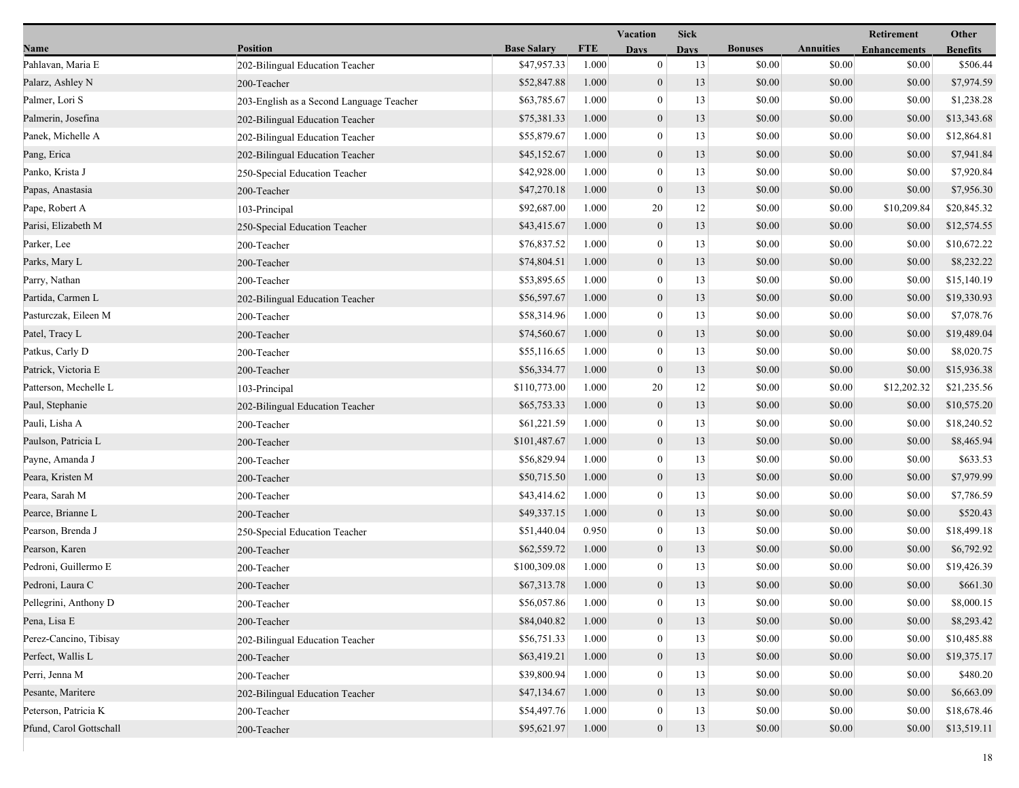|                         |                                          |                    |            | Vacation         | <b>Sick</b> |                |                  | <b>Retirement</b>   | Other           |
|-------------------------|------------------------------------------|--------------------|------------|------------------|-------------|----------------|------------------|---------------------|-----------------|
| Name                    | <b>Position</b>                          | <b>Base Salary</b> | <b>FTE</b> | Days             | <b>Days</b> | <b>Bonuses</b> | <b>Annuities</b> | <b>Enhancements</b> | <b>Benefits</b> |
| Pahlavan, Maria E       | 202-Bilingual Education Teacher          | \$47,957.33        | 1.000      | $\mathbf{0}$     | 13          | \$0.00         | \$0.00           | \$0.00              | \$506.44        |
| Palarz, Ashley N        | 200-Teacher                              | \$52,847.88        | 1.000      | $\boldsymbol{0}$ | 13          | \$0.00         | \$0.00           | \$0.00              | \$7,974.59      |
| Palmer, Lori S          | 203-English as a Second Language Teacher | \$63,785.67        | 1.000      | $\boldsymbol{0}$ | 13          | \$0.00         | \$0.00           | \$0.00              | \$1,238.28      |
| Palmerin, Josefina      | 202-Bilingual Education Teacher          | \$75,381.33        | 1.000      | $\boldsymbol{0}$ | 13          | \$0.00         | \$0.00           | \$0.00              | \$13,343.68     |
| Panek, Michelle A       | 202-Bilingual Education Teacher          | \$55,879.67        | 1.000      | $\boldsymbol{0}$ | 13          | \$0.00         | \$0.00           | \$0.00              | \$12,864.81     |
| Pang, Erica             | 202-Bilingual Education Teacher          | \$45,152.67        | 1.000      | $\boldsymbol{0}$ | 13          | \$0.00         | \$0.00           | \$0.00              | \$7,941.84      |
| Panko, Krista J         | 250-Special Education Teacher            | \$42,928.00        | 1.000      | $\mathbf{0}$     | 13          | \$0.00         | \$0.00           | \$0.00              | \$7,920.84      |
| Papas, Anastasia        | 200-Teacher                              | \$47,270.18        | 1.000      | $\boldsymbol{0}$ | 13          | \$0.00         | \$0.00           | \$0.00              | \$7,956.30      |
| Pape, Robert A          | 103-Principal                            | \$92,687.00        | 1.000      | 20               | 12          | \$0.00         | \$0.00           | \$10,209.84         | \$20,845.32     |
| Parisi, Elizabeth M     | 250-Special Education Teacher            | \$43,415.67        | 1.000      | $\boldsymbol{0}$ | 13          | \$0.00         | \$0.00           | \$0.00              | \$12,574.55     |
| Parker, Lee             | 200-Teacher                              | \$76,837.52        | 1.000      | $\boldsymbol{0}$ | 13          | \$0.00         | \$0.00           | \$0.00              | \$10,672.22     |
| Parks, Mary L           | 200-Teacher                              | \$74,804.51        | 1.000      | $\boldsymbol{0}$ | 13          | \$0.00         | \$0.00           | \$0.00              | \$8,232.22      |
| Parry, Nathan           | 200-Teacher                              | \$53,895.65        | 1.000      | $\mathbf{0}$     | 13          | \$0.00         | \$0.00           | \$0.00              | \$15,140.19     |
| Partida, Carmen L       | 202-Bilingual Education Teacher          | \$56,597.67        | 1.000      | $\boldsymbol{0}$ | 13          | \$0.00         | \$0.00           | \$0.00              | \$19,330.93     |
| Pasturczak, Eileen M    | 200-Teacher                              | \$58,314.96        | 1.000      | $\boldsymbol{0}$ | 13          | \$0.00         | \$0.00           | \$0.00              | \$7,078.76      |
| Patel, Tracy L          | 200-Teacher                              | \$74,560.67        | 1.000      | $\mathbf{0}$     | 13          | \$0.00         | \$0.00           | \$0.00              | \$19,489.04     |
| Patkus, Carly D         | 200-Teacher                              | \$55,116.65        | 1.000      | $\boldsymbol{0}$ | 13          | \$0.00         | \$0.00           | \$0.00              | \$8,020.75      |
| Patrick, Victoria E     | 200-Teacher                              | \$56,334.77        | 1.000      | $\boldsymbol{0}$ | 13          | \$0.00         | \$0.00           | \$0.00              | \$15,936.38     |
| Patterson, Mechelle L   | 103-Principal                            | \$110,773.00       | 1.000      | 20               | 12          | \$0.00         | \$0.00           | \$12,202.32         | \$21,235.56     |
| Paul, Stephanie         | 202-Bilingual Education Teacher          | \$65,753.33        | 1.000      | $\boldsymbol{0}$ | 13          | \$0.00         | \$0.00           | \$0.00              | \$10,575.20     |
| Pauli, Lisha A          | 200-Teacher                              | \$61,221.59        | 1.000      | $\boldsymbol{0}$ | 13          | \$0.00         | \$0.00           | \$0.00              | \$18,240.52     |
| Paulson, Patricia L     | 200-Teacher                              | \$101,487.67       | 1.000      | $\boldsymbol{0}$ | 13          | \$0.00         | \$0.00           | \$0.00              | \$8,465.94      |
| Payne, Amanda J         | 200-Teacher                              | \$56,829.94        | 1.000      | $\boldsymbol{0}$ | 13          | \$0.00         | \$0.00           | \$0.00              | \$633.53        |
| Peara, Kristen M        | 200-Teacher                              | \$50,715.50        | 1.000      | $\boldsymbol{0}$ | 13          | \$0.00         | \$0.00           | \$0.00              | \$7,979.99      |
| Peara, Sarah M          | 200-Teacher                              | \$43,414.62        | 1.000      | $\mathbf{0}$     | 13          | \$0.00         | \$0.00           | \$0.00              | \$7,786.59      |
| Pearce, Brianne L       | 200-Teacher                              | \$49,337.15        | 1.000      | $\mathbf{0}$     | 13          | \$0.00         | \$0.00           | \$0.00              | \$520.43        |
| Pearson, Brenda J       | 250-Special Education Teacher            | \$51,440.04        | 0.950      | $\boldsymbol{0}$ | 13          | \$0.00         | \$0.00           | \$0.00              | \$18,499.18     |
| Pearson, Karen          | 200-Teacher                              | \$62,559.72        | 1.000      | $\boldsymbol{0}$ | 13          | \$0.00         | \$0.00           | \$0.00              | \$6,792.92      |
| Pedroni, Guillermo E    | 200-Teacher                              | \$100,309.08       | 1.000      | $\boldsymbol{0}$ | 13          | \$0.00         | \$0.00           | \$0.00              | \$19,426.39     |
| Pedroni, Laura C        | 200-Teacher                              | \$67,313.78        | 1.000      | $\mathbf{0}$     | 13          | \$0.00         | \$0.00           | \$0.00              | \$661.30        |
| Pellegrini, Anthony D   | 200-Teacher                              | \$56,057.86        | 1.000      | $\bf{0}$         | 13          | \$0.00         | \$0.00           | \$0.00              | \$8,000.15      |
| Pena, Lisa E            | 200-Teacher                              | \$84,040.82        | 1.000      | $\boldsymbol{0}$ | 13          | \$0.00         | \$0.00           | \$0.00              | \$8,293.42      |
| Perez-Cancino, Tibisay  | 202-Bilingual Education Teacher          | \$56,751.33        | 1.000      | $\boldsymbol{0}$ | 13          | \$0.00         | \$0.00           | \$0.00              | \$10,485.88     |
| Perfect, Wallis L       | 200-Teacher                              | \$63,419.21        | 1.000      | $\boldsymbol{0}$ | 13          | \$0.00         | \$0.00           | \$0.00              | \$19,375.17     |
| Perri, Jenna M          | 200-Teacher                              | \$39,800.94        | 1.000      | $\mathbf{0}$     | 13          | \$0.00         | \$0.00           | \$0.00              | \$480.20        |
| Pesante, Maritere       | 202-Bilingual Education Teacher          | \$47,134.67        | 1.000      | $\boldsymbol{0}$ | 13          | \$0.00         | \$0.00           | \$0.00              | \$6,663.09      |
| Peterson, Patricia K    | 200-Teacher                              | \$54,497.76        | 1.000      | $\boldsymbol{0}$ | 13          | \$0.00         | \$0.00           | \$0.00              | \$18,678.46     |
| Pfund, Carol Gottschall | 200-Teacher                              | \$95,621.97        | 1.000      | $\mathbf{0}$     | 13          | \$0.00         | \$0.00           | \$0.00              | \$13,519.11     |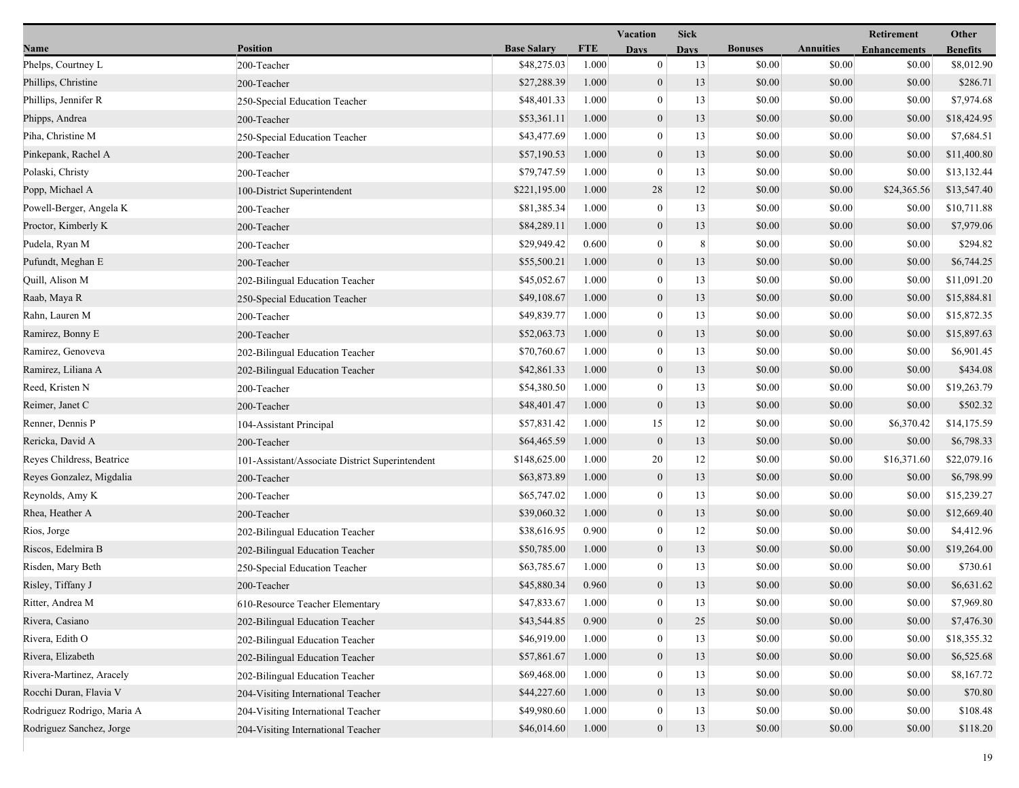|                            |                                                 |                    |            | <b>Vacation</b>  | <b>Sick</b> |                |                  | Retirement          | Other           |
|----------------------------|-------------------------------------------------|--------------------|------------|------------------|-------------|----------------|------------------|---------------------|-----------------|
| Name                       | <b>Position</b>                                 | <b>Base Salary</b> | <b>FTE</b> | <b>Days</b>      | <b>Days</b> | <b>Bonuses</b> | <b>Annuities</b> | <b>Enhancements</b> | <b>Benefits</b> |
| Phelps, Courtney L         | 200-Teacher                                     | \$48,275.03        | 1.000      | $\mathbf{0}$     | 13          | \$0.00         | \$0.00           | \$0.00              | \$8,012.90      |
| Phillips, Christine        | 200-Teacher                                     | \$27,288.39        | 1.000      | $\mathbf{0}$     | 13          | \$0.00         | \$0.00           | \$0.00              | \$286.71        |
| Phillips, Jennifer R       | 250-Special Education Teacher                   | \$48,401.33        | 1.000      | $\boldsymbol{0}$ | 13          | \$0.00         | \$0.00           | \$0.00              | \$7,974.68      |
| Phipps, Andrea             | 200-Teacher                                     | \$53,361.11        | 1.000      | $\boldsymbol{0}$ | 13          | \$0.00         | \$0.00           | \$0.00              | \$18,424.95     |
| Piha, Christine M          | 250-Special Education Teacher                   | \$43,477.69        | 1.000      | $\mathbf{0}$     | 13          | \$0.00         | \$0.00           | \$0.00              | \$7,684.51      |
| Pinkepank, Rachel A        | 200-Teacher                                     | \$57,190.53        | 1.000      | $\boldsymbol{0}$ | 13          | \$0.00         | \$0.00           | \$0.00              | \$11,400.80     |
| Polaski, Christy           | 200-Teacher                                     | \$79,747.59        | 1.000      | $\mathbf{0}$     | 13          | \$0.00         | \$0.00           | \$0.00              | \$13,132.44     |
| Popp, Michael A            | 100-District Superintendent                     | \$221,195.00       | 1.000      | 28               | 12          | \$0.00         | \$0.00           | \$24,365.56         | \$13,547.40     |
| Powell-Berger, Angela K    | 200-Teacher                                     | \$81,385.34        | 1.000      | $\boldsymbol{0}$ | 13          | \$0.00         | \$0.00           | \$0.00              | \$10,711.88     |
| Proctor, Kimberly K        | 200-Teacher                                     | \$84,289.11        | 1.000      | $\boldsymbol{0}$ | 13          | \$0.00         | \$0.00           | \$0.00              | \$7,979.06      |
| Pudela, Ryan M             | 200-Teacher                                     | \$29,949.42        | 0.600      | $\bf{0}$         | 8           | \$0.00         | \$0.00           | \$0.00              | \$294.82        |
| Pufundt, Meghan E          | 200-Teacher                                     | \$55,500.21        | 1.000      | $\boldsymbol{0}$ | 13          | \$0.00         | \$0.00           | \$0.00              | \$6,744.25      |
| Quill, Alison M            | 202-Bilingual Education Teacher                 | \$45,052.67        | 1.000      | $\mathbf{0}$     | 13          | \$0.00         | \$0.00           | \$0.00              | \$11,091.20     |
| Raab, Maya R               | 250-Special Education Teacher                   | \$49,108.67        | 1.000      | $\mathbf{0}$     | 13          | \$0.00         | \$0.00           | \$0.00              | \$15,884.81     |
| Rahn, Lauren M             | 200-Teacher                                     | \$49,839.77        | 1.000      | $\boldsymbol{0}$ | 13          | \$0.00         | \$0.00           | \$0.00              | \$15,872.35     |
| Ramirez, Bonny E           | 200-Teacher                                     | \$52,063.73        | 1.000      | $\boldsymbol{0}$ | 13          | \$0.00         | \$0.00           | \$0.00              | \$15,897.63     |
| Ramirez, Genoveva          | 202-Bilingual Education Teacher                 | \$70,760.67        | 1.000      | $\bf{0}$         | 13          | \$0.00         | \$0.00           | \$0.00              | \$6,901.45      |
| Ramirez, Liliana A         | 202-Bilingual Education Teacher                 | \$42,861.33        | 1.000      | $\boldsymbol{0}$ | 13          | \$0.00         | \$0.00           | \$0.00              | \$434.08        |
| Reed, Kristen N            | 200-Teacher                                     | \$54,380.50        | 1.000      | $\mathbf{0}$     | 13          | \$0.00         | \$0.00           | \$0.00              | \$19,263.79     |
| Reimer, Janet C            | 200-Teacher                                     | \$48,401.47        | 1.000      | $\mathbf{0}$     | 13          | \$0.00         | \$0.00           | \$0.00              | \$502.32        |
| Renner, Dennis P           | 104-Assistant Principal                         | \$57,831.42        | 1.000      | 15               | 12          | \$0.00         | \$0.00           | \$6,370.42          | \$14,175.59     |
| Rericka, David A           | 200-Teacher                                     | \$64,465.59        | 1.000      | $\mathbf{0}$     | 13          | \$0.00         | \$0.00           | \$0.00              | \$6,798.33      |
| Reyes Childress, Beatrice  | 101-Assistant/Associate District Superintendent | \$148,625.00       | 1.000      | 20               | 12          | \$0.00         | \$0.00           | \$16,371.60         | \$22,079.16     |
| Reyes Gonzalez, Migdalia   | 200-Teacher                                     | \$63,873.89        | 1.000      | $\boldsymbol{0}$ | 13          | \$0.00         | \$0.00           | \$0.00              | \$6,798.99      |
| Reynolds, Amy K            | 200-Teacher                                     | \$65,747.02        | 1.000      | $\bf{0}$         | 13          | \$0.00         | \$0.00           | \$0.00              | \$15,239.27     |
| Rhea, Heather A            | 200-Teacher                                     | \$39,060.32        | 1.000      | $\mathbf{0}$     | 13          | \$0.00         | \$0.00           | \$0.00              | \$12,669.40     |
| Rios, Jorge                | 202-Bilingual Education Teacher                 | \$38,616.95        | 0.900      | $\boldsymbol{0}$ | 12          | \$0.00         | \$0.00           | \$0.00              | \$4,412.96      |
| Riscos, Edelmira B         | 202-Bilingual Education Teacher                 | \$50,785.00        | 1.000      | $\boldsymbol{0}$ | 13          | \$0.00         | \$0.00           | \$0.00              | \$19,264.00     |
| Risden, Mary Beth          | 250-Special Education Teacher                   | \$63,785.67        | 1.000      | $\bf{0}$         | 13          | \$0.00         | \$0.00           | \$0.00              | \$730.61        |
| Risley, Tiffany J          | 200-Teacher                                     | \$45,880.34        | 0.960      | $\mathbf{0}$     | 13          | \$0.00         | \$0.00           | \$0.00              | \$6,631.62      |
| Ritter, Andrea M           | 610-Resource Teacher Elementary                 | \$47,833.67        | 1.000      | $\theta$         | 13          | \$0.00         | \$0.00           | \$0.00              | \$7,969.80      |
| Rivera, Casiano            | 202-Bilingual Education Teacher                 | \$43,544.85        | 0.900      | $\boldsymbol{0}$ | 25          | \$0.00         | \$0.00           | \$0.00              | \$7,476.30      |
| Rivera, Edith O            | 202-Bilingual Education Teacher                 | \$46,919.00        | 1.000      | $\bf{0}$         | 13          | \$0.00         | \$0.00           | \$0.00              | \$18,355.32     |
| Rivera, Elizabeth          | 202-Bilingual Education Teacher                 | \$57,861.67        | 1.000      | $\boldsymbol{0}$ | 13          | \$0.00         | \$0.00           | \$0.00              | \$6,525.68      |
| Rivera-Martinez, Aracely   | 202-Bilingual Education Teacher                 | \$69,468.00        | 1.000      | 0                | 13          | \$0.00         | \$0.00           | \$0.00              | \$8,167.72      |
| Rocchi Duran, Flavia V     | 204-Visiting International Teacher              | \$44,227.60        | 1.000      | $\boldsymbol{0}$ | 13          | \$0.00         | \$0.00           | \$0.00              | \$70.80         |
| Rodriguez Rodrigo, Maria A | 204-Visiting International Teacher              | \$49,980.60        | 1.000      | 0                | 13          | \$0.00         | \$0.00           | \$0.00              | \$108.48        |
| Rodriguez Sanchez, Jorge   | 204-Visiting International Teacher              | \$46,014.60        | 1.000      | $\boldsymbol{0}$ | 13          | \$0.00         | \$0.00           | \$0.00              | \$118.20        |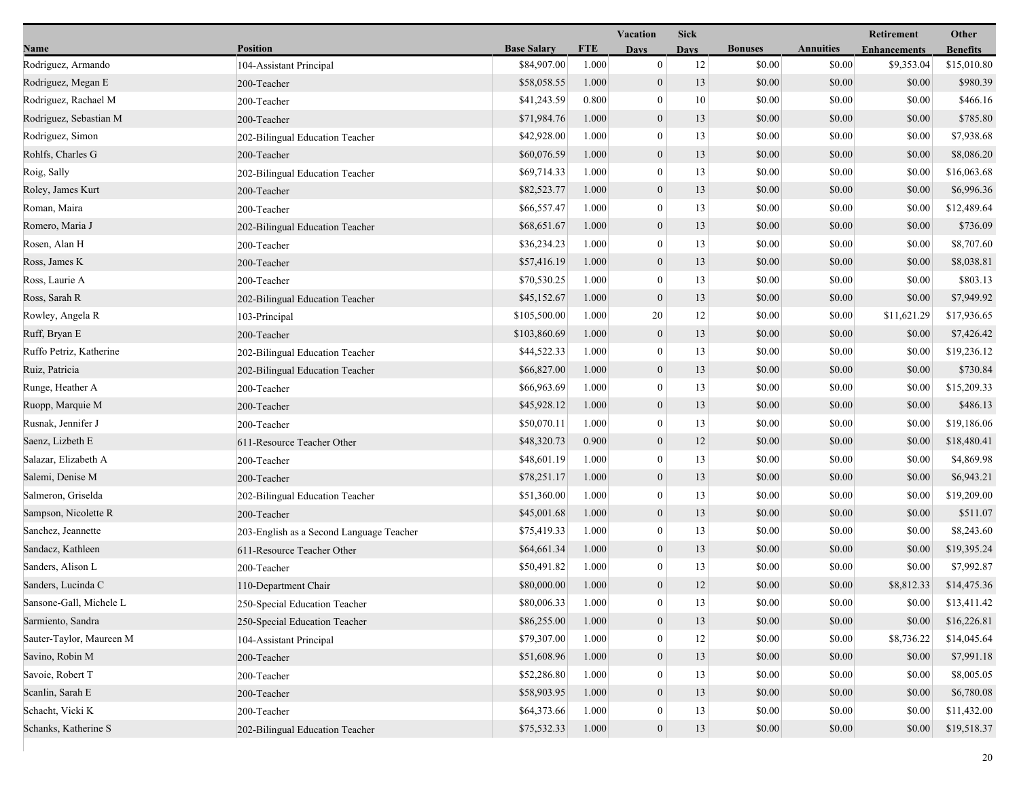|                          |                                          |                    |            | <b>Vacation</b>  | <b>Sick</b> |                |                  | Retirement          | Other           |
|--------------------------|------------------------------------------|--------------------|------------|------------------|-------------|----------------|------------------|---------------------|-----------------|
| Name                     | <b>Position</b>                          | <b>Base Salary</b> | <b>FTE</b> | <b>Days</b>      | <b>Days</b> | <b>Bonuses</b> | <b>Annuities</b> | <b>Enhancements</b> | <b>Benefits</b> |
| Rodriguez, Armando       | 104-Assistant Principal                  | \$84,907.00        | 1.000      | $\boldsymbol{0}$ | 12          | \$0.00         | \$0.00           | \$9,353.04          | \$15,010.80     |
| Rodriguez, Megan E       | 200-Teacher                              | \$58,058.55        | 1.000      | $\mathbf{0}$     | 13          | \$0.00         | \$0.00           | \$0.00              | \$980.39        |
| Rodriguez, Rachael M     | 200-Teacher                              | \$41,243.59        | 0.800      | $\bf{0}$         | 10          | \$0.00         | \$0.00           | \$0.00              | \$466.16        |
| Rodriguez, Sebastian M   | 200-Teacher                              | \$71,984.76        | 1.000      | $\mathbf{0}$     | 13          | \$0.00         | \$0.00           | \$0.00              | \$785.80        |
| Rodriguez, Simon         | 202-Bilingual Education Teacher          | \$42,928.00        | 1.000      | $\bf{0}$         | 13          | \$0.00         | \$0.00           | \$0.00              | \$7,938.68      |
| Rohlfs, Charles G        | 200-Teacher                              | \$60,076.59        | 1.000      | $\boldsymbol{0}$ | 13          | \$0.00         | \$0.00           | \$0.00              | \$8,086.20      |
| Roig, Sally              | 202-Bilingual Education Teacher          | \$69,714.33        | 1.000      | $\mathbf{0}$     | 13          | \$0.00         | \$0.00           | \$0.00              | \$16,063.68     |
| Roley, James Kurt        | 200-Teacher                              | \$82,523.77        | 1.000      | $\mathbf{0}$     | 13          | \$0.00         | \$0.00           | \$0.00              | \$6,996.36      |
| Roman, Maira             | 200-Teacher                              | \$66,557.47        | 1.000      | $\bf{0}$         | 13          | \$0.00         | \$0.00           | \$0.00              | \$12,489.64     |
| Romero, Maria J          | 202-Bilingual Education Teacher          | \$68,651.67        | 1.000      | $\mathbf{0}$     | 13          | \$0.00         | \$0.00           | \$0.00              | \$736.09        |
| Rosen, Alan H            | 200-Teacher                              | \$36,234.23        | 1.000      | $\bf{0}$         | 13          | \$0.00         | \$0.00           | \$0.00              | \$8,707.60      |
| Ross, James K            | 200-Teacher                              | \$57,416.19        | 1.000      | $\mathbf{0}$     | 13          | \$0.00         | \$0.00           | \$0.00              | \$8,038.81      |
| Ross, Laurie A           | 200-Teacher                              | \$70,530.25        | 1.000      | $\mathbf{0}$     | 13          | \$0.00         | \$0.00           | \$0.00              | \$803.13        |
| Ross, Sarah R            | 202-Bilingual Education Teacher          | \$45,152.67        | 1.000      | $\mathbf{0}$     | 13          | \$0.00         | \$0.00           | \$0.00              | \$7,949.92      |
| Rowley, Angela R         | 103-Principal                            | \$105,500.00       | 1.000      | 20               | 12          | \$0.00         | \$0.00           | \$11,621.29         | \$17,936.65     |
| Ruff, Bryan E            | 200-Teacher                              | \$103,860.69       | 1.000      | $\mathbf{0}$     | 13          | \$0.00         | \$0.00           | \$0.00              | \$7,426.42      |
| Ruffo Petriz, Katherine  | 202-Bilingual Education Teacher          | \$44,522.33        | 1.000      | $\bf{0}$         | 13          | \$0.00         | \$0.00           | \$0.00              | \$19,236.12     |
| Ruiz, Patricia           | 202-Bilingual Education Teacher          | \$66,827.00        | 1.000      | $\mathbf{0}$     | 13          | \$0.00         | \$0.00           | \$0.00              | \$730.84        |
| Runge, Heather A         | 200-Teacher                              | \$66,963.69        | 1.000      | $\bf{0}$         | 13          | \$0.00         | \$0.00           | \$0.00              | \$15,209.33     |
| Ruopp, Marquie M         | 200-Teacher                              | \$45,928.12        | 1.000      | $\mathbf{0}$     | 13          | \$0.00         | \$0.00           | \$0.00              | \$486.13        |
| Rusnak, Jennifer J       | 200-Teacher                              | \$50,070.11        | 1.000      | $\boldsymbol{0}$ | 13          | \$0.00         | \$0.00           | \$0.00              | \$19,186.06     |
| Saenz, Lizbeth E         | 611-Resource Teacher Other               | \$48,320.73        | 0.900      | $\mathbf{0}$     | 12          | \$0.00         | \$0.00           | \$0.00              | \$18,480.41     |
| Salazar, Elizabeth A     | 200-Teacher                              | \$48,601.19        | 1.000      | $\bf{0}$         | 13          | \$0.00         | \$0.00           | \$0.00              | \$4,869.98      |
| Salemi, Denise M         | 200-Teacher                              | \$78,251.17        | 1.000      | $\mathbf{0}$     | 13          | \$0.00         | \$0.00           | \$0.00              | \$6,943.21      |
| Salmeron, Griselda       | 202-Bilingual Education Teacher          | \$51,360.00        | 1.000      | $\mathbf{0}$     | 13          | \$0.00         | \$0.00           | \$0.00              | \$19,209.00     |
| Sampson, Nicolette R     | 200-Teacher                              | \$45,001.68        | 1.000      | $\mathbf{0}$     | 13          | \$0.00         | \$0.00           | \$0.00              | \$511.07        |
| Sanchez, Jeannette       | 203-English as a Second Language Teacher | \$75,419.33        | 1.000      | $\boldsymbol{0}$ | 13          | \$0.00         | \$0.00           | \$0.00              | \$8,243.60      |
| Sandacz, Kathleen        | 611-Resource Teacher Other               | \$64,661.34        | 1.000      | $\boldsymbol{0}$ | 13          | \$0.00         | \$0.00           | \$0.00              | \$19,395.24     |
| Sanders, Alison L        | 200-Teacher                              | \$50,491.82        | 1.000      | $\mathbf{0}$     | 13          | \$0.00         | \$0.00           | \$0.00              | \$7,992.87      |
| Sanders, Lucinda C       | 110-Department Chair                     | \$80,000.00        | 1.000      | $\mathbf{0}$     | 12          | \$0.00         | \$0.00           | \$8,812.33          | \$14,475.36     |
| Sansone-Gall, Michele L  | 250-Special Education Teacher            | \$80,006.33        | 1.000      | $\bf{0}$         | 13          | \$0.00         | \$0.00           | \$0.00              | \$13,411.42     |
| Sarmiento, Sandra        | 250-Special Education Teacher            | \$86,255.00        | 1.000      | $\mathbf{0}$     | 13          | \$0.00         | \$0.00           | \$0.00              | \$16,226.81     |
| Sauter-Taylor, Maureen M | 104-Assistant Principal                  | \$79,307.00        | 1.000      | $\mathbf{0}$     | 12          | \$0.00         | \$0.00           | \$8,736.22          | \$14,045.64     |
| Savino, Robin M          | 200-Teacher                              | \$51,608.96        | 1.000      | $\mathbf{0}$     | 13          | \$0.00         | \$0.00           | \$0.00              | \$7,991.18      |
| Savoie, Robert T         | 200-Teacher                              | \$52,286.80        | 1.000      | $\mathbf{0}$     | 13          | \$0.00         | \$0.00           | \$0.00              | \$8,005.05      |
| Scanlin, Sarah E         | 200-Teacher                              | \$58,903.95        | 1.000      | $\mathbf{0}$     | 13          | \$0.00         | \$0.00           | \$0.00              | \$6,780.08      |
| Schacht, Vicki K         | 200-Teacher                              | \$64,373.66        | 1.000      | $\bf{0}$         | 13          | \$0.00         | \$0.00           | \$0.00              | \$11,432.00     |
| Schanks, Katherine S     | 202-Bilingual Education Teacher          | \$75,532.33        | 1.000      | $\mathbf{0}$     | 13          | \$0.00         | \$0.00           | \$0.00              | \$19,518.37     |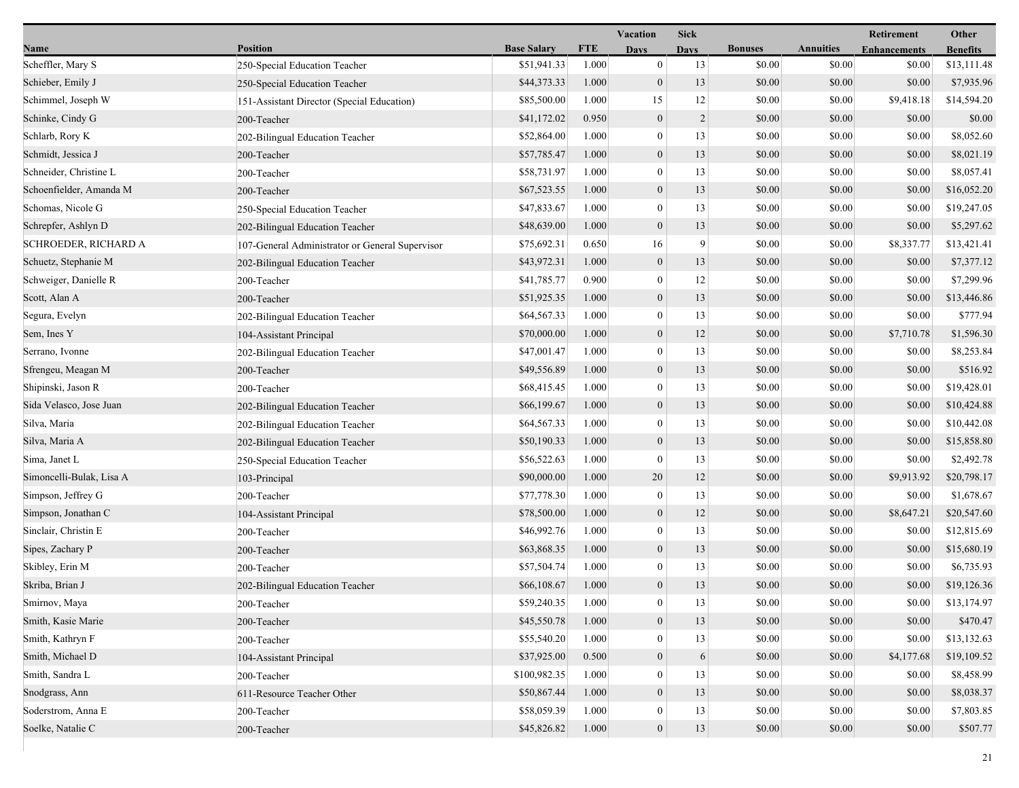| Name                     | <b>Position</b>                                 | <b>Base Salary</b> | <b>FTE</b> |                  |             |                |                  |                     |                 |
|--------------------------|-------------------------------------------------|--------------------|------------|------------------|-------------|----------------|------------------|---------------------|-----------------|
|                          |                                                 |                    |            | Days             | <b>Days</b> | <b>Bonuses</b> | <b>Annuities</b> | <b>Enhancements</b> | <b>Benefits</b> |
| Scheffler, Mary S        | 250-Special Education Teacher                   | \$51,941.33        | 1.000      | $\bf{0}$         | 13          | \$0.00         | \$0.00           | \$0.00              | \$13,111.48     |
| Schieber, Emily J        | 250-Special Education Teacher                   | \$44,373.33        | 1.000      | $\mathbf{0}$     | 13          | \$0.00         | \$0.00           | \$0.00              | \$7,935.96      |
| Schimmel, Joseph W       | 151-Assistant Director (Special Education)      | \$85,500.00        | 1.000      | 15               | 12          | \$0.00         | \$0.00           | \$9,418.18          | \$14,594.20     |
| Schinke, Cindy G         | 200-Teacher                                     | \$41,172.02        | 0.950      | $\mathbf{0}$     | 2           | \$0.00         | \$0.00           | \$0.00              | \$0.00          |
| Schlarb, Rory K          | 202-Bilingual Education Teacher                 | \$52,864.00        | 1.000      | $\bf{0}$         | 13          | \$0.00         | \$0.00           | \$0.00              | \$8,052.60      |
| Schmidt, Jessica J       | 200-Teacher                                     | \$57,785.47        | 1.000      | $\boldsymbol{0}$ | 13          | \$0.00         | \$0.00           | \$0.00              | \$8,021.19      |
| Schneider, Christine L   | 200-Teacher                                     | \$58,731.97        | 1.000      | $\mathbf{0}$     | 13          | \$0.00         | \$0.00           | \$0.00              | \$8,057.41      |
| Schoenfielder, Amanda M  | 200-Teacher                                     | \$67,523.55        | 1.000      | $\boldsymbol{0}$ | 13          | \$0.00         | \$0.00           | \$0.00              | \$16,052.20     |
| Schomas, Nicole G        | 250-Special Education Teacher                   | \$47,833.67        | 1.000      | $\bf{0}$         | 13          | \$0.00         | \$0.00           | \$0.00              | \$19,247.05     |
| Schrepfer, Ashlyn D      | 202-Bilingual Education Teacher                 | \$48,639.00        | 1.000      | $\mathbf{0}$     | 13          | \$0.00         | \$0.00           | \$0.00              | \$5,297.62      |
| SCHROEDER, RICHARD A     | 107-General Administrator or General Supervisor | \$75,692.31        | 0.650      | 16               | 9           | \$0.00         | \$0.00           | \$8,337.77          | \$13,421.41     |
| Schuetz, Stephanie M     | 202-Bilingual Education Teacher                 | \$43,972.31        | 1.000      | $\boldsymbol{0}$ | 13          | \$0.00         | \$0.00           | \$0.00              | \$7,377.12      |
| Schweiger, Danielle R    | 200-Teacher                                     | \$41,785.77        | 0.900      | $\mathbf{0}$     | 12          | \$0.00         | \$0.00           | \$0.00              | \$7,299.96      |
| Scott, Alan A            | 200-Teacher                                     | \$51,925.35        | 1.000      | $\mathbf{0}$     | 13          | \$0.00         | \$0.00           | \$0.00              | \$13,446.86     |
| Segura, Evelyn           | 202-Bilingual Education Teacher                 | \$64,567.33        | 1.000      | $\boldsymbol{0}$ | 13          | \$0.00         | \$0.00           | \$0.00              | \$777.94        |
| Sem, Ines Y              | 104-Assistant Principal                         | \$70,000.00        | 1.000      | $\mathbf{0}$     | 12          | \$0.00         | \$0.00           | \$7,710.78          | \$1,596.30      |
| Serrano, Ivonne          | 202-Bilingual Education Teacher                 | \$47,001.47        | 1.000      | $\bf{0}$         | 13          | \$0.00         | \$0.00           | \$0.00              | \$8,253.84      |
| Sfrengeu, Meagan M       | 200-Teacher                                     | \$49,556.89        | 1.000      | $\mathbf{0}$     | 13          | \$0.00         | \$0.00           | \$0.00              | \$516.92        |
| Shipinski, Jason R       | 200-Teacher                                     | \$68,415.45        | 1.000      | $\mathbf{0}$     | 13          | \$0.00         | \$0.00           | \$0.00              | \$19,428.01     |
| Sida Velasco, Jose Juan  | 202-Bilingual Education Teacher                 | \$66,199.67        | 1.000      | $\mathbf{0}$     | 13          | \$0.00         | \$0.00           | \$0.00              | \$10,424.88     |
| Silva, Maria             | 202-Bilingual Education Teacher                 | \$64,567.33        | 1.000      | $\boldsymbol{0}$ | 13          | \$0.00         | \$0.00           | \$0.00              | \$10,442.08     |
| Silva, Maria A           | 202-Bilingual Education Teacher                 | \$50,190.33        | 1.000      | $\mathbf{0}$     | 13          | \$0.00         | \$0.00           | \$0.00              | \$15,858.80     |
| Sima, Janet L            | 250-Special Education Teacher                   | \$56,522.63        | 1.000      | $\mathbf{0}$     | 13          | \$0.00         | \$0.00           | \$0.00              | \$2,492.78      |
| Simoncelli-Bulak, Lisa A | 103-Principal                                   | \$90,000.00        | 1.000      | 20               | 12          | \$0.00         | \$0.00           | \$9,913.92          | \$20,798.17     |
| Simpson, Jeffrey G       | 200-Teacher                                     | \$77,778.30        | 1.000      | $\mathbf{0}$     | 13          | \$0.00         | \$0.00           | \$0.00              | \$1,678.67      |
| Simpson, Jonathan C      | 104-Assistant Principal                         | \$78,500.00        | 1.000      | $\mathbf{0}$     | 12          | \$0.00         | \$0.00           | \$8,647.21          | \$20,547.60     |
| Sinclair, Christin E     | 200-Teacher                                     | \$46,992.76        | 1.000      | $\boldsymbol{0}$ | 13          | \$0.00         | \$0.00           | \$0.00              | \$12,815.69     |
| Sipes, Zachary P         | 200-Teacher                                     | \$63,868.35        | 1.000      | $\mathbf{0}$     | 13          | \$0.00         | \$0.00           | \$0.00              | \$15,680.19     |
| Skibley, Erin M          | 200-Teacher                                     | \$57,504.74        | 1.000      | $\bf{0}$         | 13          | \$0.00         | \$0.00           | \$0.00              | \$6,735.93      |
| Skriba, Brian J          | 202-Bilingual Education Teacher                 | \$66,108.67        | 1.000      | $\mathbf{0}$     | 13          | \$0.00         | \$0.00           | \$0.00              | \$19,126.36     |
| Smirnov, Maya            | 200-Teacher                                     | \$59,240.35        | 1.000      | $\bf{0}$         | 13          | \$0.00         | \$0.00           | \$0.00              | \$13,174.97     |
| Smith, Kasie Marie       | 200-Teacher                                     | \$45,550.78        | 1.000      | $\mathbf{0}$     | 13          | \$0.00         | \$0.00           | \$0.00              | \$470.47        |
| Smith, Kathryn F         | 200-Teacher                                     | \$55,540.20        | 1.000      | $\mathbf{0}$     | 13          | \$0.00         | \$0.00           | \$0.00              | \$13,132.63     |
| Smith, Michael D         | 104-Assistant Principal                         | \$37,925.00        | 0.500      | $\mathbf{0}$     | 6           | \$0.00         | \$0.00           | \$4,177.68          | \$19,109.52     |
| Smith, Sandra L          | 200-Teacher                                     | \$100,982.35       | 1.000      | $\theta$         | 13          | \$0.00         | \$0.00           | \$0.00              | \$8,458.99      |
| Snodgrass, Ann           | 611-Resource Teacher Other                      | \$50,867.44        | 1.000      | $\mathbf{0}$     | 13          | \$0.00         | \$0.00           | \$0.00              | \$8,038.37      |
| Soderstrom, Anna E       | 200-Teacher                                     | \$58,059.39        | 1.000      | $\bf{0}$         | 13          | \$0.00         | \$0.00           | \$0.00              | \$7,803.85      |
| Soelke, Natalie C        | 200-Teacher                                     | \$45,826.82        | 1.000      | 0                | 13          | \$0.00         | \$0.00           | \$0.00              | \$507.77        |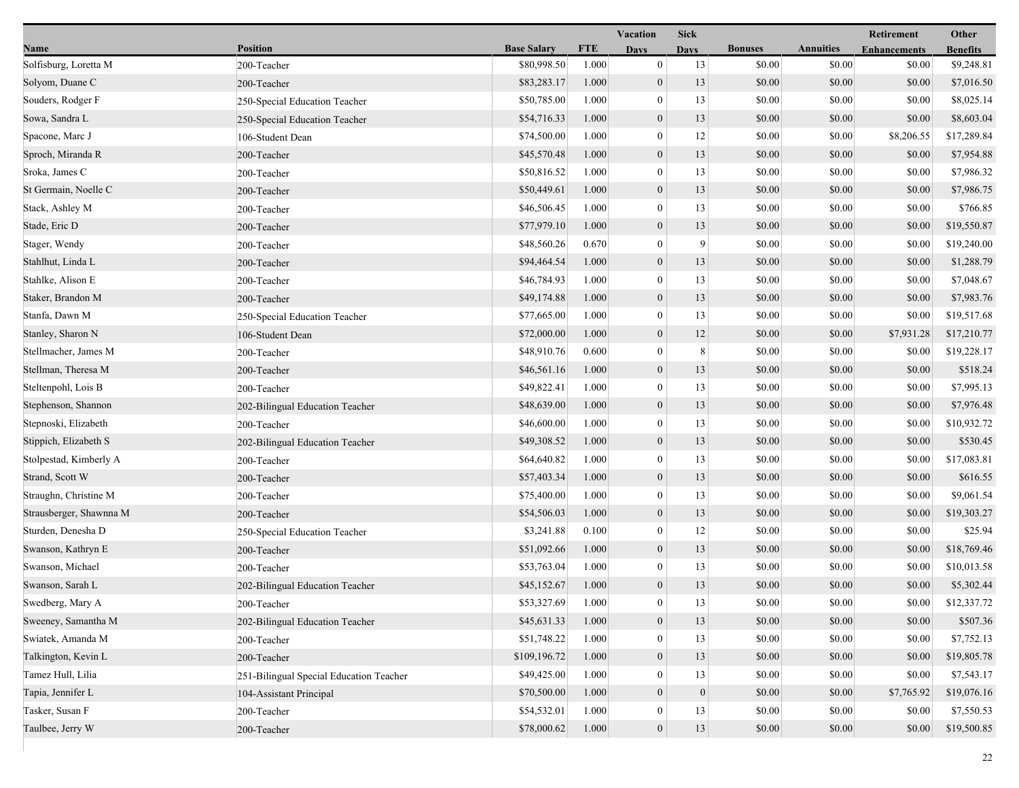|                         |                                         | <b>Vacation</b><br><b>Sick</b> |            |                  |                |                | Retirement       | Other               |                 |
|-------------------------|-----------------------------------------|--------------------------------|------------|------------------|----------------|----------------|------------------|---------------------|-----------------|
| Name                    | <b>Position</b>                         | <b>Base Salary</b>             | <b>FTE</b> | <b>Days</b>      | <b>Days</b>    | <b>Bonuses</b> | <b>Annuities</b> | <b>Enhancements</b> | <b>Benefits</b> |
| Solfisburg, Loretta M   | 200-Teacher                             | \$80,998.50                    | 1.000      | $\boldsymbol{0}$ | 13             | \$0.00         | \$0.00           | \$0.00              | \$9,248.81      |
| Solyom, Duane C         | 200-Teacher                             | \$83,283.17                    | 1.000      | $\mathbf{0}$     | 13             | \$0.00         | \$0.00           | \$0.00              | \$7,016.50      |
| Souders, Rodger F       | 250-Special Education Teacher           | \$50,785.00                    | 1.000      | $\bf{0}$         | 13             | \$0.00         | \$0.00           | \$0.00              | \$8,025.14      |
| Sowa, Sandra L          | 250-Special Education Teacher           | \$54,716.33                    | 1.000      | $\mathbf{0}$     | 13             | \$0.00         | \$0.00           | \$0.00              | \$8,603.04      |
| Spacone, Marc J         | 106-Student Dean                        | \$74,500.00                    | 1.000      | $\bf{0}$         | 12             | \$0.00         | \$0.00           | \$8,206.55          | \$17,289.84     |
| Sproch, Miranda R       | 200-Teacher                             | \$45,570.48                    | 1.000      | $\boldsymbol{0}$ | 13             | \$0.00         | \$0.00           | \$0.00              | \$7,954.88      |
| Sroka, James C          | 200-Teacher                             | \$50,816.52                    | 1.000      | $\mathbf{0}$     | 13             | \$0.00         | \$0.00           | \$0.00              | \$7,986.32      |
| St Germain, Noelle C    | 200-Teacher                             | \$50,449.61                    | 1.000      | $\mathbf{0}$     | 13             | \$0.00         | \$0.00           | \$0.00              | \$7,986.75      |
| Stack, Ashley M         | 200-Teacher                             | \$46,506.45                    | 1.000      | $\bf{0}$         | 13             | \$0.00         | \$0.00           | \$0.00              | \$766.85        |
| Stade, Eric D           | 200-Teacher                             | \$77,979.10                    | 1.000      | $\mathbf{0}$     | 13             | \$0.00         | \$0.00           | \$0.00              | \$19,550.87     |
| Stager, Wendy           | 200-Teacher                             | \$48,560.26                    | 0.670      | $\bf{0}$         | 9              | \$0.00         | \$0.00           | \$0.00              | \$19,240.00     |
| Stahlhut, Linda L       | 200-Teacher                             | \$94,464.54                    | 1.000      | $\mathbf{0}$     | 13             | \$0.00         | \$0.00           | \$0.00              | \$1,288.79      |
| Stahlke, Alison E       | 200-Teacher                             | \$46,784.93                    | 1.000      | $\mathbf{0}$     | 13             | \$0.00         | \$0.00           | \$0.00              | \$7,048.67      |
| Staker, Brandon M       | 200-Teacher                             | \$49,174.88                    | 1.000      | $\mathbf{0}$     | 13             | \$0.00         | \$0.00           | \$0.00              | \$7,983.76      |
| Stanfa, Dawn M          | 250-Special Education Teacher           | \$77,665.00                    | 1.000      | $\boldsymbol{0}$ | 13             | \$0.00         | \$0.00           | \$0.00              | \$19,517.68     |
| Stanley, Sharon N       | 106-Student Dean                        | \$72,000.00                    | 1.000      | $\mathbf{0}$     | 12             | \$0.00         | \$0.00           | \$7,931.28          | \$17,210.77     |
| Stellmacher, James M    | 200-Teacher                             | \$48,910.76                    | 0.600      | $\mathbf{0}$     | 8              | \$0.00         | \$0.00           | \$0.00              | \$19,228.17     |
| Stellman, Theresa M     | 200-Teacher                             | \$46,561.16                    | 1.000      | $\mathbf{0}$     | 13             | \$0.00         | \$0.00           | \$0.00              | \$518.24        |
| Steltenpohl, Lois B     | 200-Teacher                             | \$49,822.41                    | 1.000      | $\mathbf{0}$     | 13             | \$0.00         | \$0.00           | \$0.00              | \$7,995.13      |
| Stephenson, Shannon     | 202-Bilingual Education Teacher         | \$48,639.00                    | 1.000      | $\mathbf{0}$     | 13             | \$0.00         | \$0.00           | \$0.00              | \$7,976.48      |
| Stepnoski, Elizabeth    | 200-Teacher                             | \$46,600.00                    | 1.000      | $\boldsymbol{0}$ | 13             | \$0.00         | \$0.00           | \$0.00              | \$10,932.72     |
| Stippich, Elizabeth S   | 202-Bilingual Education Teacher         | \$49,308.52                    | 1.000      | $\mathbf{0}$     | 13             | \$0.00         | \$0.00           | \$0.00              | \$530.45        |
| Stolpestad, Kimberly A  | 200-Teacher                             | \$64,640.82                    | 1.000      | $\bf{0}$         | 13             | \$0.00         | \$0.00           | \$0.00              | \$17,083.81     |
| Strand, Scott W         | 200-Teacher                             | \$57,403.34                    | 1.000      | $\mathbf{0}$     | 13             | \$0.00         | \$0.00           | \$0.00              | \$616.55        |
| Straughn, Christine M   | 200-Teacher                             | \$75,400.00                    | 1.000      | $\mathbf{0}$     | 13             | \$0.00         | \$0.00           | \$0.00              | \$9,061.54      |
| Strausberger, Shawnna M | 200-Teacher                             | \$54,506.03                    | 1.000      | $\mathbf{0}$     | 13             | \$0.00         | \$0.00           | \$0.00              | \$19,303.27     |
| Sturden, Denesha D      | 250-Special Education Teacher           | \$3,241.88                     | 0.100      | $\boldsymbol{0}$ | 12             | \$0.00         | \$0.00           | \$0.00              | \$25.94         |
| Swanson, Kathryn E      | 200-Teacher                             | \$51,092.66                    | 1.000      | $\boldsymbol{0}$ | 13             | \$0.00         | \$0.00           | \$0.00              | \$18,769.46     |
| Swanson, Michael        | 200-Teacher                             | \$53,763.04                    | 1.000      | $\mathbf{0}$     | 13             | \$0.00         | \$0.00           | \$0.00              | \$10,013.58     |
| Swanson, Sarah L        | 202-Bilingual Education Teacher         | \$45,152.67                    | 1.000      | $\mathbf{0}$     | 13             | \$0.00         | \$0.00           | \$0.00              | \$5,302.44      |
| Swedberg, Mary A        | 200-Teacher                             | \$53,327.69                    | 1.000      | $\bf{0}$         | 13             | \$0.00         | \$0.00           | \$0.00              | \$12,337.72     |
| Sweeney, Samantha M     | 202-Bilingual Education Teacher         | \$45,631.33                    | 1.000      | $\mathbf{0}$     | 13             | \$0.00         | \$0.00           | \$0.00              | \$507.36        |
| Swiatek, Amanda M       | 200-Teacher                             | \$51,748.22                    | 1.000      | $\mathbf{0}$     | 13             | \$0.00         | \$0.00           | \$0.00              | \$7,752.13      |
| Talkington, Kevin L     | 200-Teacher                             | \$109,196.72                   | 1.000      | $\mathbf{0}$     | 13             | \$0.00         | \$0.00           | \$0.00              | \$19,805.78     |
| Tamez Hull, Lilia       | 251-Bilingual Special Education Teacher | \$49,425.00                    | 1.000      | $\mathbf{0}$     | 13             | \$0.00         | \$0.00           | \$0.00              | \$7,543.17      |
| Tapia, Jennifer L       | 104-Assistant Principal                 | \$70,500.00                    | 1.000      | $\mathbf{0}$     | $\overline{0}$ | \$0.00         | \$0.00           | \$7,765.92          | \$19,076.16     |
| Tasker, Susan F         | 200-Teacher                             | \$54,532.01                    | 1.000      | $\bf{0}$         | 13             | \$0.00         | \$0.00           | \$0.00              | \$7,550.53      |
| Taulbee, Jerry W        | 200-Teacher                             | \$78,000.62                    | 1.000      | $\mathbf{0}$     | 13             | \$0.00         | \$0.00           | \$0.00              | \$19,500.85     |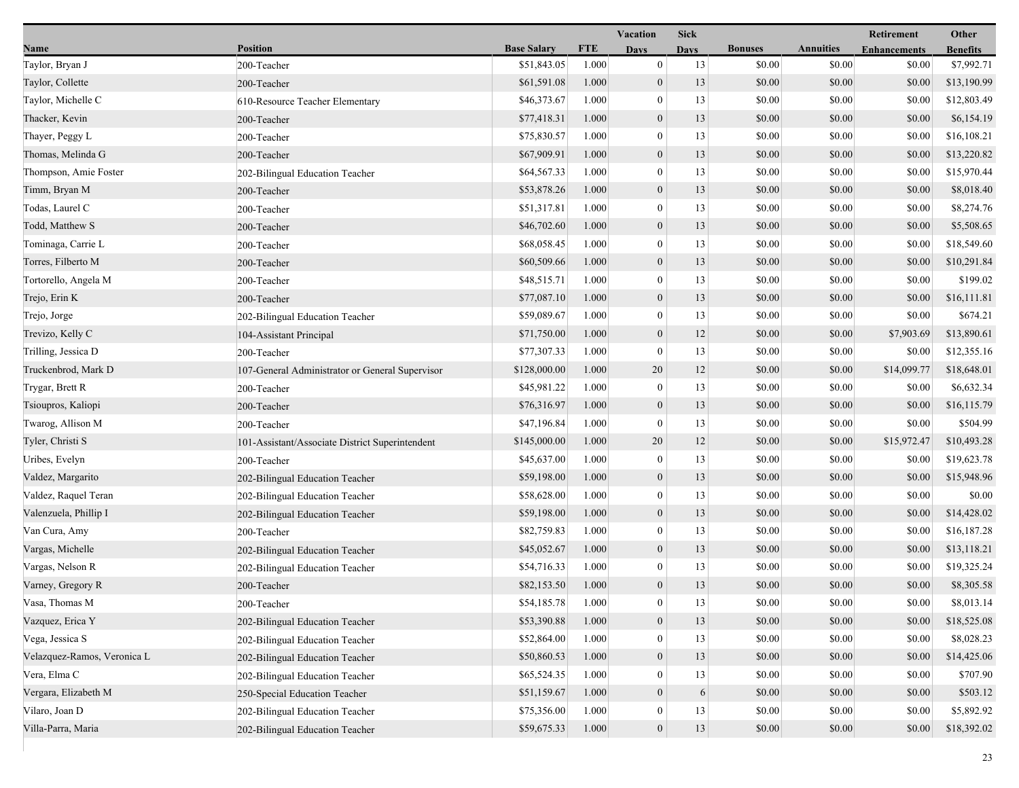|                             |                                                 | <b>Vacation</b><br><b>Sick</b> |            |                  |             |                |                  |                     | Other           |
|-----------------------------|-------------------------------------------------|--------------------------------|------------|------------------|-------------|----------------|------------------|---------------------|-----------------|
| Name                        | <b>Position</b>                                 | <b>Base Salary</b>             | <b>FTE</b> | Days             | <b>Days</b> | <b>Bonuses</b> | <b>Annuities</b> | <b>Enhancements</b> | <b>Benefits</b> |
| Taylor, Bryan J             | 200-Teacher                                     | \$51,843.05                    | 1.000      | $\mathbf{0}$     | 13          | \$0.00         | \$0.00           | \$0.00              | \$7,992.71      |
| Taylor, Collette            | 200-Teacher                                     | \$61,591.08                    | 1.000      | $\mathbf{0}$     | 13          | \$0.00         | \$0.00           | \$0.00              | \$13,190.99     |
| Taylor, Michelle C          | 610-Resource Teacher Elementary                 | \$46,373.67                    | 1.000      | $\bf{0}$         | 13          | \$0.00         | \$0.00           | \$0.00              | \$12,803.49     |
| Thacker, Kevin              | 200-Teacher                                     | \$77,418.31                    | 1.000      | $\mathbf{0}$     | 13          | \$0.00         | \$0.00           | \$0.00              | \$6,154.19      |
| Thayer, Peggy L             | 200-Teacher                                     | \$75,830.57                    | 1.000      | $\boldsymbol{0}$ | 13          | \$0.00         | \$0.00           | \$0.00              | \$16,108.21     |
| Thomas, Melinda G           | 200-Teacher                                     | \$67,909.91                    | 1.000      | $\boldsymbol{0}$ | 13          | \$0.00         | \$0.00           | \$0.00              | \$13,220.82     |
| Thompson, Amie Foster       | 202-Bilingual Education Teacher                 | \$64,567.33                    | 1.000      | $\mathbf{0}$     | 13          | \$0.00         | \$0.00           | \$0.00              | \$15,970.44     |
| Timm, Bryan M               | 200-Teacher                                     | \$53,878.26                    | 1.000      | $\mathbf{0}$     | 13          | \$0.00         | \$0.00           | \$0.00              | \$8,018.40      |
| Todas, Laurel C             | 200-Teacher                                     | \$51,317.81                    | 1.000      | $\bf{0}$         | 13          | \$0.00         | \$0.00           | \$0.00              | \$8,274.76      |
| Todd, Matthew S             | 200-Teacher                                     | \$46,702.60                    | 1.000      | $\mathbf{0}$     | 13          | \$0.00         | \$0.00           | \$0.00              | \$5,508.65      |
| Tominaga, Carrie L          | 200-Teacher                                     | \$68,058.45                    | 1.000      | $\bf{0}$         | 13          | \$0.00         | \$0.00           | \$0.00              | \$18,549.60     |
| Torres, Filberto M          | 200-Teacher                                     | \$60,509.66                    | 1.000      | $\boldsymbol{0}$ | 13          | \$0.00         | \$0.00           | \$0.00              | \$10,291.84     |
| Tortorello, Angela M        | 200-Teacher                                     | \$48,515.71                    | 1.000      | $\mathbf{0}$     | 13          | \$0.00         | \$0.00           | \$0.00              | \$199.02        |
| Trejo, Erin K               | 200-Teacher                                     | \$77,087.10                    | 1.000      | $\mathbf{0}$     | 13          | \$0.00         | \$0.00           | \$0.00              | \$16,111.81     |
| Trejo, Jorge                | 202-Bilingual Education Teacher                 | \$59,089.67                    | 1.000      | $\boldsymbol{0}$ | 13          | \$0.00         | \$0.00           | \$0.00              | \$674.21        |
| Trevizo, Kelly C            | 104-Assistant Principal                         | \$71,750.00                    | 1.000      | $\mathbf{0}$     | 12          | \$0.00         | \$0.00           | \$7,903.69          | \$13,890.61     |
| Trilling, Jessica D         | 200-Teacher                                     | \$77,307.33                    | 1.000      | $\bf{0}$         | 13          | \$0.00         | \$0.00           | \$0.00              | \$12,355.16     |
| Truckenbrod, Mark D         | 107-General Administrator or General Supervisor | \$128,000.00                   | 1.000      | 20               | 12          | \$0.00         | \$0.00           | \$14,099.77         | \$18,648.01     |
| Trygar, Brett R             | 200-Teacher                                     | \$45,981.22                    | 1.000      | $\mathbf{0}$     | 13          | \$0.00         | \$0.00           | \$0.00              | \$6,632.34      |
| Tsioupros, Kaliopi          | 200-Teacher                                     | \$76,316.97                    | 1.000      | $\mathbf{0}$     | 13          | \$0.00         | \$0.00           | \$0.00              | \$16,115.79     |
| Twarog, Allison M           | 200-Teacher                                     | \$47,196.84                    | 1.000      | $\bf{0}$         | 13          | \$0.00         | \$0.00           | \$0.00              | \$504.99        |
| Tyler, Christi S            | 101-Assistant/Associate District Superintendent | \$145,000.00                   | 1.000      | 20               | 12          | \$0.00         | \$0.00           | \$15,972.47         | \$10,493.28     |
| Uribes, Evelyn              | 200-Teacher                                     | \$45,637.00                    | 1.000      | $\bf{0}$         | 13          | \$0.00         | \$0.00           | \$0.00              | \$19,623.78     |
| Valdez, Margarito           | 202-Bilingual Education Teacher                 | \$59,198.00                    | 1.000      | $\mathbf{0}$     | 13          | \$0.00         | \$0.00           | \$0.00              | \$15,948.96     |
| Valdez, Raquel Teran        | 202-Bilingual Education Teacher                 | \$58,628.00                    | 1.000      | $\mathbf{0}$     | 13          | \$0.00         | \$0.00           | \$0.00              | \$0.00          |
| Valenzuela, Phillip I       | 202-Bilingual Education Teacher                 | \$59,198.00                    | 1.000      | $\mathbf{0}$     | 13          | \$0.00         | \$0.00           | \$0.00              | \$14,428.02     |
| Van Cura, Amy               | 200-Teacher                                     | \$82,759.83                    | 1.000      | $\boldsymbol{0}$ | 13          | \$0.00         | \$0.00           | \$0.00              | \$16,187.28     |
| Vargas, Michelle            | 202-Bilingual Education Teacher                 | \$45,052.67                    | 1.000      | $\mathbf{0}$     | 13          | \$0.00         | \$0.00           | \$0.00              | \$13,118.21     |
| Vargas, Nelson R            | 202-Bilingual Education Teacher                 | \$54,716.33                    | 1.000      | $\bf{0}$         | 13          | \$0.00         | \$0.00           | \$0.00              | \$19,325.24     |
| Varney, Gregory R           | 200-Teacher                                     | \$82,153.50                    | 1.000      | $\mathbf{0}$     | 13          | \$0.00         | \$0.00           | \$0.00              | \$8,305.58      |
| Vasa, Thomas M              | 200-Teacher                                     | \$54,185.78                    | 1.000      | $\bf{0}$         | 13          | \$0.00         | \$0.00           | \$0.00              | \$8,013.14      |
| Vazquez, Erica Y            | 202-Bilingual Education Teacher                 | \$53,390.88                    | 1.000      | $\mathbf{0}$     | 13          | \$0.00         | \$0.00           | \$0.00              | \$18,525.08     |
| Vega, Jessica S             | 202-Bilingual Education Teacher                 | \$52,864.00                    | 1.000      | $\mathbf{0}$     | 13          | \$0.00         | \$0.00           | \$0.00              | \$8,028.23      |
| Velazquez-Ramos, Veronica L | 202-Bilingual Education Teacher                 | \$50,860.53                    | 1.000      | $\mathbf{0}$     | 13          | \$0.00         | \$0.00           | \$0.00              | \$14,425.06     |
| Vera, Elma C                | 202-Bilingual Education Teacher                 | \$65,524.35                    | 1.000      | $\mathbf{0}$     | 13          | \$0.00         | \$0.00           | \$0.00              | \$707.90        |
| Vergara, Elizabeth M        | 250-Special Education Teacher                   | \$51,159.67                    | 1.000      | $\mathbf{0}$     | 6           | \$0.00         | \$0.00           | \$0.00              | \$503.12        |
| Vilaro, Joan D              | 202-Bilingual Education Teacher                 | \$75,356.00                    | 1.000      | $\bf{0}$         | 13          | \$0.00         | \$0.00           | \$0.00              | \$5,892.92      |
| Villa-Parra, Maria          | 202-Bilingual Education Teacher                 | \$59,675.33                    | 1.000      | $\overline{0}$   | 13          | \$0.00         | \$0.00           | \$0.00              | \$18,392.02     |
|                             |                                                 |                                |            |                  |             |                |                  |                     |                 |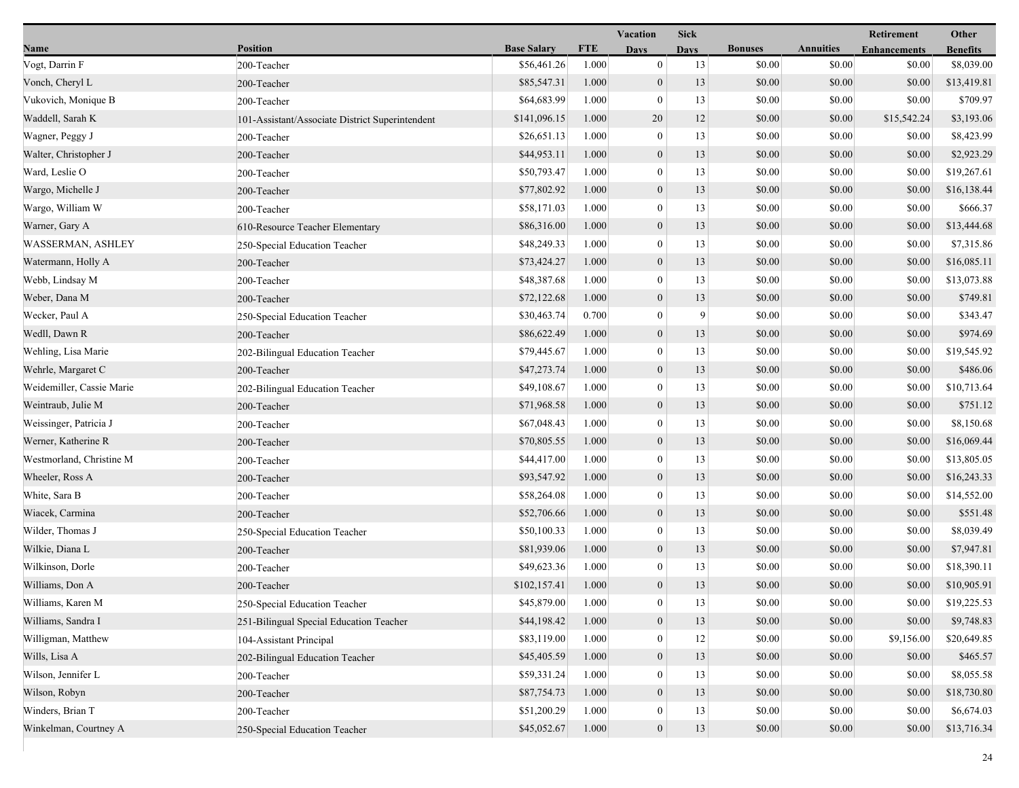| Name                      | <b>Position</b>                                 | <b>Base Salary</b> | <b>FTE</b> | <b>Days</b>      |             |                |                  |                     |                 |
|---------------------------|-------------------------------------------------|--------------------|------------|------------------|-------------|----------------|------------------|---------------------|-----------------|
|                           |                                                 |                    |            |                  | <b>Days</b> | <b>Bonuses</b> | <b>Annuities</b> | <b>Enhancements</b> | <b>Benefits</b> |
| Vogt, Darrin F            | 200-Teacher                                     | \$56,461.26        | 1.000      | $\boldsymbol{0}$ | 13          | \$0.00         | \$0.00           | \$0.00              | \$8,039.00      |
| Vonch, Cheryl L           | 200-Teacher                                     | \$85,547.31        | 1.000      | $\mathbf{0}$     | 13          | \$0.00         | \$0.00           | \$0.00              | \$13,419.81     |
| Vukovich, Monique B       | 200-Teacher                                     | \$64,683.99        | 1.000      | $\bf{0}$         | 13          | \$0.00         | \$0.00           | \$0.00              | \$709.97        |
| Waddell, Sarah K          | 101-Assistant/Associate District Superintendent | \$141,096.15       | 1.000      | 20               | 12          | \$0.00         | \$0.00           | \$15,542.24         | \$3,193.06      |
| Wagner, Peggy J           | 200-Teacher                                     | \$26,651.13        | 1.000      | $\bf{0}$         | 13          | \$0.00         | \$0.00           | \$0.00              | \$8,423.99      |
| Walter, Christopher J     | 200-Teacher                                     | \$44,953.11        | 1.000      | $\boldsymbol{0}$ | 13          | \$0.00         | \$0.00           | \$0.00              | \$2,923.29      |
| Ward, Leslie O            | 200-Teacher                                     | \$50,793.47        | 1.000      | $\mathbf{0}$     | 13          | \$0.00         | \$0.00           | \$0.00              | \$19,267.61     |
| Wargo, Michelle J         | 200-Teacher                                     | \$77,802.92        | 1.000      | $\mathbf{0}$     | 13          | \$0.00         | \$0.00           | \$0.00              | \$16,138.44     |
| Wargo, William W          | 200-Teacher                                     | \$58,171.03        | 1.000      | $\bf{0}$         | 13          | \$0.00         | \$0.00           | \$0.00              | \$666.37        |
| Warner, Gary A            | 610-Resource Teacher Elementary                 | \$86,316.00        | 1.000      | $\mathbf{0}$     | 13          | \$0.00         | \$0.00           | \$0.00              | \$13,444.68     |
| <b>WASSERMAN, ASHLEY</b>  | 250-Special Education Teacher                   | \$48,249.33        | 1.000      | $\bf{0}$         | 13          | \$0.00         | \$0.00           | \$0.00              | \$7,315.86      |
| Watermann, Holly A        | 200-Teacher                                     | \$73,424.27        | 1.000      | $\mathbf{0}$     | 13          | \$0.00         | \$0.00           | \$0.00              | \$16,085.11     |
| Webb, Lindsay M           | 200-Teacher                                     | \$48,387.68        | 1.000      | $\mathbf{0}$     | 13          | \$0.00         | \$0.00           | \$0.00              | \$13,073.88     |
| Weber, Dana M             | 200-Teacher                                     | \$72,122.68        | 1.000      | $\mathbf{0}$     | 13          | \$0.00         | \$0.00           | \$0.00              | \$749.81        |
| Wecker, Paul A            | 250-Special Education Teacher                   | \$30,463.74        | 0.700      | $\boldsymbol{0}$ | 9           | \$0.00         | \$0.00           | \$0.00              | \$343.47        |
| Wedll, Dawn R             | 200-Teacher                                     | \$86,622.49        | 1.000      | $\mathbf{0}$     | 13          | \$0.00         | \$0.00           | \$0.00              | \$974.69        |
| Wehling, Lisa Marie       | 202-Bilingual Education Teacher                 | \$79,445.67        | 1.000      | $\bf{0}$         | 13          | \$0.00         | \$0.00           | \$0.00              | \$19,545.92     |
| Wehrle, Margaret C        | 200-Teacher                                     | \$47,273.74        | 1.000      | $\mathbf{0}$     | 13          | \$0.00         | \$0.00           | \$0.00              | \$486.06        |
| Weidemiller, Cassie Marie | 202-Bilingual Education Teacher                 | \$49,108.67        | 1.000      | $\mathbf{0}$     | 13          | \$0.00         | \$0.00           | \$0.00              | \$10,713.64     |
| Weintraub, Julie M        | 200-Teacher                                     | \$71,968.58        | 1.000      | $\mathbf{0}$     | 13          | \$0.00         | \$0.00           | \$0.00              | \$751.12        |
| Weissinger, Patricia J    | 200-Teacher                                     | \$67,048.43        | 1.000      | $\boldsymbol{0}$ | 13          | \$0.00         | \$0.00           | \$0.00              | \$8,150.68      |
| Werner, Katherine R       | 200-Teacher                                     | \$70,805.55        | 1.000      | $\mathbf{0}$     | 13          | \$0.00         | \$0.00           | \$0.00              | \$16,069.44     |
| Westmorland, Christine M  | 200-Teacher                                     | \$44,417.00        | 1.000      | $\bf{0}$         | 13          | \$0.00         | \$0.00           | \$0.00              | \$13,805.05     |
| Wheeler, Ross A           | 200-Teacher                                     | \$93,547.92        | 1.000      | $\mathbf{0}$     | 13          | \$0.00         | \$0.00           | \$0.00              | \$16,243.33     |
| White, Sara B             | 200-Teacher                                     | \$58,264.08        | 1.000      | $\mathbf{0}$     | 13          | \$0.00         | \$0.00           | \$0.00              | \$14,552.00     |
| Wiacek, Carmina           | 200-Teacher                                     | \$52,706.66        | 1.000      | $\mathbf{0}$     | 13          | \$0.00         | \$0.00           | \$0.00              | \$551.48        |
| Wilder, Thomas J          | 250-Special Education Teacher                   | \$50,100.33        | 1.000      | $\boldsymbol{0}$ | 13          | \$0.00         | \$0.00           | \$0.00              | \$8,039.49      |
| Wilkie, Diana L           | 200-Teacher                                     | \$81,939.06        | 1.000      | $\boldsymbol{0}$ | 13          | \$0.00         | \$0.00           | \$0.00              | \$7,947.81      |
| Wilkinson, Dorle          | 200-Teacher                                     | \$49,623.36        | 1.000      | $\mathbf{0}$     | 13          | \$0.00         | \$0.00           | \$0.00              | \$18,390.11     |
| Williams, Don A           | 200-Teacher                                     | \$102,157.41       | 1.000      | $\mathbf{0}$     | 13          | \$0.00         | \$0.00           | \$0.00              | \$10,905.91     |
| Williams, Karen M         | 250-Special Education Teacher                   | \$45,879.00        | 1.000      | $\bf{0}$         | 13          | \$0.00         | \$0.00           | \$0.00              | \$19,225.53     |
| Williams, Sandra I        | 251-Bilingual Special Education Teacher         | \$44,198.42        | 1.000      | $\mathbf{0}$     | 13          | \$0.00         | \$0.00           | \$0.00              | \$9,748.83      |
| Willigman, Matthew        | 104-Assistant Principal                         | \$83,119.00        | 1.000      | $\mathbf{0}$     | 12          | \$0.00         | \$0.00           | \$9,156.00          | \$20,649.85     |
| Wills, Lisa A             | 202-Bilingual Education Teacher                 | \$45,405.59        | 1.000      | $\mathbf{0}$     | 13          | \$0.00         | \$0.00           | \$0.00              | \$465.57        |
| Wilson, Jennifer L        | 200-Teacher                                     | \$59,331.24        | 1.000      | $\mathbf{0}$     | 13          | \$0.00         | \$0.00           | \$0.00              | \$8,055.58      |
| Wilson, Robyn             | 200-Teacher                                     | \$87,754.73        | 1.000      | $\mathbf{0}$     | 13          | \$0.00         | \$0.00           | \$0.00              | \$18,730.80     |
| Winders, Brian T          | 200-Teacher                                     | \$51,200.29        | 1.000      | $\bf{0}$         | 13          | \$0.00         | \$0.00           | \$0.00              | \$6,674.03      |
| Winkelman, Courtney A     | 250-Special Education Teacher                   | \$45,052.67        | 1.000      | $\mathbf{0}$     | 13          | \$0.00         | \$0.00           | \$0.00              | \$13,716.34     |